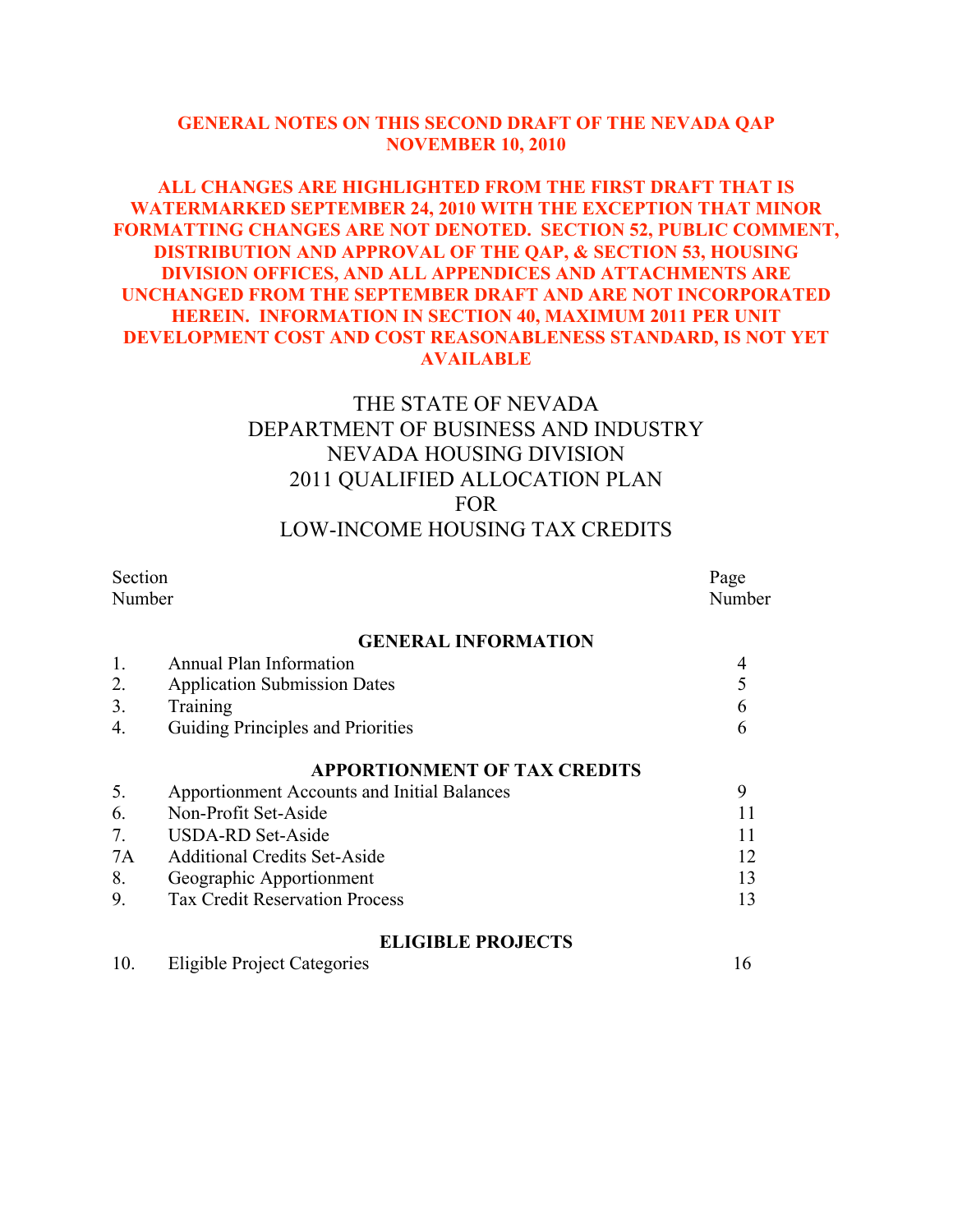### **GENERAL NOTES ON THIS SECOND DRAFT OF THE NEVADA QAP NOVEMBER 10, 2010**

### **ALL CHANGES ARE HIGHLIGHTED FROM THE FIRST DRAFT THAT IS WATERMARKED SEPTEMBER 24, 2010 WITH THE EXCEPTION THAT MINOR FORMATTING CHANGES ARE NOT DENOTED. SECTION 52, PUBLIC COMMENT, DISTRIBUTION AND APPROVAL OF THE QAP, & SECTION 53, HOUSING DIVISION OFFICES, AND ALL APPENDICES AND ATTACHMENTS ARE UNCHANGED FROM THE SEPTEMBER DRAFT AND ARE NOT INCORPORATED HEREIN. INFORMATION IN SECTION 40, MAXIMUM 2011 PER UNIT DEVELOPMENT COST AND COST REASONABLENESS STANDARD, IS NOT YET AVAILABLE**

# THE STATE OF NEVADA DEPARTMENT OF BUSINESS AND INDUSTRY NEVADA HOUSING DIVISION 2011 QUALIFIED ALLOCATION PLAN FOR LOW-INCOME HOUSING TAX CREDITS

| Section |                                             | Page |
|---------|---------------------------------------------|------|
|         | Number                                      |      |
|         | <b>GENERAL INFORMATION</b>                  |      |
| 1.      | Annual Plan Information                     | 4    |
| 2.      | <b>Application Submission Dates</b>         | 5    |
| 3.      | Training                                    | 6    |
| 4.      | Guiding Principles and Priorities           | 6    |
|         | <b>APPORTIONMENT OF TAX CREDITS</b>         |      |
| 5.      | Apportionment Accounts and Initial Balances | 9    |
| 6.      | Non-Profit Set-Aside                        |      |
| 7.      | <b>USDA-RD Set-Aside</b>                    | 11   |
| 7A      | <b>Additional Credits Set-Aside</b>         | 12   |
| 8.      | Geographic Apportionment                    | 13   |
| 9.      | <b>Tax Credit Reservation Process</b>       | 13   |
|         | <b>ELIGIBLE PROJECTS</b>                    |      |

10. Eligible Project Categories 16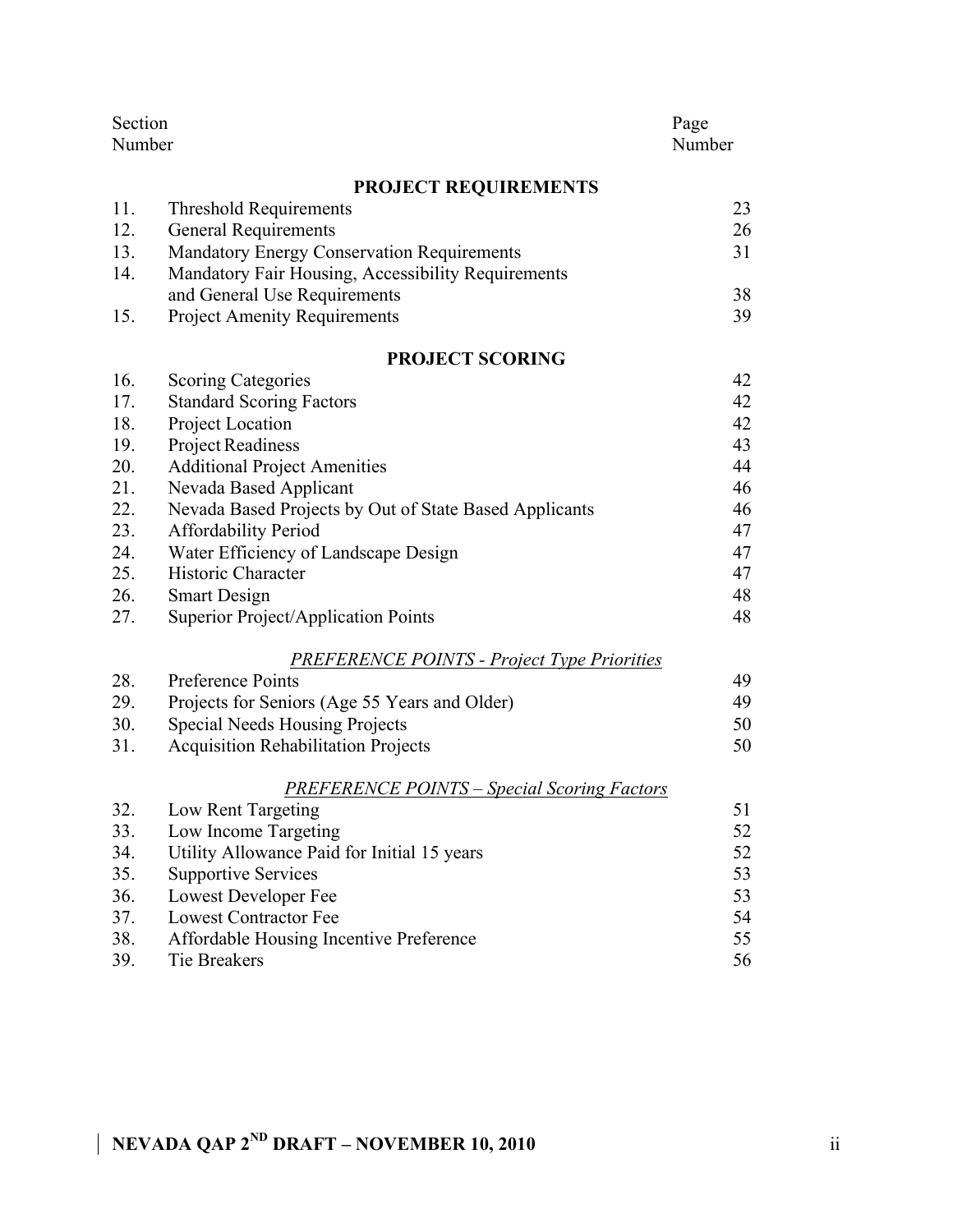| Section<br>Page<br>Number<br>Number |                                                        |    |
|-------------------------------------|--------------------------------------------------------|----|
|                                     | <b>PROJECT REQUIREMENTS</b>                            |    |
| 11.                                 | <b>Threshold Requirements</b>                          | 23 |
| 12.                                 | <b>General Requirements</b>                            | 26 |
| 13.                                 | Mandatory Energy Conservation Requirements             | 31 |
| 14.                                 | Mandatory Fair Housing, Accessibility Requirements     |    |
|                                     | and General Use Requirements                           | 38 |
| 15.                                 | <b>Project Amenity Requirements</b>                    | 39 |
|                                     | <b>PROJECT SCORING</b>                                 |    |
| 16.                                 | <b>Scoring Categories</b>                              | 42 |
| 17.                                 | <b>Standard Scoring Factors</b>                        | 42 |
| 18.                                 | Project Location                                       | 42 |
| 19.                                 | <b>Project Readiness</b>                               | 43 |
| 20.                                 | <b>Additional Project Amenities</b>                    | 44 |
| 21.                                 | Nevada Based Applicant                                 | 46 |
| 22.                                 | Nevada Based Projects by Out of State Based Applicants | 46 |
| 23.                                 | <b>Affordability Period</b>                            | 47 |
| 24.                                 | Water Efficiency of Landscape Design                   | 47 |
| 25.                                 | Historic Character                                     | 47 |
| 26.                                 | <b>Smart Design</b>                                    | 48 |
| 27.                                 | Superior Project/Application Points                    | 48 |
|                                     | <b>PREFERENCE POINTS - Project Type Priorities</b>     |    |
| 28.                                 | Preference Points                                      | 49 |
| 29.                                 | Projects for Seniors (Age 55 Years and Older)          | 49 |
| 30.                                 | <b>Special Needs Housing Projects</b>                  | 50 |
| 31.                                 | <b>Acquisition Rehabilitation Projects</b>             | 50 |
|                                     | <b>PREFERENCE POINTS - Special Scoring Factors</b>     |    |
| 32.                                 | Low Rent Targeting                                     | 51 |
| 33.                                 | Low Income Targeting                                   | 52 |
| 34.                                 | Utility Allowance Paid for Initial 15 years            | 52 |
| 35.                                 | <b>Supportive Services</b>                             | 53 |
| 36.                                 | Lowest Developer Fee                                   | 53 |
| 37.                                 | <b>Lowest Contractor Fee</b>                           | 54 |
| 38.                                 | Affordable Housing Incentive Preference                | 55 |
| 39.                                 | <b>Tie Breakers</b>                                    | 56 |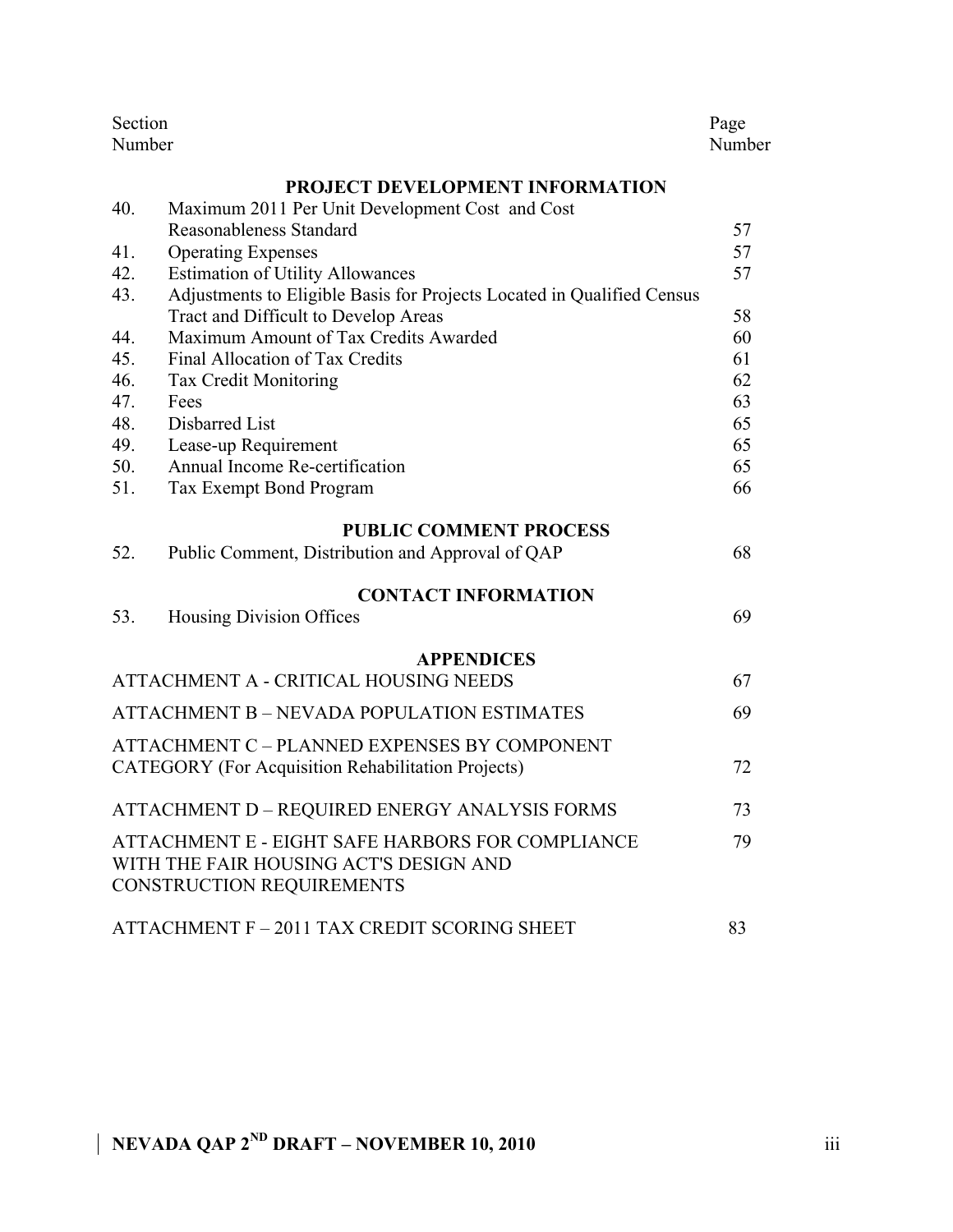| Section<br>Number                                         |                                                                        |    |  |
|-----------------------------------------------------------|------------------------------------------------------------------------|----|--|
|                                                           | PROJECT DEVELOPMENT INFORMATION                                        |    |  |
| 40.                                                       | Maximum 2011 Per Unit Development Cost and Cost                        |    |  |
|                                                           | Reasonableness Standard                                                | 57 |  |
| 41.                                                       | <b>Operating Expenses</b>                                              | 57 |  |
| 42.                                                       | <b>Estimation of Utility Allowances</b>                                | 57 |  |
| 43.                                                       | Adjustments to Eligible Basis for Projects Located in Qualified Census |    |  |
|                                                           | Tract and Difficult to Develop Areas                                   | 58 |  |
| 44.                                                       | Maximum Amount of Tax Credits Awarded                                  | 60 |  |
| 45.                                                       | Final Allocation of Tax Credits                                        | 61 |  |
| 46.                                                       | <b>Tax Credit Monitoring</b>                                           | 62 |  |
| 47.                                                       | Fees                                                                   | 63 |  |
| 48.                                                       | Disbarred List                                                         | 65 |  |
| 49.                                                       | Lease-up Requirement                                                   | 65 |  |
| 50.                                                       | Annual Income Re-certification                                         | 65 |  |
| 51.                                                       | Tax Exempt Bond Program                                                | 66 |  |
|                                                           | <b>PUBLIC COMMENT PROCESS</b>                                          |    |  |
| 52.                                                       | Public Comment, Distribution and Approval of QAP                       | 68 |  |
|                                                           | <b>CONTACT INFORMATION</b>                                             |    |  |
| 53.                                                       | <b>Housing Division Offices</b>                                        | 69 |  |
|                                                           | <b>APPENDICES</b>                                                      |    |  |
|                                                           | ATTACHMENT A - CRITICAL HOUSING NEEDS                                  | 67 |  |
| <b>ATTACHMENT B – NEVADA POPULATION ESTIMATES</b>         |                                                                        |    |  |
|                                                           | ATTACHMENT C - PLANNED EXPENSES BY COMPONENT                           |    |  |
| <b>CATEGORY</b> (For Acquisition Rehabilitation Projects) |                                                                        |    |  |
|                                                           |                                                                        |    |  |
|                                                           | ATTACHMENT D - REQUIRED ENERGY ANALYSIS FORMS                          | 73 |  |
|                                                           | ATTACHMENT E - EIGHT SAFE HARBORS FOR COMPLIANCE                       | 79 |  |
| WITH THE FAIR HOUSING ACT'S DESIGN AND                    |                                                                        |    |  |
|                                                           | CONSTRUCTION REQUIREMENTS                                              |    |  |
|                                                           | ATTACHMENT F - 2011 TAX CREDIT SCORING SHEET                           | 83 |  |
|                                                           |                                                                        |    |  |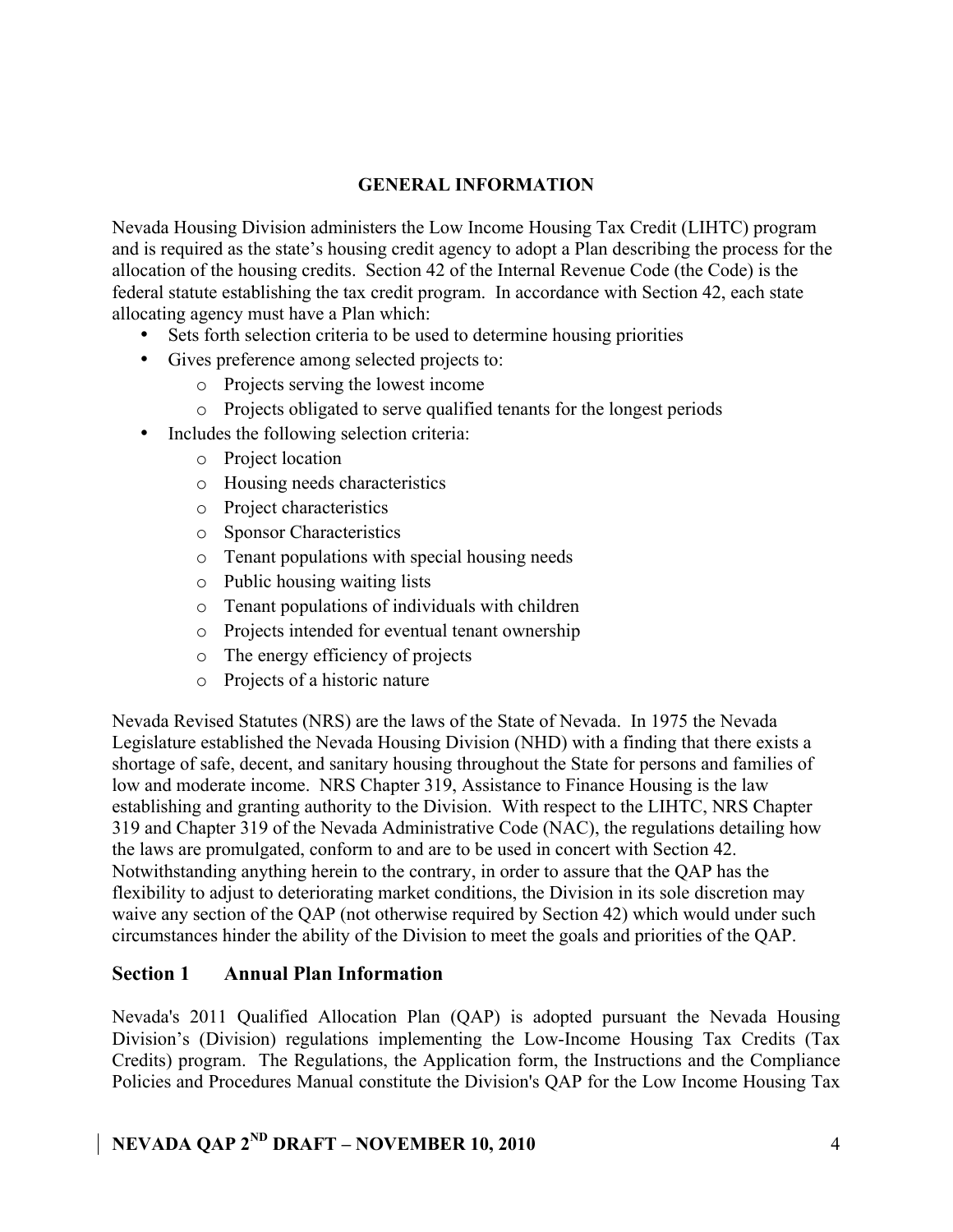### **GENERAL INFORMATION**

Nevada Housing Division administers the Low Income Housing Tax Credit (LIHTC) program and is required as the state's housing credit agency to adopt a Plan describing the process for the allocation of the housing credits. Section 42 of the Internal Revenue Code (the Code) is the federal statute establishing the tax credit program. In accordance with Section 42, each state allocating agency must have a Plan which:

- Sets forth selection criteria to be used to determine housing priorities
- Gives preference among selected projects to:
	- o Projects serving the lowest income
	- o Projects obligated to serve qualified tenants for the longest periods
- Includes the following selection criteria:
	- o Project location
	- o Housing needs characteristics
	- o Project characteristics
	- o Sponsor Characteristics
	- o Tenant populations with special housing needs
	- o Public housing waiting lists
	- o Tenant populations of individuals with children
	- o Projects intended for eventual tenant ownership
	- o The energy efficiency of projects
	- o Projects of a historic nature

Nevada Revised Statutes (NRS) are the laws of the State of Nevada. In 1975 the Nevada Legislature established the Nevada Housing Division (NHD) with a finding that there exists a shortage of safe, decent, and sanitary housing throughout the State for persons and families of low and moderate income. NRS Chapter 319, Assistance to Finance Housing is the law establishing and granting authority to the Division. With respect to the LIHTC, NRS Chapter 319 and Chapter 319 of the Nevada Administrative Code (NAC), the regulations detailing how the laws are promulgated, conform to and are to be used in concert with Section 42. Notwithstanding anything herein to the contrary, in order to assure that the QAP has the flexibility to adjust to deteriorating market conditions, the Division in its sole discretion may waive any section of the QAP (not otherwise required by Section 42) which would under such circumstances hinder the ability of the Division to meet the goals and priorities of the QAP.

### **Section 1 Annual Plan Information**

Nevada's 2011 Qualified Allocation Plan (QAP) is adopted pursuant the Nevada Housing Division's (Division) regulations implementing the Low-Income Housing Tax Credits (Tax Credits) program. The Regulations, the Application form, the Instructions and the Compliance Policies and Procedures Manual constitute the Division's QAP for the Low Income Housing Tax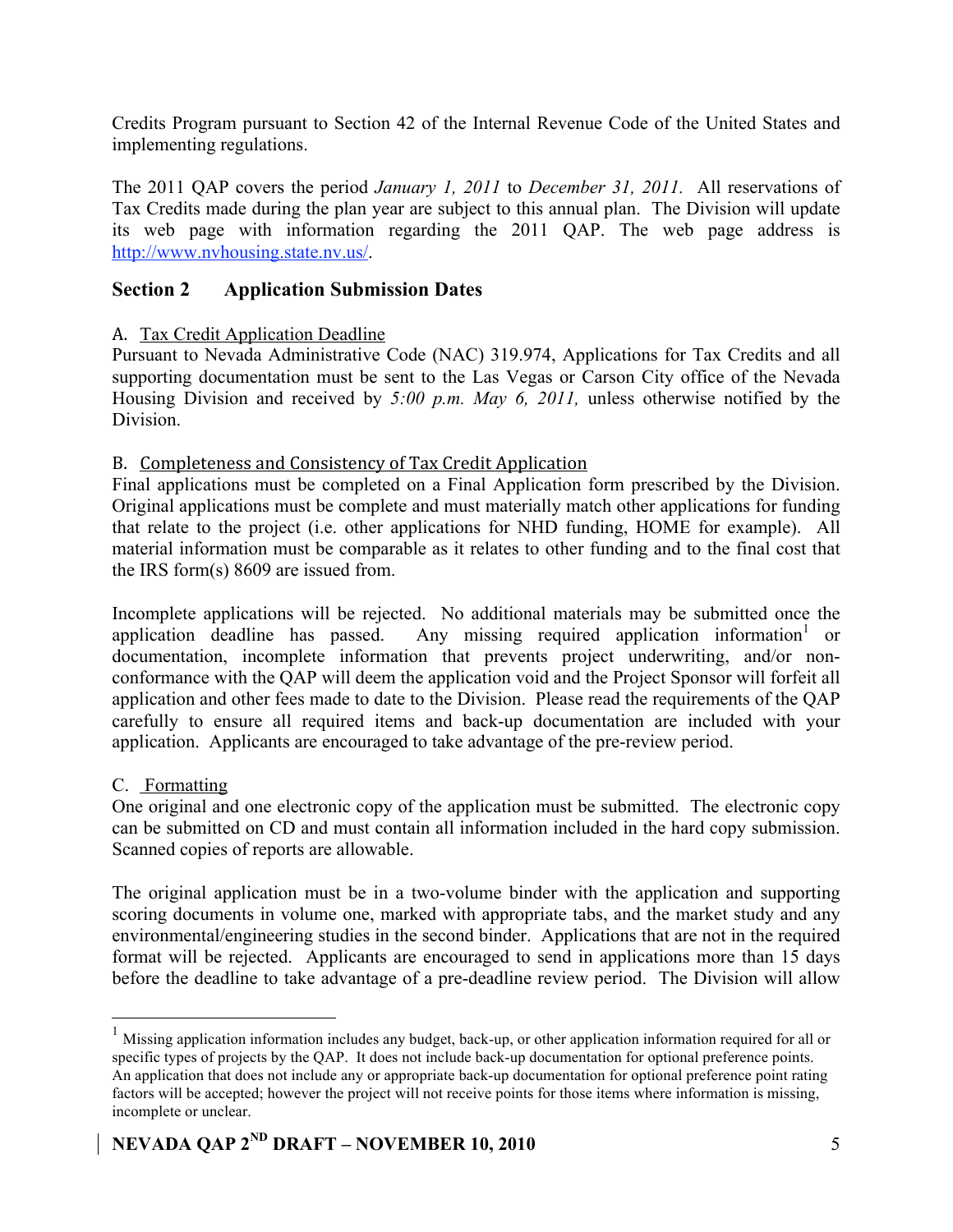Credits Program pursuant to Section 42 of the Internal Revenue Code of the United States and implementing regulations.

The 2011 QAP covers the period *January 1, 2011* to *December 31, 2011.* All reservations of Tax Credits made during the plan year are subject to this annual plan. The Division will update its web page with information regarding the 2011 QAP. The web page address is http://www.nvhousing.state.nv.us/.

### **Section 2 Application Submission Dates**

### A. Tax Credit Application Deadline

Pursuant to Nevada Administrative Code (NAC) 319.974, Applications for Tax Credits and all supporting documentation must be sent to the Las Vegas or Carson City office of the Nevada Housing Division and received by *5:00 p.m. May 6, 2011,* unless otherwise notified by the **Division** 

### B. Completeness
and
Consistency
of
Tax
Credit
Application

Final applications must be completed on a Final Application form prescribed by the Division. Original applications must be complete and must materially match other applications for funding that relate to the project (i.e. other applications for NHD funding, HOME for example). All material information must be comparable as it relates to other funding and to the final cost that the IRS form(s) 8609 are issued from.

Incomplete applications will be rejected. No additional materials may be submitted once the application deadline has passed. Any missing required application information<sup>1</sup> or documentation, incomplete information that prevents project underwriting, and/or nonconformance with the QAP will deem the application void and the Project Sponsor will forfeit all application and other fees made to date to the Division. Please read the requirements of the QAP carefully to ensure all required items and back-up documentation are included with your application. Applicants are encouraged to take advantage of the pre-review period.

### C. Formatting

One original and one electronic copy of the application must be submitted. The electronic copy can be submitted on CD and must contain all information included in the hard copy submission. Scanned copies of reports are allowable.

The original application must be in a two-volume binder with the application and supporting scoring documents in volume one, marked with appropriate tabs, and the market study and any environmental/engineering studies in the second binder. Applications that are not in the required format will be rejected. Applicants are encouraged to send in applications more than 15 days before the deadline to take advantage of a pre-deadline review period. The Division will allow

<sup>&</sup>lt;sup>1</sup> Missing application information includes any budget, back-up, or other application information required for all or specific types of projects by the QAP. It does not include back-up documentation for optional preference points. An application that does not include any or appropriate back-up documentation for optional preference point rating factors will be accepted; however the project will not receive points for those items where information is missing, incomplete or unclear.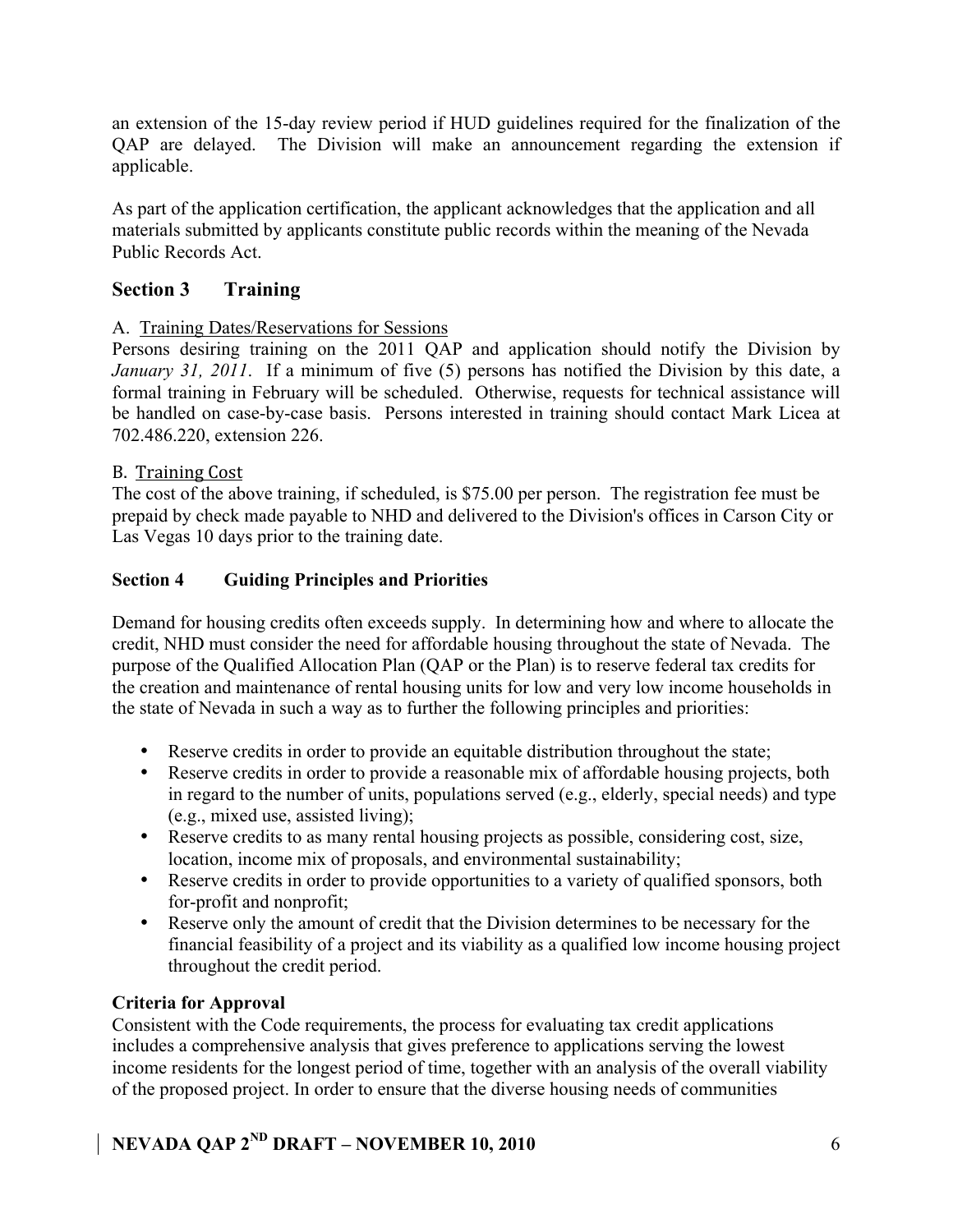an extension of the 15-day review period if HUD guidelines required for the finalization of the QAP are delayed. The Division will make an announcement regarding the extension if applicable.

As part of the application certification, the applicant acknowledges that the application and all materials submitted by applicants constitute public records within the meaning of the Nevada Public Records Act.

# **Section 3 Training**

### A. Training Dates/Reservations for Sessions

Persons desiring training on the 2011 QAP and application should notify the Division by *January 31, 2011*. If a minimum of five (5) persons has notified the Division by this date, a formal training in February will be scheduled. Otherwise, requests for technical assistance will be handled on case-by-case basis. Persons interested in training should contact Mark Licea at 702.486.220, extension 226.

### B. Training
Cost

The cost of the above training, if scheduled, is \$75.00 per person. The registration fee must be prepaid by check made payable to NHD and delivered to the Division's offices in Carson City or Las Vegas 10 days prior to the training date.

### **Section 4 Guiding Principles and Priorities**

Demand for housing credits often exceeds supply. In determining how and where to allocate the credit, NHD must consider the need for affordable housing throughout the state of Nevada. The purpose of the Qualified Allocation Plan (QAP or the Plan) is to reserve federal tax credits for the creation and maintenance of rental housing units for low and very low income households in the state of Nevada in such a way as to further the following principles and priorities:

- Reserve credits in order to provide an equitable distribution throughout the state;
- Reserve credits in order to provide a reasonable mix of affordable housing projects, both in regard to the number of units, populations served (e.g., elderly, special needs) and type (e.g., mixed use, assisted living);
- Reserve credits to as many rental housing projects as possible, considering cost, size, location, income mix of proposals, and environmental sustainability;
- Reserve credits in order to provide opportunities to a variety of qualified sponsors, both for-profit and nonprofit;
- Reserve only the amount of credit that the Division determines to be necessary for the financial feasibility of a project and its viability as a qualified low income housing project throughout the credit period.

### **Criteria for Approval**

Consistent with the Code requirements, the process for evaluating tax credit applications includes a comprehensive analysis that gives preference to applications serving the lowest income residents for the longest period of time, together with an analysis of the overall viability of the proposed project. In order to ensure that the diverse housing needs of communities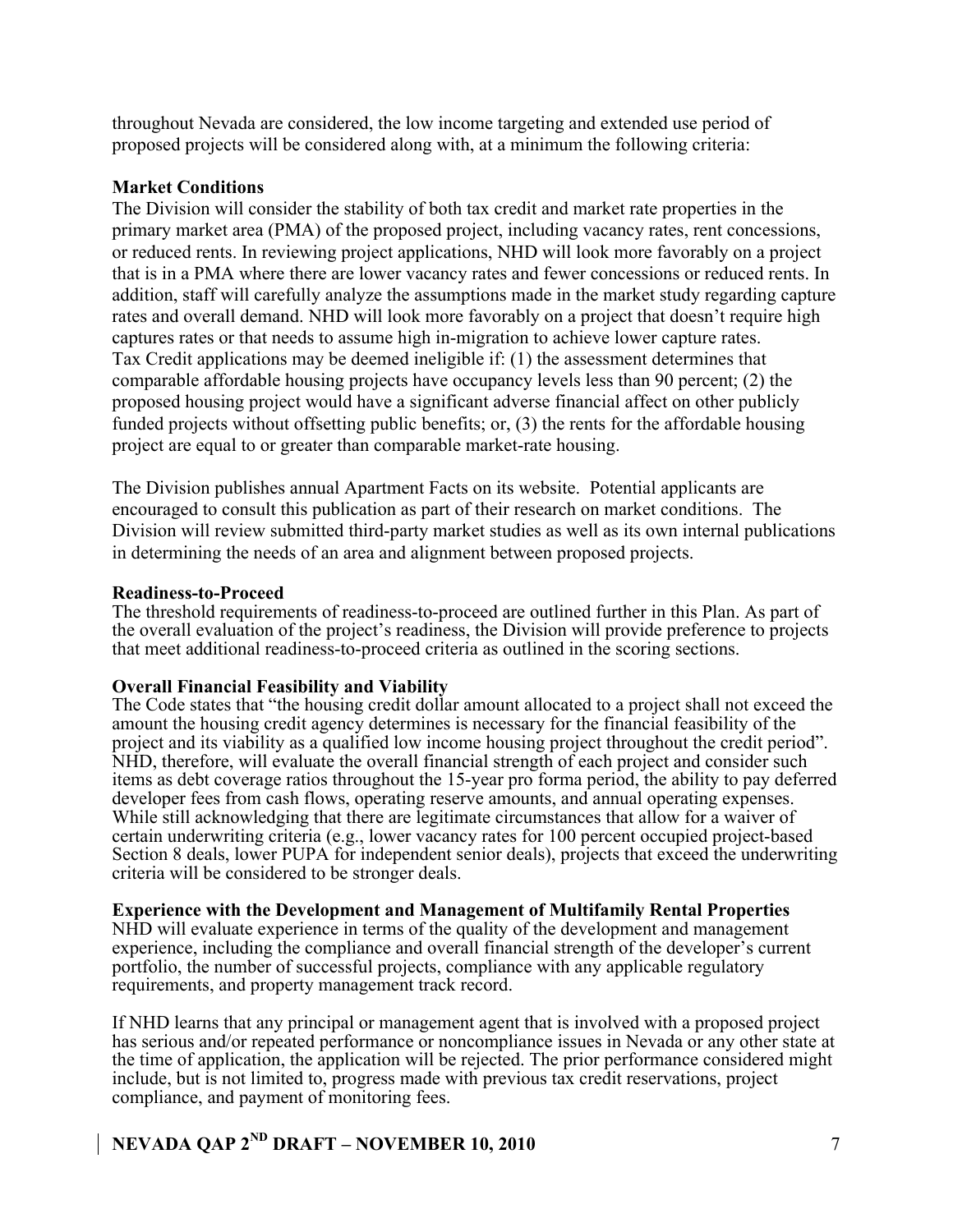throughout Nevada are considered, the low income targeting and extended use period of proposed projects will be considered along with, at a minimum the following criteria:

### **Market Conditions**

The Division will consider the stability of both tax credit and market rate properties in the primary market area (PMA) of the proposed project, including vacancy rates, rent concessions, or reduced rents. In reviewing project applications, NHD will look more favorably on a project that is in a PMA where there are lower vacancy rates and fewer concessions or reduced rents. In addition, staff will carefully analyze the assumptions made in the market study regarding capture rates and overall demand. NHD will look more favorably on a project that doesn't require high captures rates or that needs to assume high in-migration to achieve lower capture rates. Tax Credit applications may be deemed ineligible if: (1) the assessment determines that comparable affordable housing projects have occupancy levels less than 90 percent; (2) the proposed housing project would have a significant adverse financial affect on other publicly funded projects without offsetting public benefits; or, (3) the rents for the affordable housing project are equal to or greater than comparable market-rate housing.

The Division publishes annual Apartment Facts on its website. Potential applicants are encouraged to consult this publication as part of their research on market conditions. The Division will review submitted third-party market studies as well as its own internal publications in determining the needs of an area and alignment between proposed projects.

### **Readiness-to-Proceed**

The threshold requirements of readiness-to-proceed are outlined further in this Plan. As part of the overall evaluation of the project's readiness, the Division will provide preference to projects that meet additional readiness-to-proceed criteria as outlined in the scoring sections.

### **Overall Financial Feasibility and Viability**

The Code states that "the housing credit dollar amount allocated to a project shall not exceed the amount the housing credit agency determines is necessary for the financial feasibility of the project and its viability as a qualified low income housing project throughout the credit period". NHD, therefore, will evaluate the overall financial strength of each project and consider such items as debt coverage ratios throughout the 15-year pro forma period, the ability to pay deferred developer fees from cash flows, operating reserve amounts, and annual operating expenses. While still acknowledging that there are legitimate circumstances that allow for a waiver of certain underwriting criteria (e.g., lower vacancy rates for 100 percent occupied project-based Section 8 deals, lower PUPA for independent senior deals), projects that exceed the underwriting criteria will be considered to be stronger deals.

### **Experience with the Development and Management of Multifamily Rental Properties**

NHD will evaluate experience in terms of the quality of the development and management experience, including the compliance and overall financial strength of the developer's current portfolio, the number of successful projects, compliance with any applicable regulatory requirements, and property management track record.

If NHD learns that any principal or management agent that is involved with a proposed project has serious and/or repeated performance or noncompliance issues in Nevada or any other state at the time of application, the application will be rejected. The prior performance considered might include, but is not limited to, progress made with previous tax credit reservations, project compliance, and payment of monitoring fees.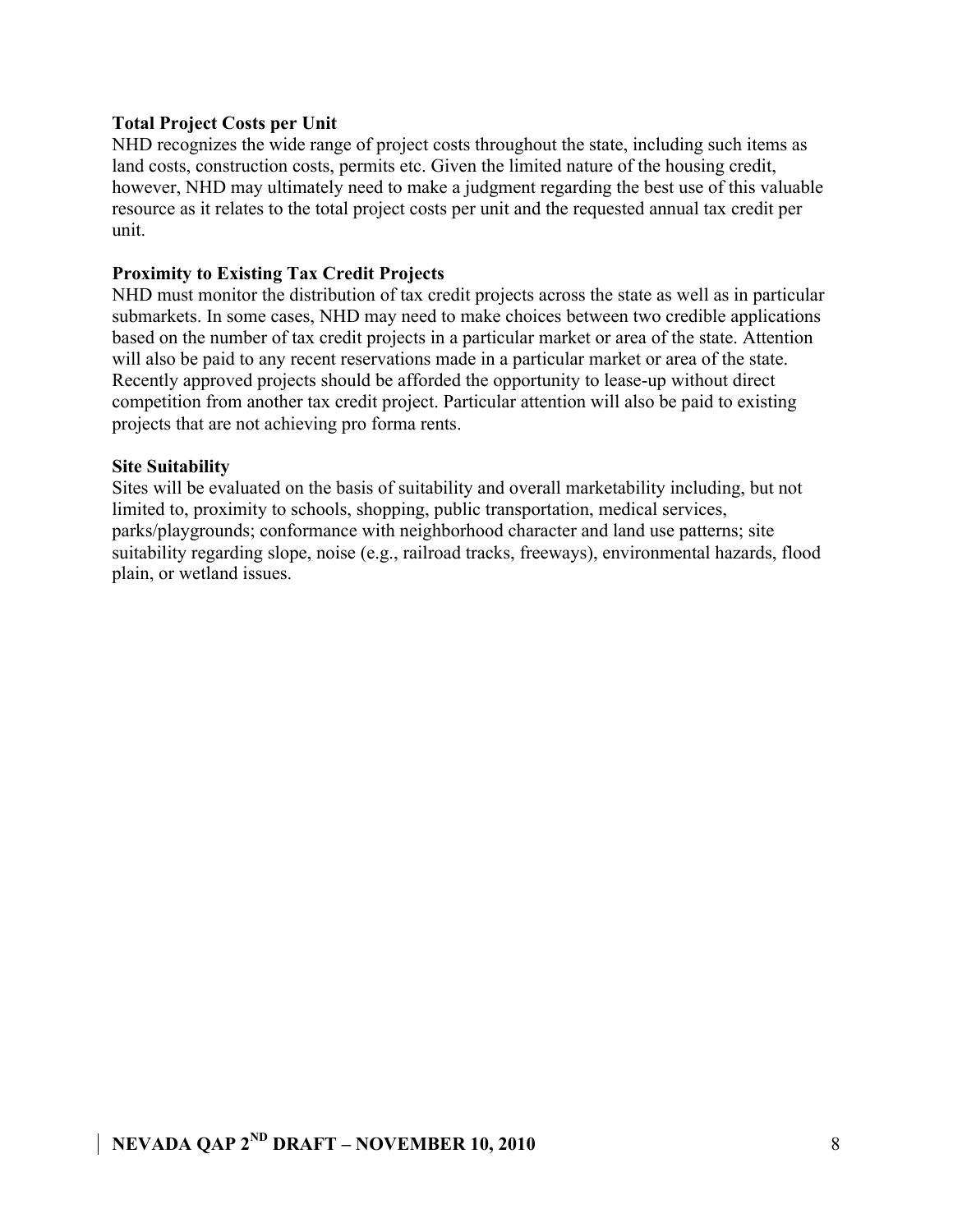### **Total Project Costs per Unit**

NHD recognizes the wide range of project costs throughout the state, including such items as land costs, construction costs, permits etc. Given the limited nature of the housing credit, however, NHD may ultimately need to make a judgment regarding the best use of this valuable resource as it relates to the total project costs per unit and the requested annual tax credit per unit.

### **Proximity to Existing Tax Credit Projects**

NHD must monitor the distribution of tax credit projects across the state as well as in particular submarkets. In some cases, NHD may need to make choices between two credible applications based on the number of tax credit projects in a particular market or area of the state. Attention will also be paid to any recent reservations made in a particular market or area of the state. Recently approved projects should be afforded the opportunity to lease-up without direct competition from another tax credit project. Particular attention will also be paid to existing projects that are not achieving pro forma rents.

### **Site Suitability**

Sites will be evaluated on the basis of suitability and overall marketability including, but not limited to, proximity to schools, shopping, public transportation, medical services, parks/playgrounds; conformance with neighborhood character and land use patterns; site suitability regarding slope, noise (e.g., railroad tracks, freeways), environmental hazards, flood plain, or wetland issues.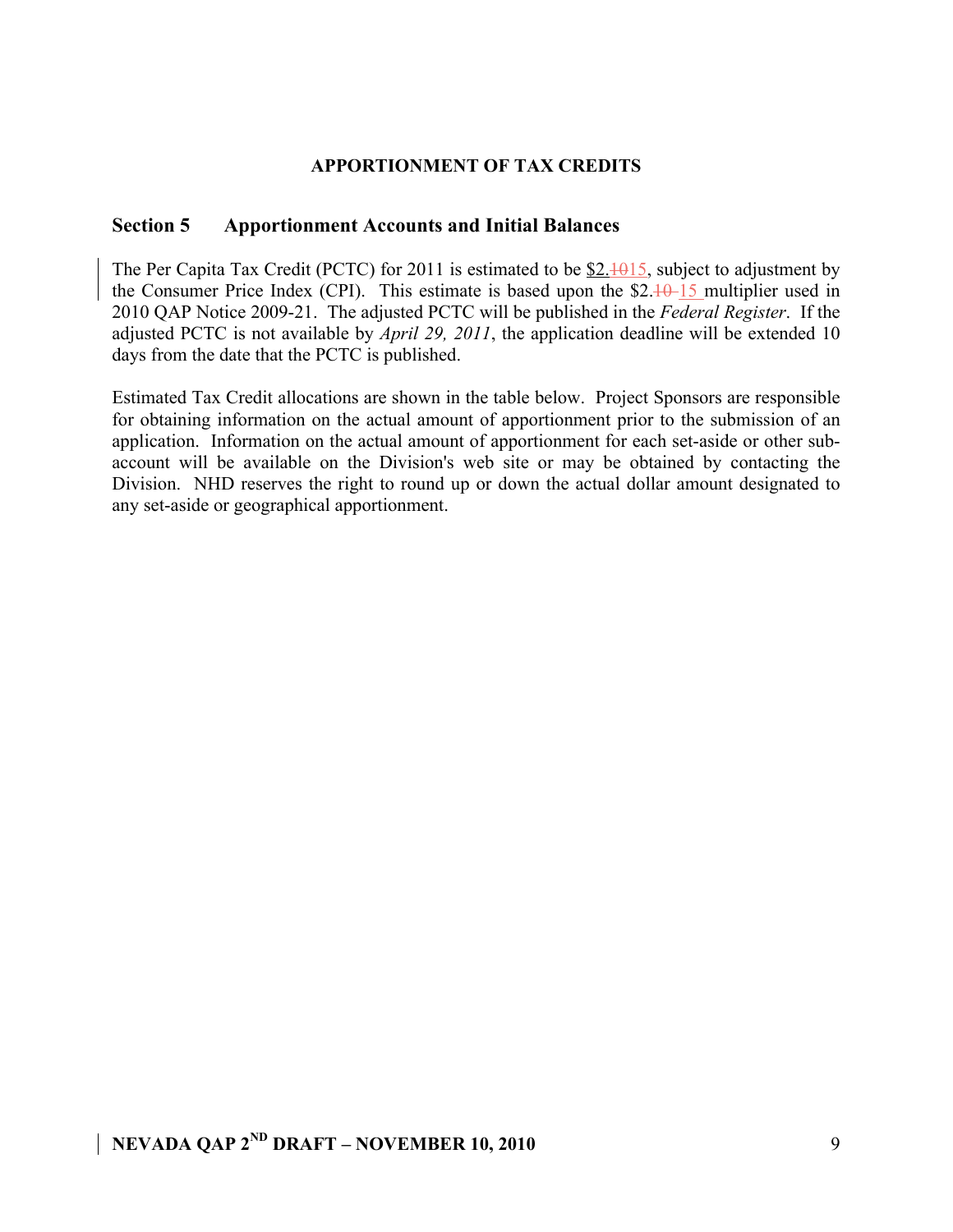### **APPORTIONMENT OF TAX CREDITS**

### **Section 5 Apportionment Accounts and Initial Balances**

The Per Capita Tax Credit (PCTC) for 2011 is estimated to be  $$2.1015$ , subject to adjustment by the Consumer Price Index (CPI). This estimate is based upon the  $$2.10-15$  multiplier used in 2010 QAP Notice 2009-21. The adjusted PCTC will be published in the *Federal Register*. If the adjusted PCTC is not available by *April 29, 2011*, the application deadline will be extended 10 days from the date that the PCTC is published.

Estimated Tax Credit allocations are shown in the table below. Project Sponsors are responsible for obtaining information on the actual amount of apportionment prior to the submission of an application. Information on the actual amount of apportionment for each set-aside or other subaccount will be available on the Division's web site or may be obtained by contacting the Division. NHD reserves the right to round up or down the actual dollar amount designated to any set-aside or geographical apportionment.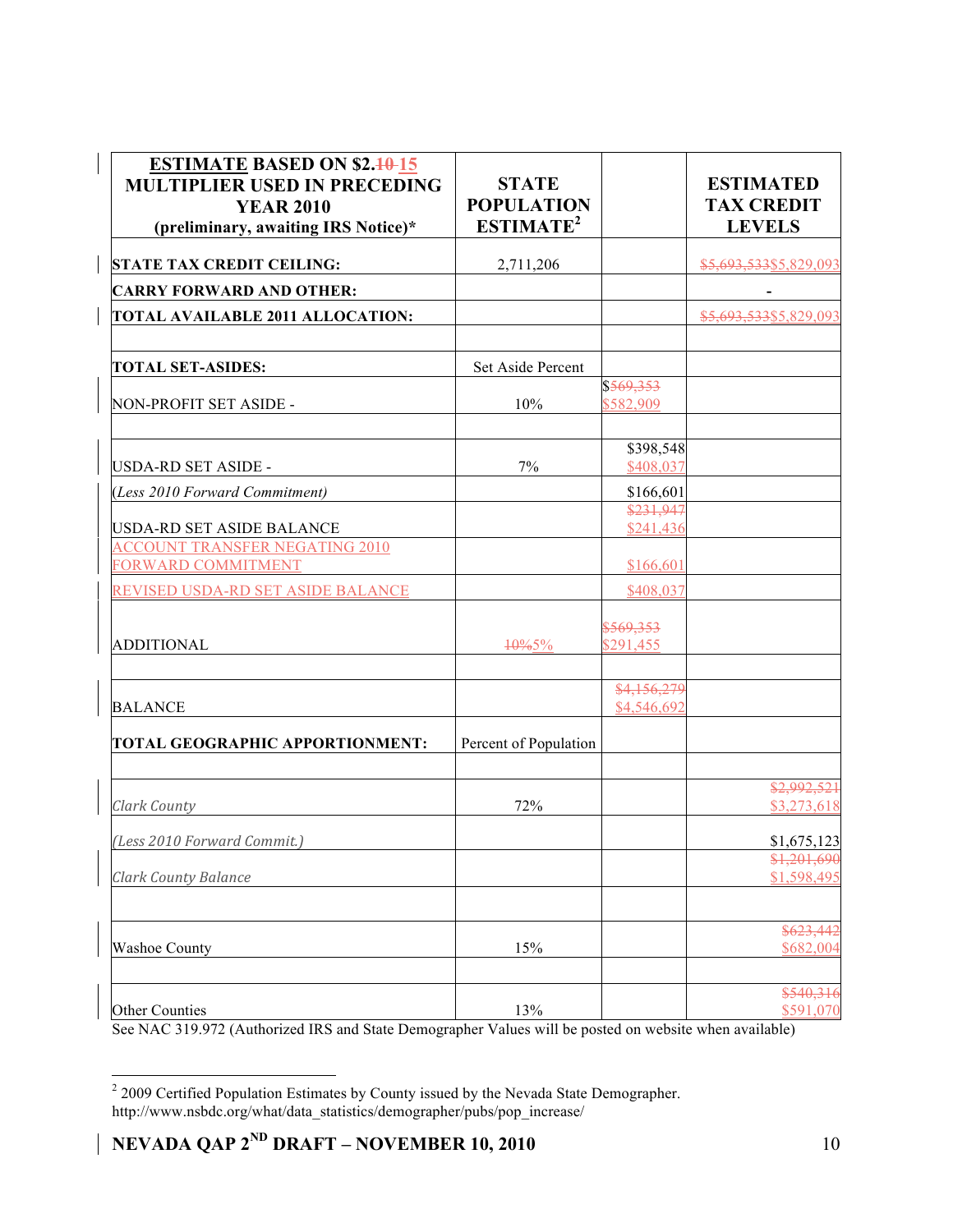| <b>ESTIMATE BASED ON \$2.40-15</b><br><b>MULTIPLIER USED IN PRECEDING</b><br><b>YEAR 2010</b><br>(preliminary, awaiting IRS Notice)* | <b>STATE</b><br><b>POPULATION</b><br>ESTIMATE <sup>2</sup> |                            | <b>ESTIMATED</b><br><b>TAX CREDIT</b><br><b>LEVELS</b> |
|--------------------------------------------------------------------------------------------------------------------------------------|------------------------------------------------------------|----------------------------|--------------------------------------------------------|
| <b>STATE TAX CREDIT CEILING:</b>                                                                                                     | 2,711,206                                                  |                            | \$5,693,533\$5,829,093                                 |
| <b>CARRY FORWARD AND OTHER:</b>                                                                                                      |                                                            |                            | $\blacksquare$                                         |
| <b>TOTAL AVAILABLE 2011 ALLOCATION:</b>                                                                                              |                                                            |                            | \$5,693,533\$5,829,093                                 |
| <b>TOTAL SET-ASIDES:</b>                                                                                                             | Set Aside Percent                                          |                            |                                                        |
| NON-PROFIT SET ASIDE -                                                                                                               | 10%                                                        | \$569,353<br>\$582,909     |                                                        |
| USDA-RD SET ASIDE -                                                                                                                  | 7%                                                         | \$398,548<br>\$408,037     |                                                        |
| (Less 2010 Forward Commitment)                                                                                                       |                                                            | \$166,601                  |                                                        |
| USDA-RD SET ASIDE BALANCE                                                                                                            |                                                            | \$231,947<br>\$241,436     |                                                        |
| <b>ACCOUNT TRANSFER NEGATING 2010</b><br>FORWARD COMMITMENT                                                                          |                                                            | \$166,601                  |                                                        |
| REVISED USDA-RD SET ASIDE BALANCE                                                                                                    |                                                            | \$408,037                  |                                                        |
| <b>ADDITIONAL</b>                                                                                                                    | $10\%5\%$                                                  | \$569,353<br>\$291,455     |                                                        |
| <b>BALANCE</b>                                                                                                                       |                                                            | \$4,156,279<br>\$4,546,692 |                                                        |
| TOTAL GEOGRAPHIC APPORTIONMENT:                                                                                                      | Percent of Population                                      |                            |                                                        |
| <b>Clark County</b>                                                                                                                  | 72%                                                        |                            | \$2,992,521<br>\$3,273,618                             |
| (Less 2010 Forward Commit.)                                                                                                          |                                                            |                            | \$1,675,123                                            |
| <b>Clark County Balance</b>                                                                                                          |                                                            |                            | $\frac{$1,201,690}{}$<br>\$1,598,495                   |
| Washoe County                                                                                                                        | 15%                                                        |                            | \$623,442<br>\$682,004                                 |
| Other Counties                                                                                                                       | 13%                                                        |                            | \$540,316<br>\$591,070                                 |

See NAC 319.972 (Authorized IRS and State Demographer Values will be posted on website when available)

 $\frac{1}{2}$  2009 Certified Population Estimates by County issued by the Nevada State Demographer. http://www.nsbdc.org/what/data\_statistics/demographer/pubs/pop\_increase/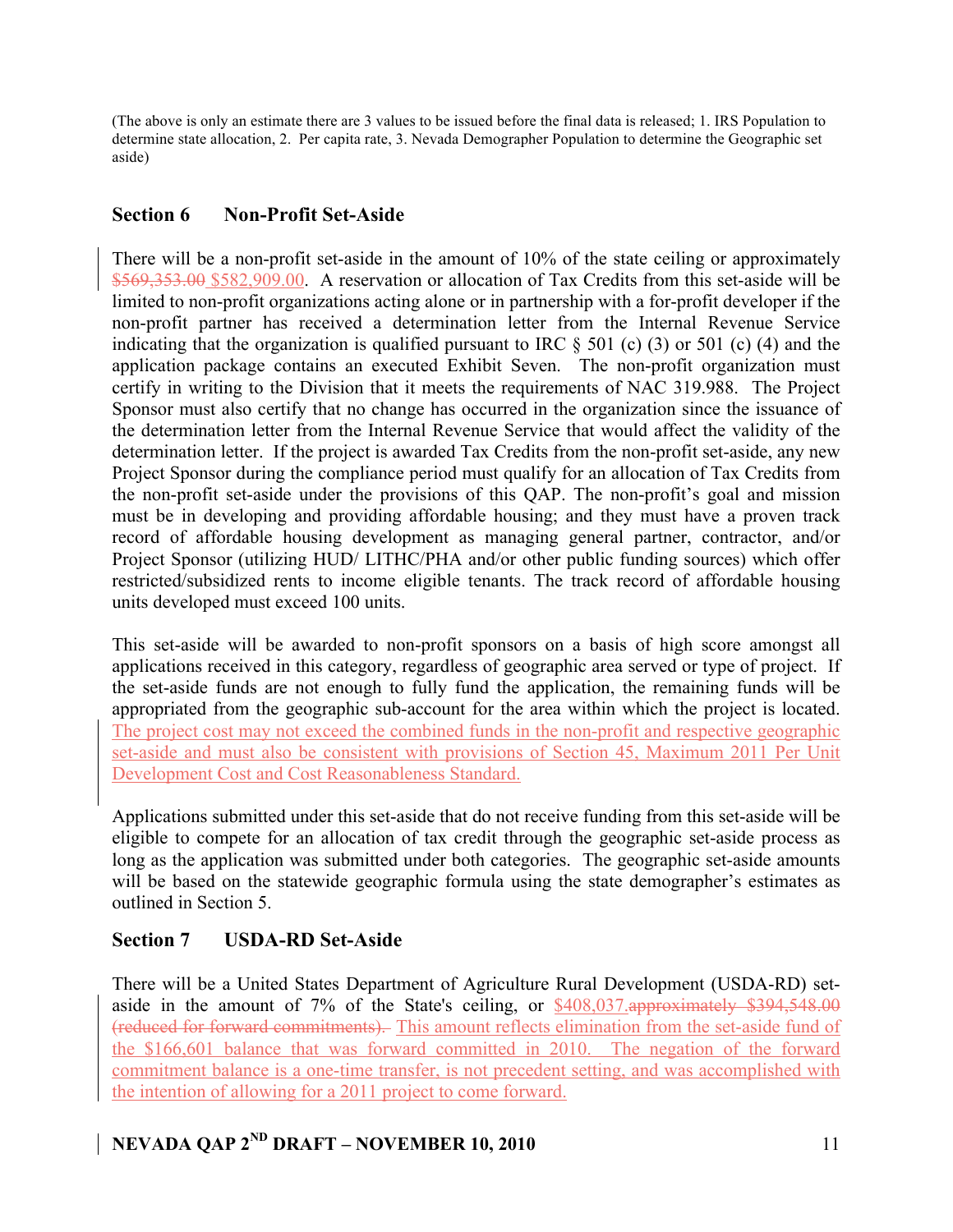(The above is only an estimate there are 3 values to be issued before the final data is released; 1. IRS Population to determine state allocation, 2. Per capita rate, 3. Nevada Demographer Population to determine the Geographic set aside)

# **Section 6 Non-Profit Set-Aside**

There will be a non-profit set-aside in the amount of 10% of the state ceiling or approximately \$569,353.00 \$582,909.00. A reservation or allocation of Tax Credits from this set-aside will be limited to non-profit organizations acting alone or in partnership with a for-profit developer if the non-profit partner has received a determination letter from the Internal Revenue Service indicating that the organization is qualified pursuant to IRC  $\S$  501 (c) (3) or 501 (c) (4) and the application package contains an executed Exhibit Seven. The non-profit organization must certify in writing to the Division that it meets the requirements of NAC 319.988. The Project Sponsor must also certify that no change has occurred in the organization since the issuance of the determination letter from the Internal Revenue Service that would affect the validity of the determination letter. If the project is awarded Tax Credits from the non-profit set-aside, any new Project Sponsor during the compliance period must qualify for an allocation of Tax Credits from the non-profit set-aside under the provisions of this QAP. The non-profit's goal and mission must be in developing and providing affordable housing; and they must have a proven track record of affordable housing development as managing general partner, contractor, and/or Project Sponsor (utilizing HUD/ LITHC/PHA and/or other public funding sources) which offer restricted/subsidized rents to income eligible tenants. The track record of affordable housing units developed must exceed 100 units.

This set-aside will be awarded to non-profit sponsors on a basis of high score amongst all applications received in this category, regardless of geographic area served or type of project. If the set-aside funds are not enough to fully fund the application, the remaining funds will be appropriated from the geographic sub-account for the area within which the project is located. The project cost may not exceed the combined funds in the non-profit and respective geographic set-aside and must also be consistent with provisions of Section 45, Maximum 2011 Per Unit Development Cost and Cost Reasonableness Standard.

Applications submitted under this set-aside that do not receive funding from this set-aside will be eligible to compete for an allocation of tax credit through the geographic set-aside process as long as the application was submitted under both categories. The geographic set-aside amounts will be based on the statewide geographic formula using the state demographer's estimates as outlined in Section 5.

# **Section 7 USDA-RD Set-Aside**

There will be a United States Department of Agriculture Rural Development (USDA-RD) setaside in the amount of 7% of the State's ceiling, or \$408,037.approximately \$394,548.00 (reduced for forward commitments). This amount reflects elimination from the set-aside fund of the \$166,601 balance that was forward committed in 2010. The negation of the forward commitment balance is a one-time transfer, is not precedent setting, and was accomplished with the intention of allowing for a 2011 project to come forward.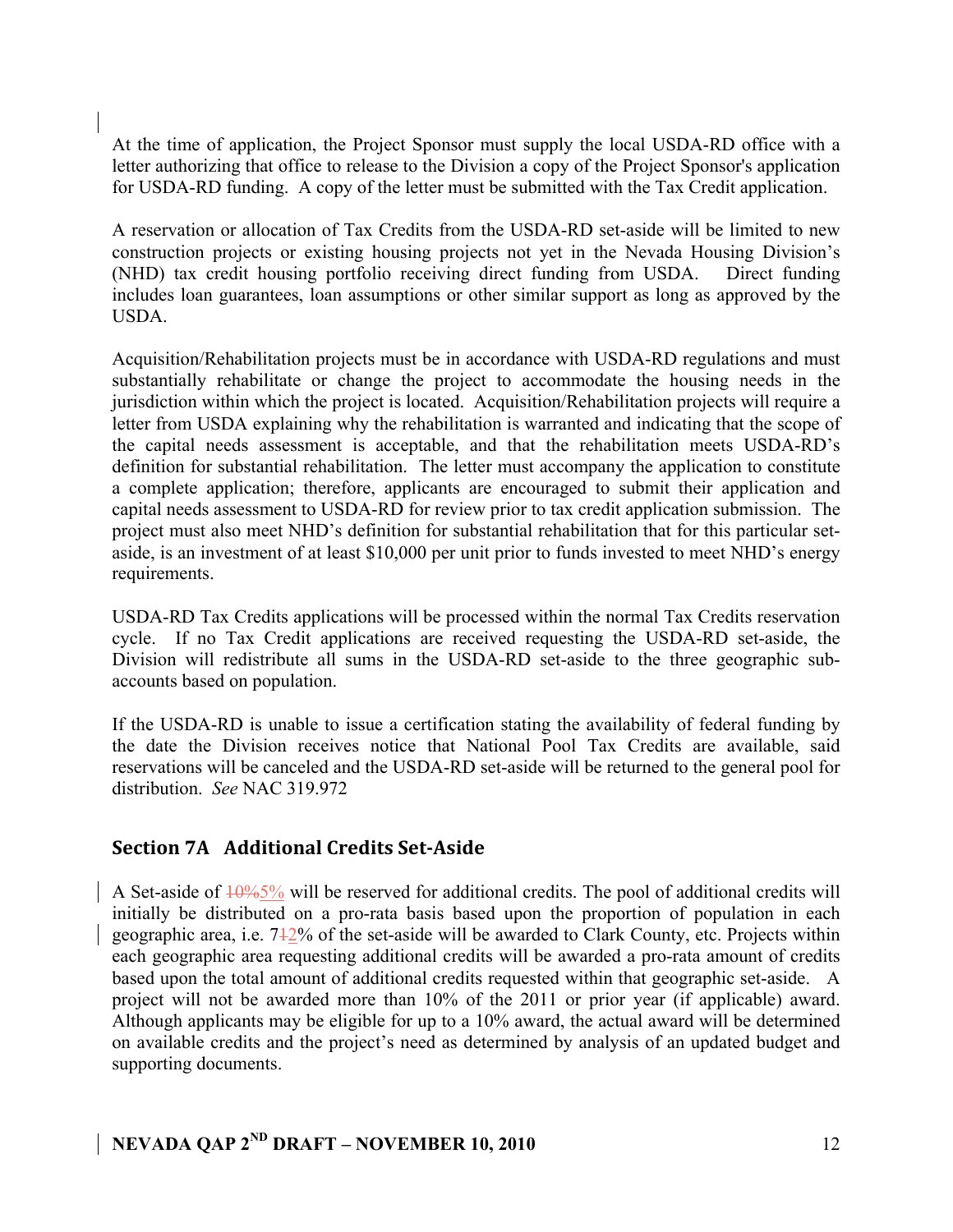At the time of application, the Project Sponsor must supply the local USDA-RD office with a letter authorizing that office to release to the Division a copy of the Project Sponsor's application for USDA-RD funding. A copy of the letter must be submitted with the Tax Credit application.

A reservation or allocation of Tax Credits from the USDA-RD set-aside will be limited to new construction projects or existing housing projects not yet in the Nevada Housing Division's (NHD) tax credit housing portfolio receiving direct funding from USDA. Direct funding includes loan guarantees, loan assumptions or other similar support as long as approved by the USDA.

Acquisition/Rehabilitation projects must be in accordance with USDA-RD regulations and must substantially rehabilitate or change the project to accommodate the housing needs in the jurisdiction within which the project is located. Acquisition/Rehabilitation projects will require a letter from USDA explaining why the rehabilitation is warranted and indicating that the scope of the capital needs assessment is acceptable, and that the rehabilitation meets USDA-RD's definition for substantial rehabilitation. The letter must accompany the application to constitute a complete application; therefore, applicants are encouraged to submit their application and capital needs assessment to USDA-RD for review prior to tax credit application submission. The project must also meet NHD's definition for substantial rehabilitation that for this particular setaside, is an investment of at least \$10,000 per unit prior to funds invested to meet NHD's energy requirements.

USDA-RD Tax Credits applications will be processed within the normal Tax Credits reservation cycle. If no Tax Credit applications are received requesting the USDA-RD set-aside, the Division will redistribute all sums in the USDA-RD set-aside to the three geographic subaccounts based on population.

If the USDA-RD is unable to issue a certification stating the availability of federal funding by the date the Division receives notice that National Pool Tax Credits are available, said reservations will be canceled and the USDA-RD set-aside will be returned to the general pool for distribution. *See* NAC 319.972

### **Section 7A** Additional Credits Set-Aside

A Set-aside of  $\frac{10\%5\%}{ }$  will be reserved for additional credits. The pool of additional credits will initially be distributed on a pro-rata basis based upon the proportion of population in each geographic area, i.e. 712% of the set-aside will be awarded to Clark County, etc. Projects within each geographic area requesting additional credits will be awarded a pro-rata amount of credits based upon the total amount of additional credits requested within that geographic set-aside. A project will not be awarded more than 10% of the 2011 or prior year (if applicable) award. Although applicants may be eligible for up to a 10% award, the actual award will be determined on available credits and the project's need as determined by analysis of an updated budget and supporting documents.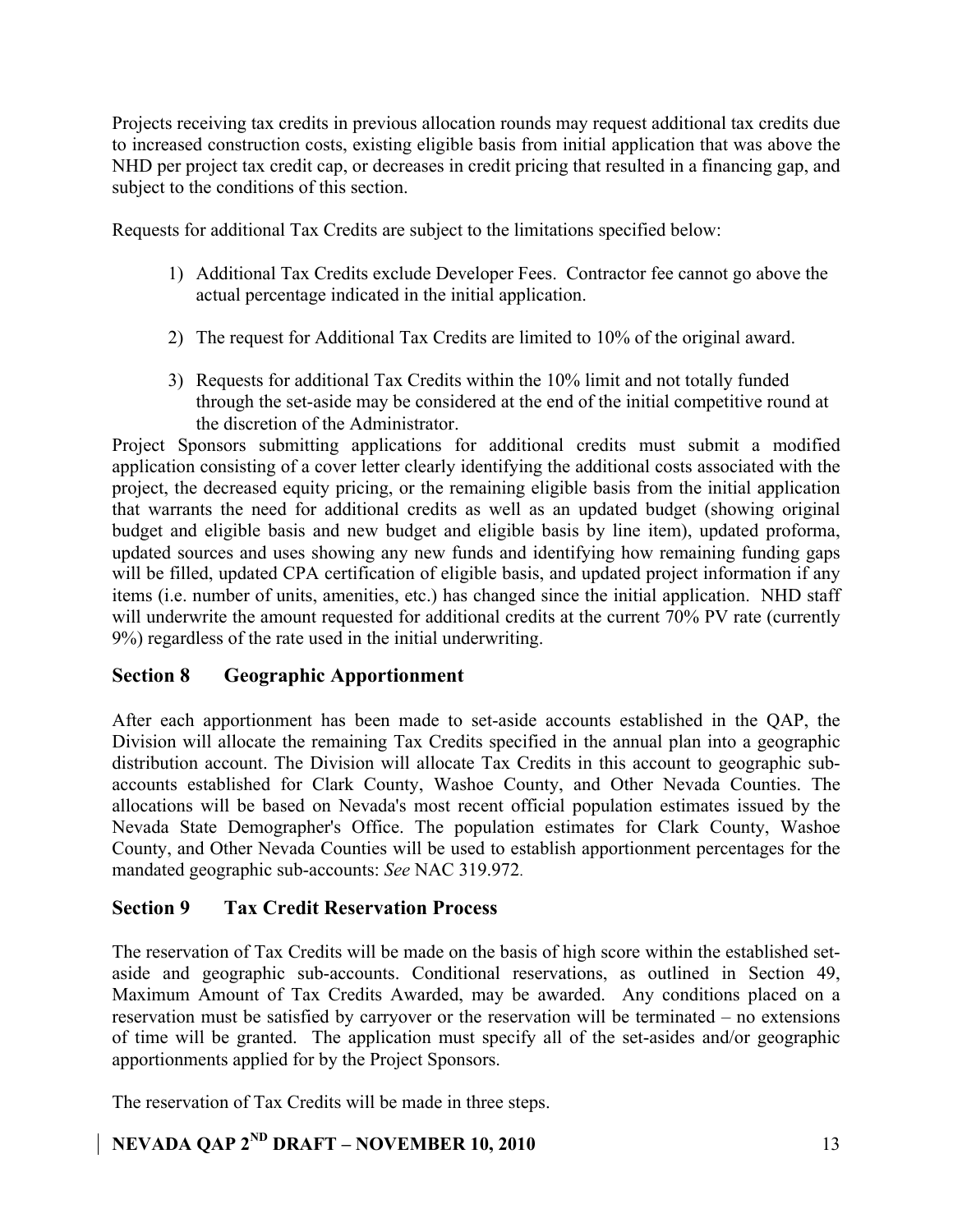Projects receiving tax credits in previous allocation rounds may request additional tax credits due to increased construction costs, existing eligible basis from initial application that was above the NHD per project tax credit cap, or decreases in credit pricing that resulted in a financing gap, and subject to the conditions of this section.

Requests for additional Tax Credits are subject to the limitations specified below:

- 1) Additional Tax Credits exclude Developer Fees. Contractor fee cannot go above the actual percentage indicated in the initial application.
- 2) The request for Additional Tax Credits are limited to 10% of the original award.
- 3) Requests for additional Tax Credits within the 10% limit and not totally funded through the set-aside may be considered at the end of the initial competitive round at the discretion of the Administrator.

Project Sponsors submitting applications for additional credits must submit a modified application consisting of a cover letter clearly identifying the additional costs associated with the project, the decreased equity pricing, or the remaining eligible basis from the initial application that warrants the need for additional credits as well as an updated budget (showing original budget and eligible basis and new budget and eligible basis by line item), updated proforma, updated sources and uses showing any new funds and identifying how remaining funding gaps will be filled, updated CPA certification of eligible basis, and updated project information if any items (i.e. number of units, amenities, etc.) has changed since the initial application. NHD staff will underwrite the amount requested for additional credits at the current 70% PV rate (currently 9%) regardless of the rate used in the initial underwriting.

### **Section 8 Geographic Apportionment**

After each apportionment has been made to set-aside accounts established in the QAP, the Division will allocate the remaining Tax Credits specified in the annual plan into a geographic distribution account. The Division will allocate Tax Credits in this account to geographic subaccounts established for Clark County, Washoe County, and Other Nevada Counties. The allocations will be based on Nevada's most recent official population estimates issued by the Nevada State Demographer's Office. The population estimates for Clark County, Washoe County, and Other Nevada Counties will be used to establish apportionment percentages for the mandated geographic sub-accounts: *See* NAC 319.972.

### **Section 9 Tax Credit Reservation Process**

The reservation of Tax Credits will be made on the basis of high score within the established setaside and geographic sub-accounts. Conditional reservations, as outlined in Section 49, Maximum Amount of Tax Credits Awarded, may be awarded. Any conditions placed on a reservation must be satisfied by carryover or the reservation will be terminated – no extensions of time will be granted. The application must specify all of the set-asides and/or geographic apportionments applied for by the Project Sponsors.

The reservation of Tax Credits will be made in three steps.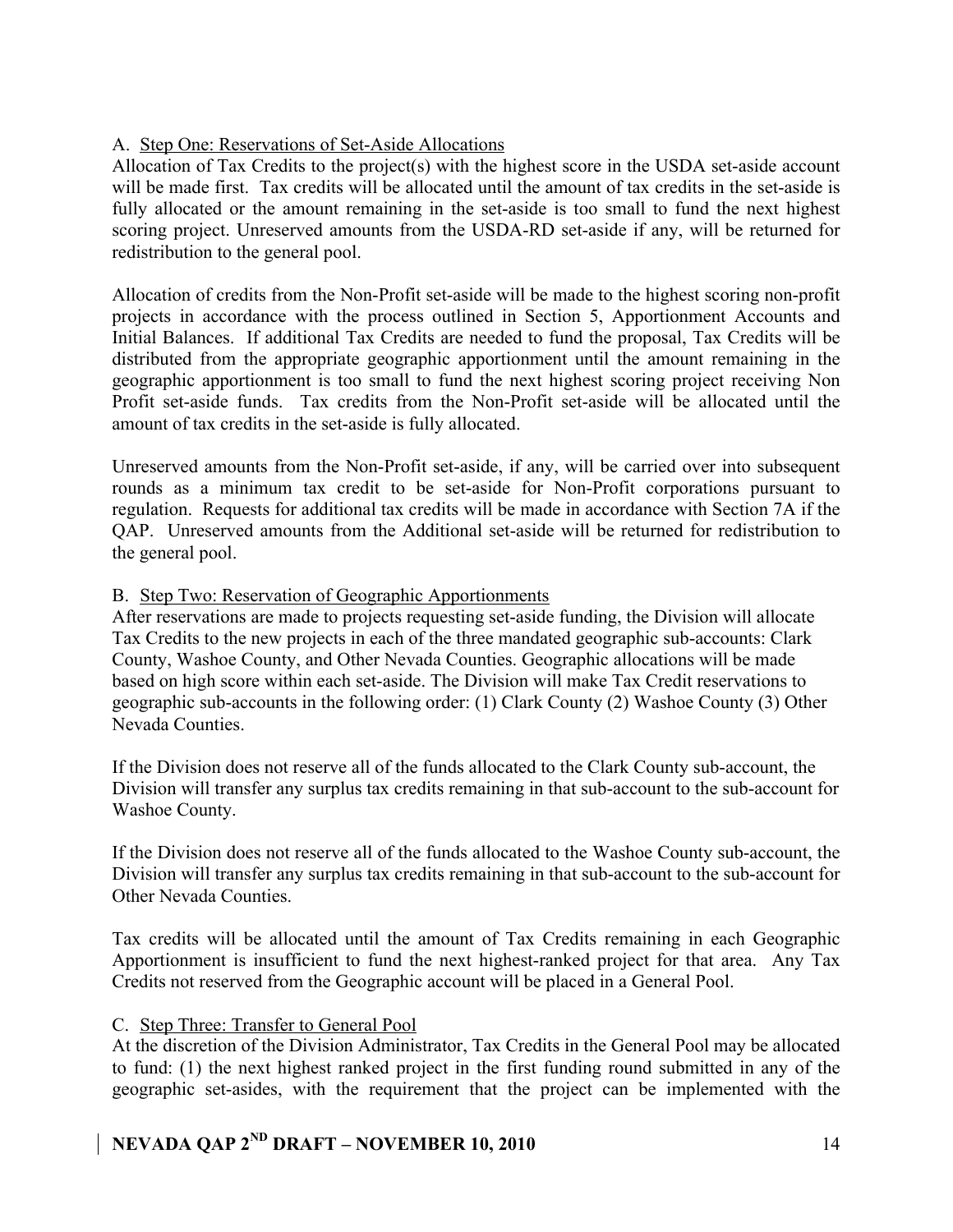### A. Step One: Reservations of Set-Aside Allocations

Allocation of Tax Credits to the project(s) with the highest score in the USDA set-aside account will be made first. Tax credits will be allocated until the amount of tax credits in the set-aside is fully allocated or the amount remaining in the set-aside is too small to fund the next highest scoring project. Unreserved amounts from the USDA-RD set-aside if any, will be returned for redistribution to the general pool.

Allocation of credits from the Non-Profit set-aside will be made to the highest scoring non-profit projects in accordance with the process outlined in Section 5, Apportionment Accounts and Initial Balances. If additional Tax Credits are needed to fund the proposal, Tax Credits will be distributed from the appropriate geographic apportionment until the amount remaining in the geographic apportionment is too small to fund the next highest scoring project receiving Non Profit set-aside funds. Tax credits from the Non-Profit set-aside will be allocated until the amount of tax credits in the set-aside is fully allocated.

Unreserved amounts from the Non-Profit set-aside, if any, will be carried over into subsequent rounds as a minimum tax credit to be set-aside for Non-Profit corporations pursuant to regulation. Requests for additional tax credits will be made in accordance with Section 7A if the QAP. Unreserved amounts from the Additional set-aside will be returned for redistribution to the general pool.

### B. Step Two: Reservation of Geographic Apportionments

After reservations are made to projects requesting set-aside funding, the Division will allocate Tax Credits to the new projects in each of the three mandated geographic sub-accounts: Clark County, Washoe County, and Other Nevada Counties. Geographic allocations will be made based on high score within each set-aside. The Division will make Tax Credit reservations to geographic sub-accounts in the following order: (1) Clark County (2) Washoe County (3) Other Nevada Counties.

If the Division does not reserve all of the funds allocated to the Clark County sub-account, the Division will transfer any surplus tax credits remaining in that sub-account to the sub-account for Washoe County.

If the Division does not reserve all of the funds allocated to the Washoe County sub-account, the Division will transfer any surplus tax credits remaining in that sub-account to the sub-account for Other Nevada Counties.

Tax credits will be allocated until the amount of Tax Credits remaining in each Geographic Apportionment is insufficient to fund the next highest-ranked project for that area. Any Tax Credits not reserved from the Geographic account will be placed in a General Pool.

### C. Step Three: Transfer to General Pool

At the discretion of the Division Administrator, Tax Credits in the General Pool may be allocated to fund: (1) the next highest ranked project in the first funding round submitted in any of the geographic set-asides, with the requirement that the project can be implemented with the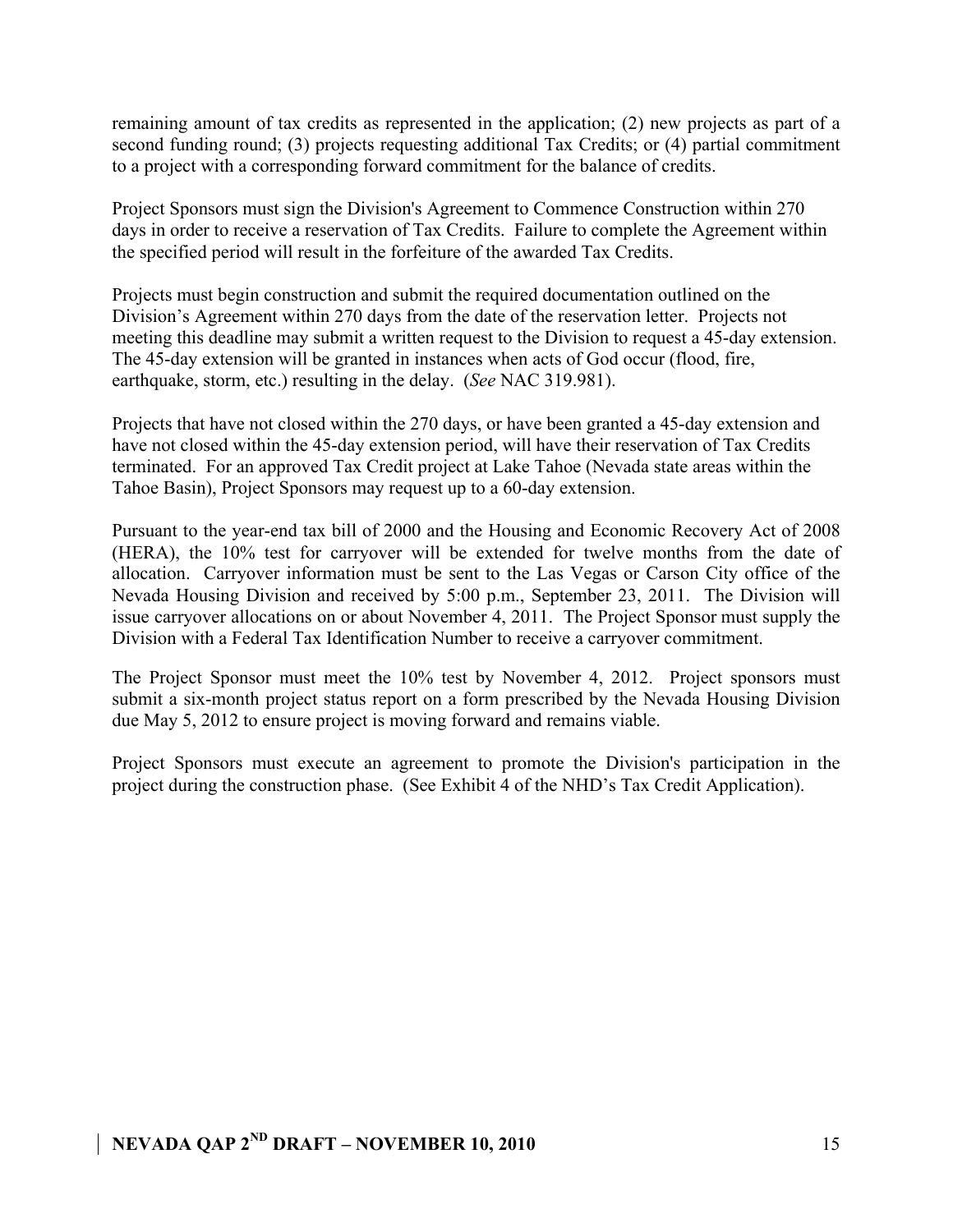remaining amount of tax credits as represented in the application; (2) new projects as part of a second funding round; (3) projects requesting additional Tax Credits; or (4) partial commitment to a project with a corresponding forward commitment for the balance of credits.

Project Sponsors must sign the Division's Agreement to Commence Construction within 270 days in order to receive a reservation of Tax Credits. Failure to complete the Agreement within the specified period will result in the forfeiture of the awarded Tax Credits.

Projects must begin construction and submit the required documentation outlined on the Division's Agreement within 270 days from the date of the reservation letter. Projects not meeting this deadline may submit a written request to the Division to request a 45-day extension. The 45-day extension will be granted in instances when acts of God occur (flood, fire, earthquake, storm, etc.) resulting in the delay. (*See* NAC 319.981).

Projects that have not closed within the 270 days, or have been granted a 45-day extension and have not closed within the 45-day extension period, will have their reservation of Tax Credits terminated. For an approved Tax Credit project at Lake Tahoe (Nevada state areas within the Tahoe Basin), Project Sponsors may request up to a 60-day extension.

Pursuant to the year-end tax bill of 2000 and the Housing and Economic Recovery Act of 2008 (HERA), the 10% test for carryover will be extended for twelve months from the date of allocation. Carryover information must be sent to the Las Vegas or Carson City office of the Nevada Housing Division and received by 5:00 p.m., September 23, 2011. The Division will issue carryover allocations on or about November 4, 2011. The Project Sponsor must supply the Division with a Federal Tax Identification Number to receive a carryover commitment.

The Project Sponsor must meet the 10% test by November 4, 2012. Project sponsors must submit a six-month project status report on a form prescribed by the Nevada Housing Division due May 5, 2012 to ensure project is moving forward and remains viable.

Project Sponsors must execute an agreement to promote the Division's participation in the project during the construction phase. (See Exhibit 4 of the NHD's Tax Credit Application).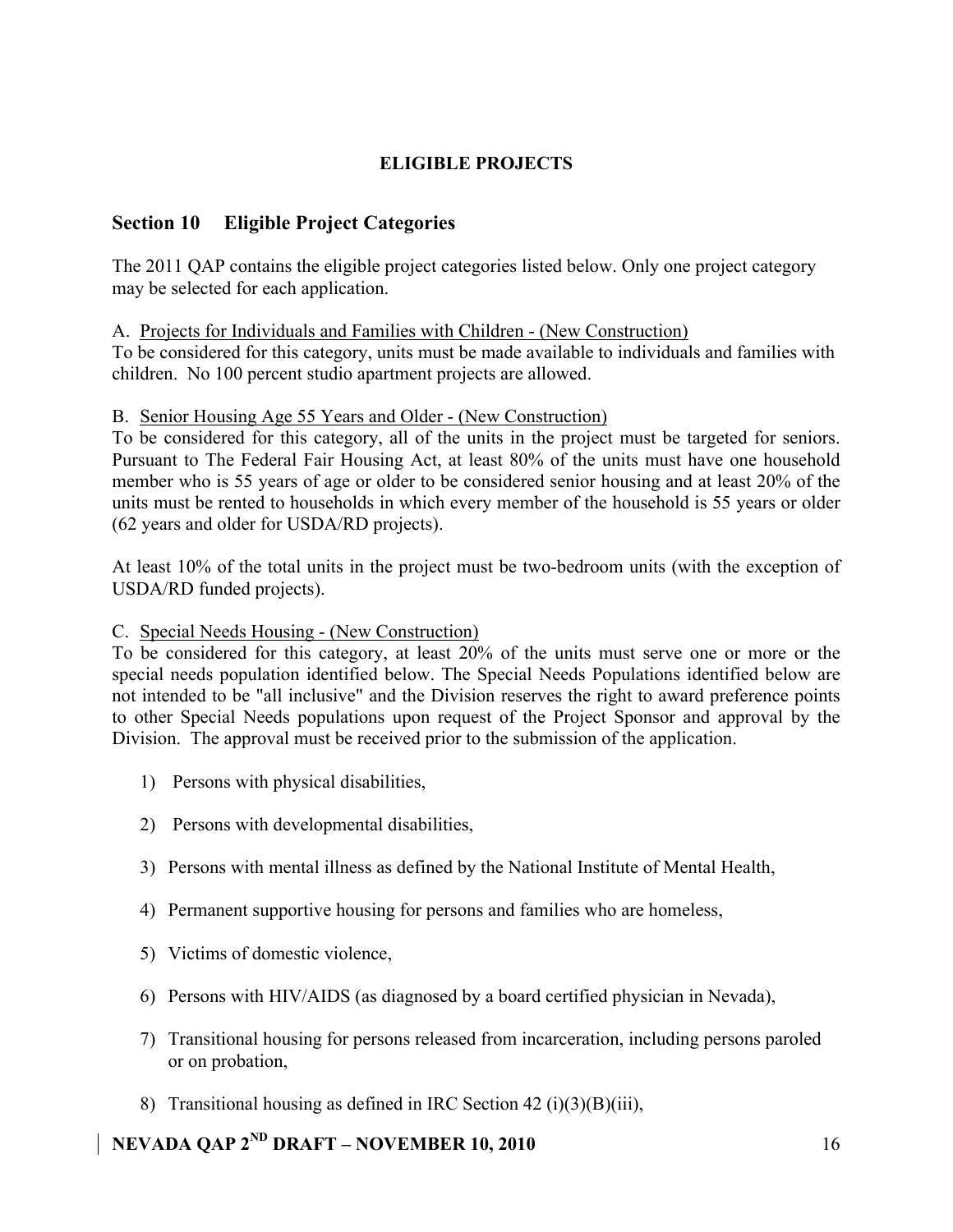## **ELIGIBLE PROJECTS**

### **Section 10 Eligible Project Categories**

The 2011 QAP contains the eligible project categories listed below. Only one project category may be selected for each application.

### A. Projects for Individuals and Families with Children - (New Construction)

To be considered for this category, units must be made available to individuals and families with children. No 100 percent studio apartment projects are allowed.

### B. Senior Housing Age 55 Years and Older - (New Construction)

To be considered for this category, all of the units in the project must be targeted for seniors. Pursuant to The Federal Fair Housing Act, at least 80% of the units must have one household member who is 55 years of age or older to be considered senior housing and at least 20% of the units must be rented to households in which every member of the household is 55 years or older (62 years and older for USDA/RD projects).

At least 10% of the total units in the project must be two-bedroom units (with the exception of USDA/RD funded projects).

### C. Special Needs Housing - (New Construction)

To be considered for this category, at least 20% of the units must serve one or more or the special needs population identified below. The Special Needs Populations identified below are not intended to be "all inclusive" and the Division reserves the right to award preference points to other Special Needs populations upon request of the Project Sponsor and approval by the Division. The approval must be received prior to the submission of the application.

- 1) Persons with physical disabilities,
- 2) Persons with developmental disabilities,
- 3) Persons with mental illness as defined by the National Institute of Mental Health,
- 4) Permanent supportive housing for persons and families who are homeless,
- 5) Victims of domestic violence,
- 6) Persons with HIV/AIDS (as diagnosed by a board certified physician in Nevada),
- 7) Transitional housing for persons released from incarceration, including persons paroled or on probation,
- 8) Transitional housing as defined in IRC Section 42 (i)(3)(B)(iii),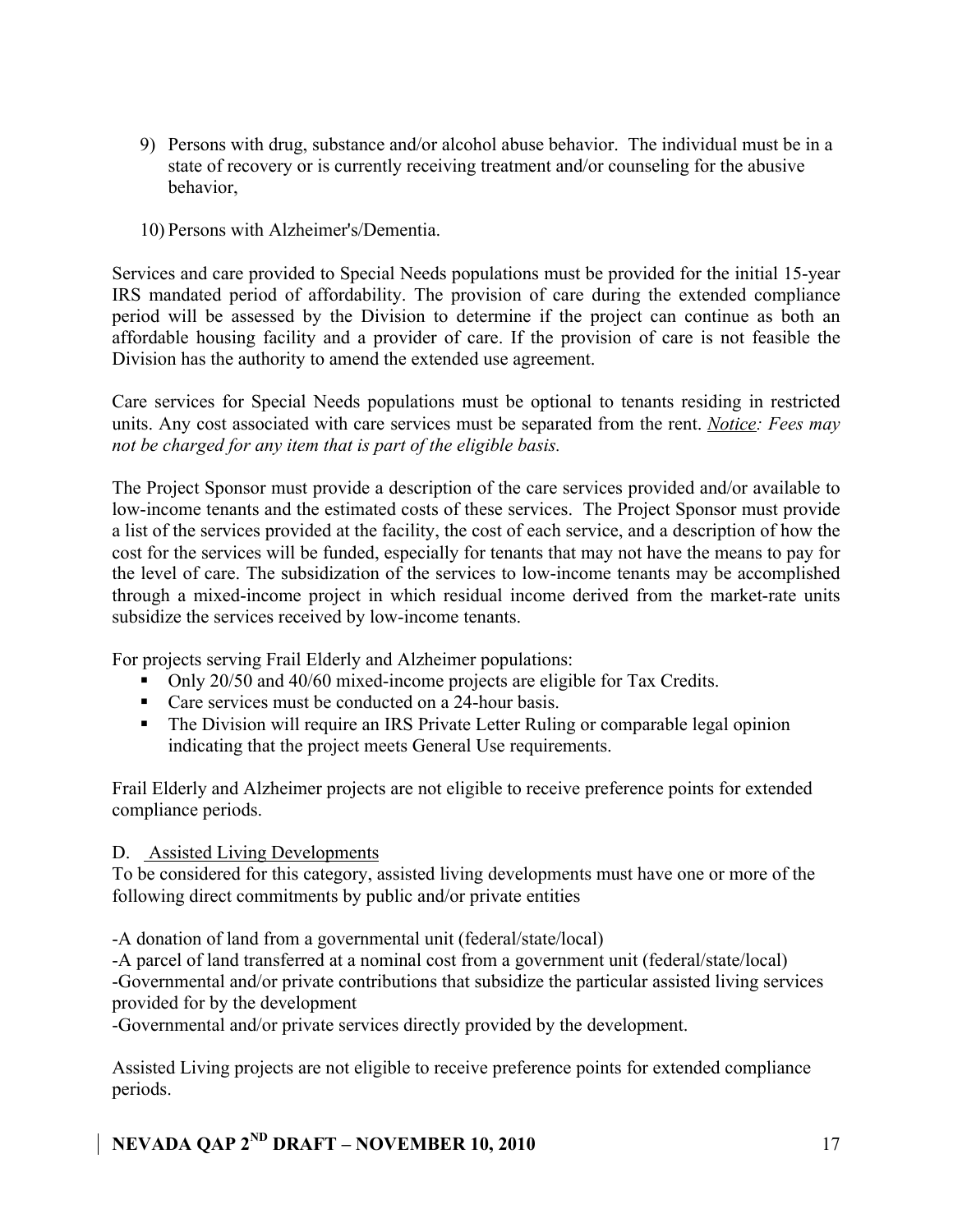- 9) Persons with drug, substance and/or alcohol abuse behavior. The individual must be in a state of recovery or is currently receiving treatment and/or counseling for the abusive behavior,
- 10) Persons with Alzheimer's/Dementia.

Services and care provided to Special Needs populations must be provided for the initial 15-year IRS mandated period of affordability. The provision of care during the extended compliance period will be assessed by the Division to determine if the project can continue as both an affordable housing facility and a provider of care. If the provision of care is not feasible the Division has the authority to amend the extended use agreement.

Care services for Special Needs populations must be optional to tenants residing in restricted units. Any cost associated with care services must be separated from the rent. *Notice: Fees may not be charged for any item that is part of the eligible basis.* 

The Project Sponsor must provide a description of the care services provided and/or available to low-income tenants and the estimated costs of these services. The Project Sponsor must provide a list of the services provided at the facility, the cost of each service, and a description of how the cost for the services will be funded, especially for tenants that may not have the means to pay for the level of care. The subsidization of the services to low-income tenants may be accomplished through a mixed-income project in which residual income derived from the market-rate units subsidize the services received by low-income tenants.

For projects serving Frail Elderly and Alzheimer populations:

- Only 20/50 and 40/60 mixed-income projects are eligible for Tax Credits.
- **Care services must be conducted on a 24-hour basis.**
- The Division will require an IRS Private Letter Ruling or comparable legal opinion indicating that the project meets General Use requirements.

Frail Elderly and Alzheimer projects are not eligible to receive preference points for extended compliance periods.

### D. Assisted Living Developments

To be considered for this category, assisted living developments must have one or more of the following direct commitments by public and/or private entities

-A donation of land from a governmental unit (federal/state/local)

-A parcel of land transferred at a nominal cost from a government unit (federal/state/local) -Governmental and/or private contributions that subsidize the particular assisted living services provided for by the development

-Governmental and/or private services directly provided by the development.

Assisted Living projects are not eligible to receive preference points for extended compliance periods.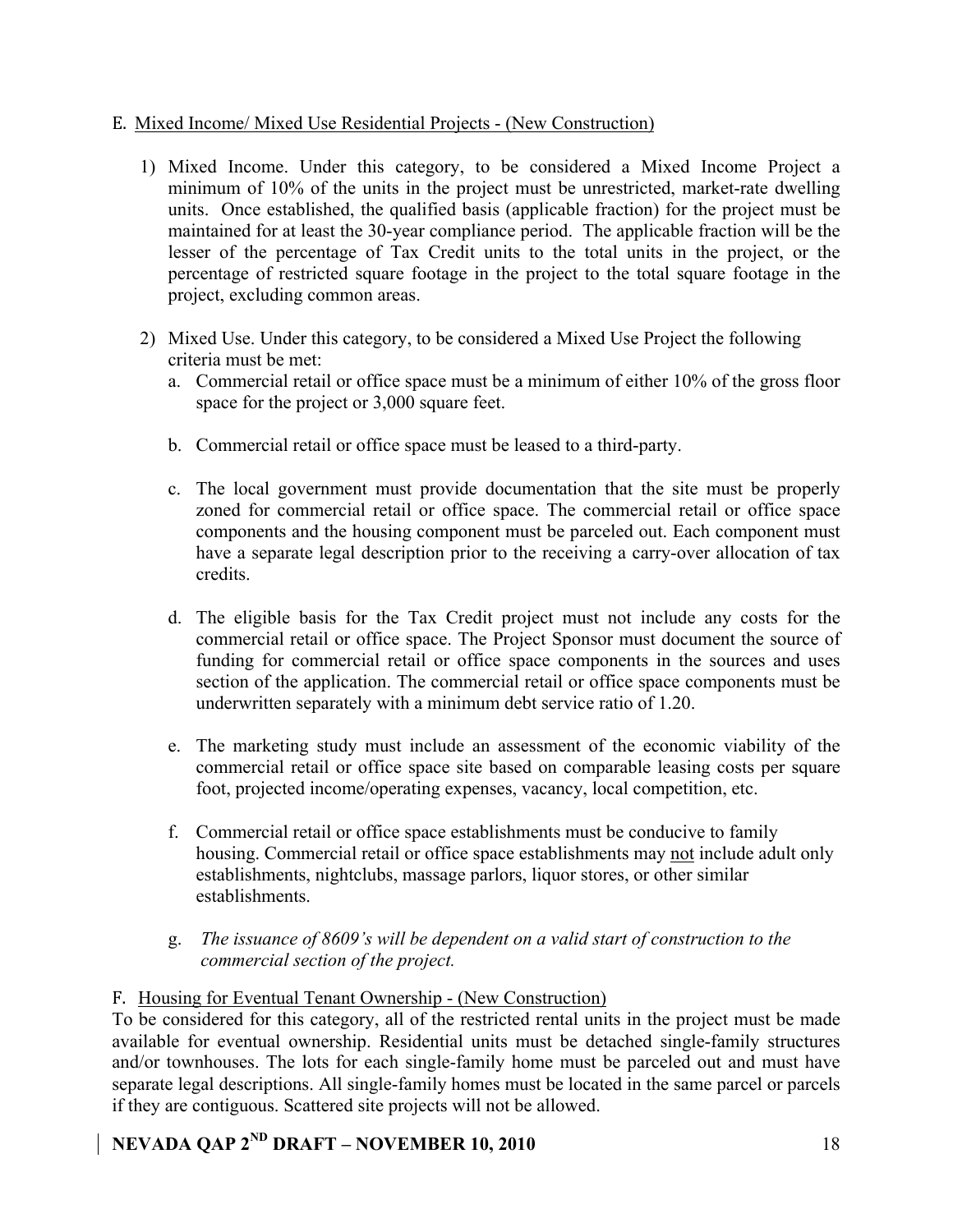### E. Mixed Income/ Mixed Use Residential Projects - (New Construction)

- 1) Mixed Income. Under this category, to be considered a Mixed Income Project a minimum of 10% of the units in the project must be unrestricted, market-rate dwelling units. Once established, the qualified basis (applicable fraction) for the project must be maintained for at least the 30-year compliance period. The applicable fraction will be the lesser of the percentage of Tax Credit units to the total units in the project, or the percentage of restricted square footage in the project to the total square footage in the project, excluding common areas.
- 2) Mixed Use. Under this category, to be considered a Mixed Use Project the following criteria must be met:
	- a. Commercial retail or office space must be a minimum of either 10% of the gross floor space for the project or 3,000 square feet.
	- b. Commercial retail or office space must be leased to a third-party.
	- c. The local government must provide documentation that the site must be properly zoned for commercial retail or office space. The commercial retail or office space components and the housing component must be parceled out. Each component must have a separate legal description prior to the receiving a carry-over allocation of tax credits.
	- d. The eligible basis for the Tax Credit project must not include any costs for the commercial retail or office space. The Project Sponsor must document the source of funding for commercial retail or office space components in the sources and uses section of the application. The commercial retail or office space components must be underwritten separately with a minimum debt service ratio of 1.20.
	- e. The marketing study must include an assessment of the economic viability of the commercial retail or office space site based on comparable leasing costs per square foot, projected income/operating expenses, vacancy, local competition, etc.
	- f. Commercial retail or office space establishments must be conducive to family housing. Commercial retail or office space establishments may not include adult only establishments, nightclubs, massage parlors, liquor stores, or other similar establishments.
	- g. *The issuance of 8609's will be dependent on a valid start of construction to the commercial section of the project.*

### F. Housing for Eventual Tenant Ownership - (New Construction)

To be considered for this category, all of the restricted rental units in the project must be made available for eventual ownership. Residential units must be detached single-family structures and/or townhouses. The lots for each single-family home must be parceled out and must have separate legal descriptions. All single-family homes must be located in the same parcel or parcels if they are contiguous. Scattered site projects will not be allowed.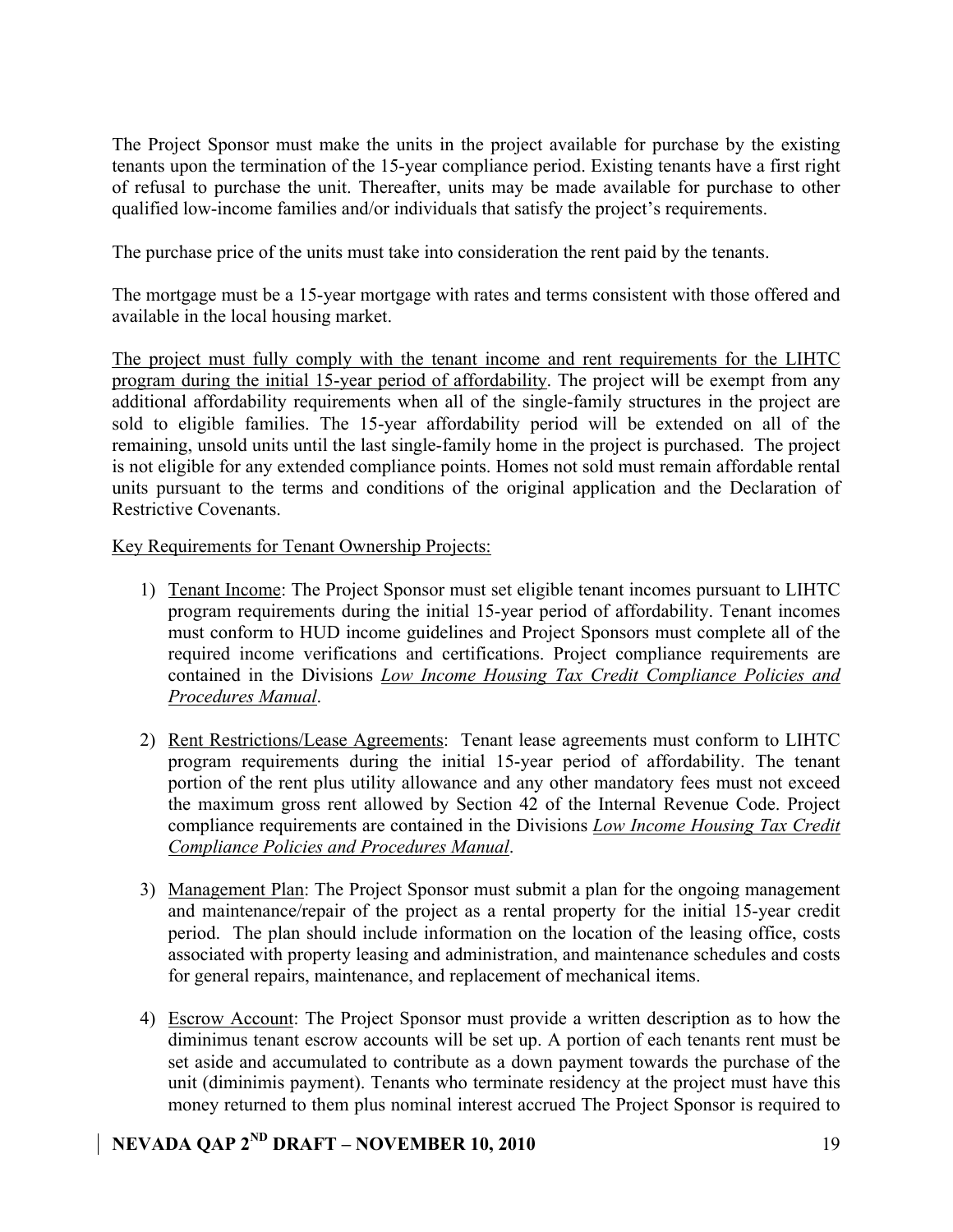The Project Sponsor must make the units in the project available for purchase by the existing tenants upon the termination of the 15-year compliance period. Existing tenants have a first right of refusal to purchase the unit. Thereafter, units may be made available for purchase to other qualified low-income families and/or individuals that satisfy the project's requirements.

The purchase price of the units must take into consideration the rent paid by the tenants.

The mortgage must be a 15-year mortgage with rates and terms consistent with those offered and available in the local housing market.

The project must fully comply with the tenant income and rent requirements for the LIHTC program during the initial 15-year period of affordability. The project will be exempt from any additional affordability requirements when all of the single-family structures in the project are sold to eligible families. The 15-year affordability period will be extended on all of the remaining, unsold units until the last single-family home in the project is purchased. The project is not eligible for any extended compliance points. Homes not sold must remain affordable rental units pursuant to the terms and conditions of the original application and the Declaration of Restrictive Covenants.

Key Requirements for Tenant Ownership Projects:

- 1) Tenant Income: The Project Sponsor must set eligible tenant incomes pursuant to LIHTC program requirements during the initial 15-year period of affordability. Tenant incomes must conform to HUD income guidelines and Project Sponsors must complete all of the required income verifications and certifications. Project compliance requirements are contained in the Divisions *Low Income Housing Tax Credit Compliance Policies and Procedures Manual*.
- 2) Rent Restrictions/Lease Agreements: Tenant lease agreements must conform to LIHTC program requirements during the initial 15-year period of affordability. The tenant portion of the rent plus utility allowance and any other mandatory fees must not exceed the maximum gross rent allowed by Section 42 of the Internal Revenue Code. Project compliance requirements are contained in the Divisions *Low Income Housing Tax Credit Compliance Policies and Procedures Manual*.
- 3) Management Plan: The Project Sponsor must submit a plan for the ongoing management and maintenance/repair of the project as a rental property for the initial 15-year credit period. The plan should include information on the location of the leasing office, costs associated with property leasing and administration, and maintenance schedules and costs for general repairs, maintenance, and replacement of mechanical items.
- 4) Escrow Account: The Project Sponsor must provide a written description as to how the diminimus tenant escrow accounts will be set up. A portion of each tenants rent must be set aside and accumulated to contribute as a down payment towards the purchase of the unit (diminimis payment). Tenants who terminate residency at the project must have this money returned to them plus nominal interest accrued The Project Sponsor is required to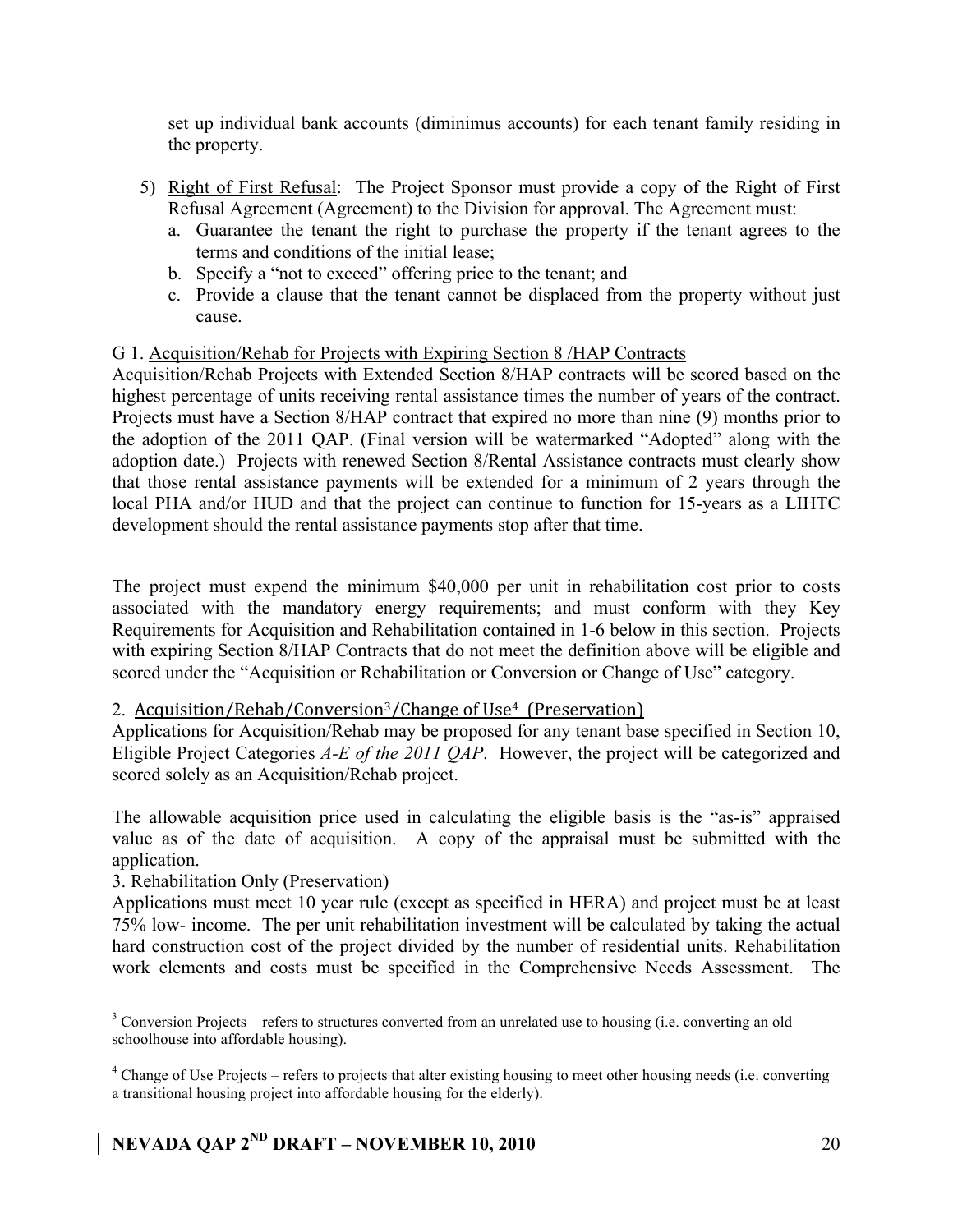set up individual bank accounts (diminimus accounts) for each tenant family residing in the property.

- 5) Right of First Refusal: The Project Sponsor must provide a copy of the Right of First Refusal Agreement (Agreement) to the Division for approval. The Agreement must:
	- a. Guarantee the tenant the right to purchase the property if the tenant agrees to the terms and conditions of the initial lease;
	- b. Specify a "not to exceed" offering price to the tenant; and
	- c. Provide a clause that the tenant cannot be displaced from the property without just cause.

### G 1. Acquisition/Rehab for Projects with Expiring Section 8 /HAP Contracts

Acquisition/Rehab Projects with Extended Section 8/HAP contracts will be scored based on the highest percentage of units receiving rental assistance times the number of years of the contract. Projects must have a Section 8/HAP contract that expired no more than nine (9) months prior to the adoption of the 2011 QAP. (Final version will be watermarked "Adopted" along with the adoption date.) Projects with renewed Section 8/Rental Assistance contracts must clearly show that those rental assistance payments will be extended for a minimum of 2 years through the local PHA and/or HUD and that the project can continue to function for 15-years as a LIHTC development should the rental assistance payments stop after that time.

The project must expend the minimum \$40,000 per unit in rehabilitation cost prior to costs associated with the mandatory energy requirements; and must conform with they Key Requirements for Acquisition and Rehabilitation contained in 1-6 below in this section. Projects with expiring Section 8/HAP Contracts that do not meet the definition above will be eligible and scored under the "Acquisition or Rehabilitation or Conversion or Change of Use" category.

### 2. Acquisition/Rehab/Conversion<sup>3</sup>/Change of Use<sup>4</sup> (Preservation)

Applications for Acquisition/Rehab may be proposed for any tenant base specified in Section 10, Eligible Project Categories *A-E of the 2011 QAP*. However, the project will be categorized and scored solely as an Acquisition/Rehab project.

The allowable acquisition price used in calculating the eligible basis is the "as-is" appraised value as of the date of acquisition. A copy of the appraisal must be submitted with the application.

### 3. Rehabilitation Only (Preservation)

Applications must meet 10 year rule (except as specified in HERA) and project must be at least 75% low- income. The per unit rehabilitation investment will be calculated by taking the actual hard construction cost of the project divided by the number of residential units. Rehabilitation work elements and costs must be specified in the Comprehensive Needs Assessment. The

 <sup>3</sup>  $3$  Conversion Projects – refers to structures converted from an unrelated use to housing (i.e. converting an old schoolhouse into affordable housing).

 $4$  Change of Use Projects – refers to projects that alter existing housing to meet other housing needs (i.e. converting a transitional housing project into affordable housing for the elderly).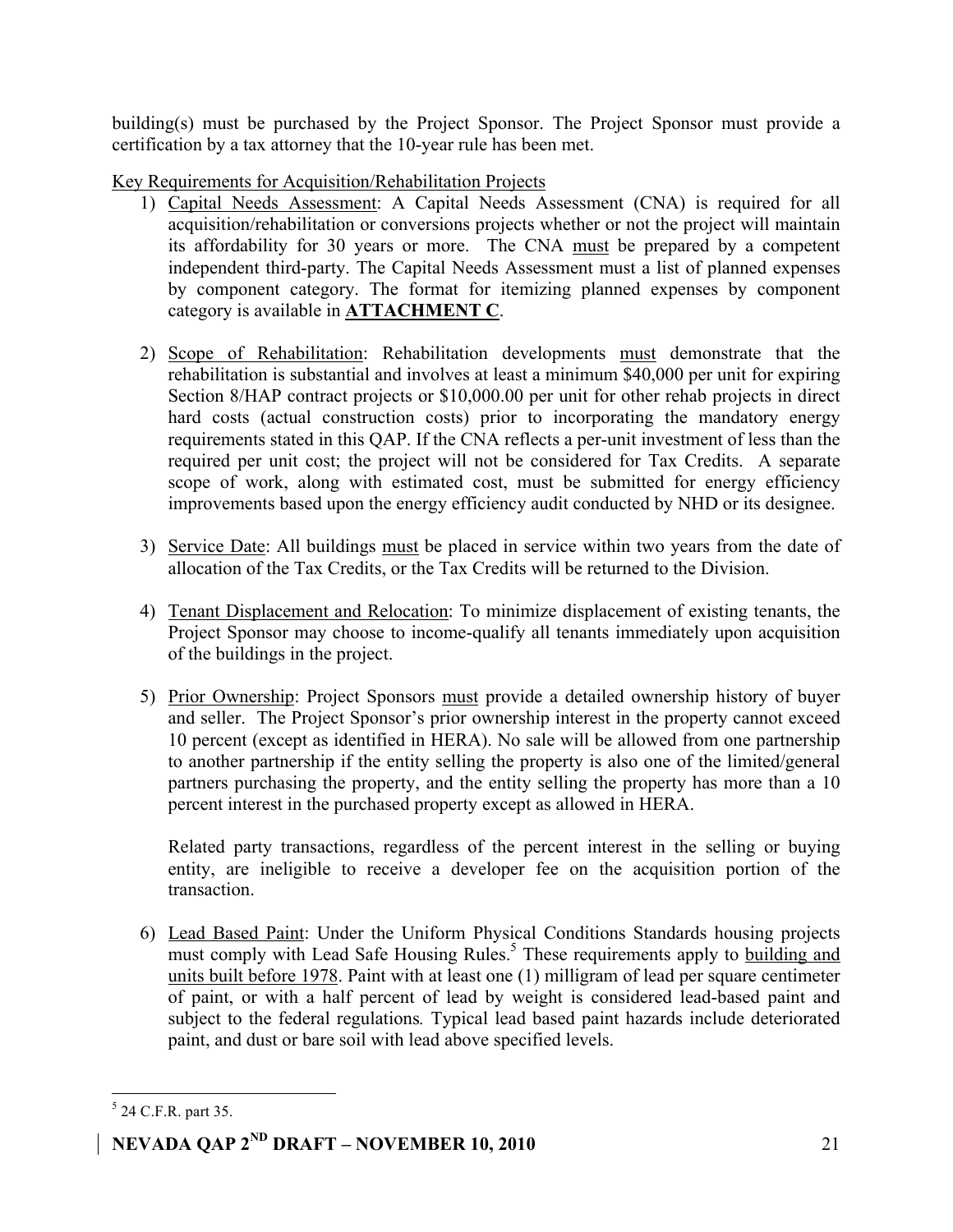building(s) must be purchased by the Project Sponsor. The Project Sponsor must provide a certification by a tax attorney that the 10-year rule has been met.

Key Requirements for Acquisition/Rehabilitation Projects

- 1) Capital Needs Assessment: A Capital Needs Assessment (CNA) is required for all acquisition/rehabilitation or conversions projects whether or not the project will maintain its affordability for 30 years or more. The CNA must be prepared by a competent independent third-party. The Capital Needs Assessment must a list of planned expenses by component category. The format for itemizing planned expenses by component category is available in **ATTACHMENT C**.
- 2) Scope of Rehabilitation: Rehabilitation developments must demonstrate that the rehabilitation is substantial and involves at least a minimum \$40,000 per unit for expiring Section 8/HAP contract projects or \$10,000.00 per unit for other rehab projects in direct hard costs (actual construction costs) prior to incorporating the mandatory energy requirements stated in this QAP. If the CNA reflects a per-unit investment of less than the required per unit cost; the project will not be considered for Tax Credits. A separate scope of work, along with estimated cost, must be submitted for energy efficiency improvements based upon the energy efficiency audit conducted by NHD or its designee.
- 3) Service Date: All buildings must be placed in service within two years from the date of allocation of the Tax Credits, or the Tax Credits will be returned to the Division.
- 4) Tenant Displacement and Relocation: To minimize displacement of existing tenants, the Project Sponsor may choose to income-qualify all tenants immediately upon acquisition of the buildings in the project.
- 5) Prior Ownership: Project Sponsors must provide a detailed ownership history of buyer and seller. The Project Sponsor's prior ownership interest in the property cannot exceed 10 percent (except as identified in HERA). No sale will be allowed from one partnership to another partnership if the entity selling the property is also one of the limited/general partners purchasing the property, and the entity selling the property has more than a 10 percent interest in the purchased property except as allowed in HERA.

Related party transactions, regardless of the percent interest in the selling or buying entity, are ineligible to receive a developer fee on the acquisition portion of the transaction.

6) Lead Based Paint: Under the Uniform Physical Conditions Standards housing projects must comply with Lead Safe Housing Rules.<sup>5</sup> These requirements apply to **building and** units built before 1978. Paint with at least one (1) milligram of lead per square centimeter of paint, or with a half percent of lead by weight is considered lead-based paint and subject to the federal regulations*.* Typical lead based paint hazards include deteriorated paint, and dust or bare soil with lead above specified levels.

 <sup>5</sup>  $5$  24 C.F.R. part 35.

**NEVADA QAP 2ND DRAFT – NOVEMBER 10, 2010** 21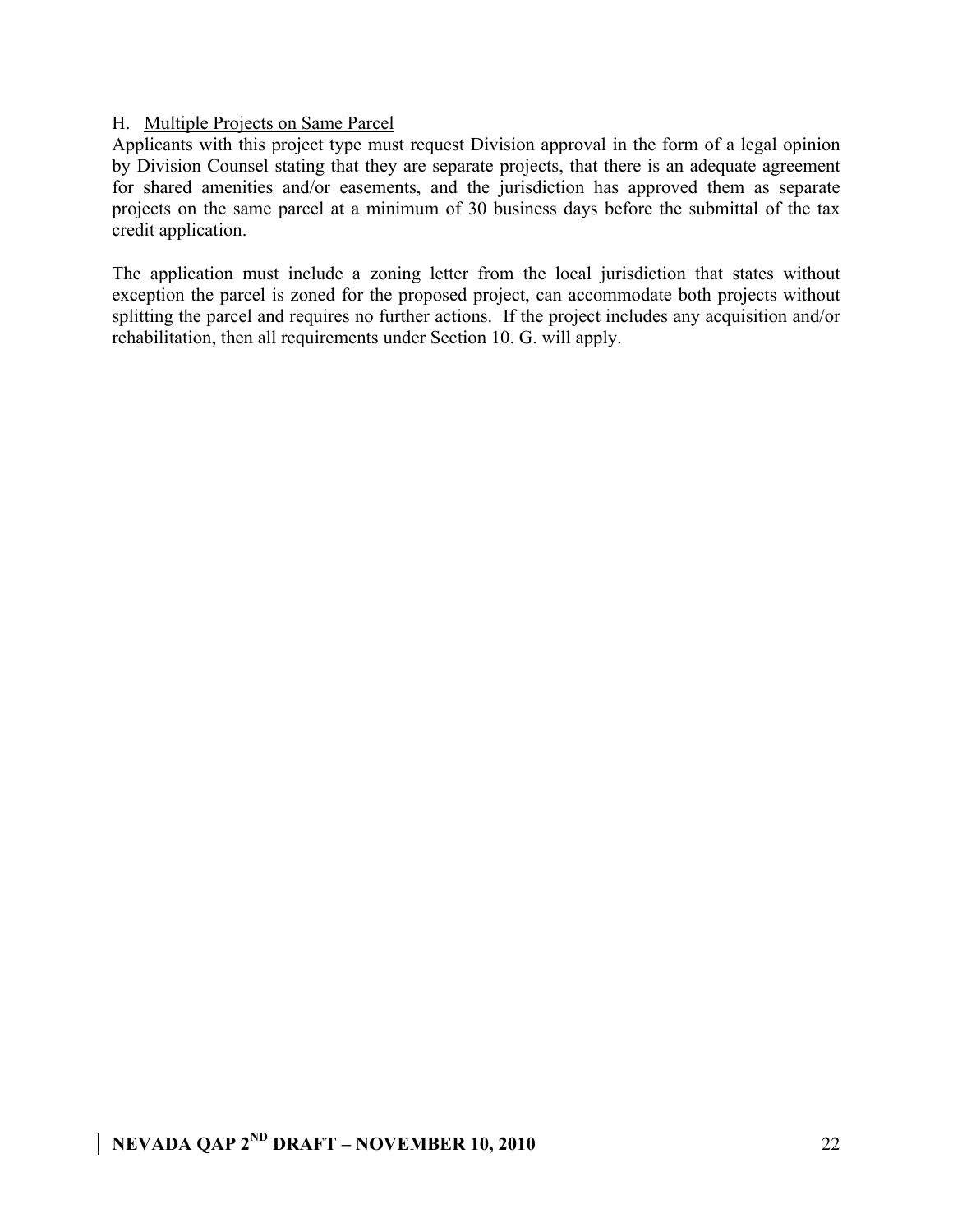### H. Multiple Projects on Same Parcel

Applicants with this project type must request Division approval in the form of a legal opinion by Division Counsel stating that they are separate projects, that there is an adequate agreement for shared amenities and/or easements, and the jurisdiction has approved them as separate projects on the same parcel at a minimum of 30 business days before the submittal of the tax credit application.

The application must include a zoning letter from the local jurisdiction that states without exception the parcel is zoned for the proposed project, can accommodate both projects without splitting the parcel and requires no further actions. If the project includes any acquisition and/or rehabilitation, then all requirements under Section 10. G. will apply.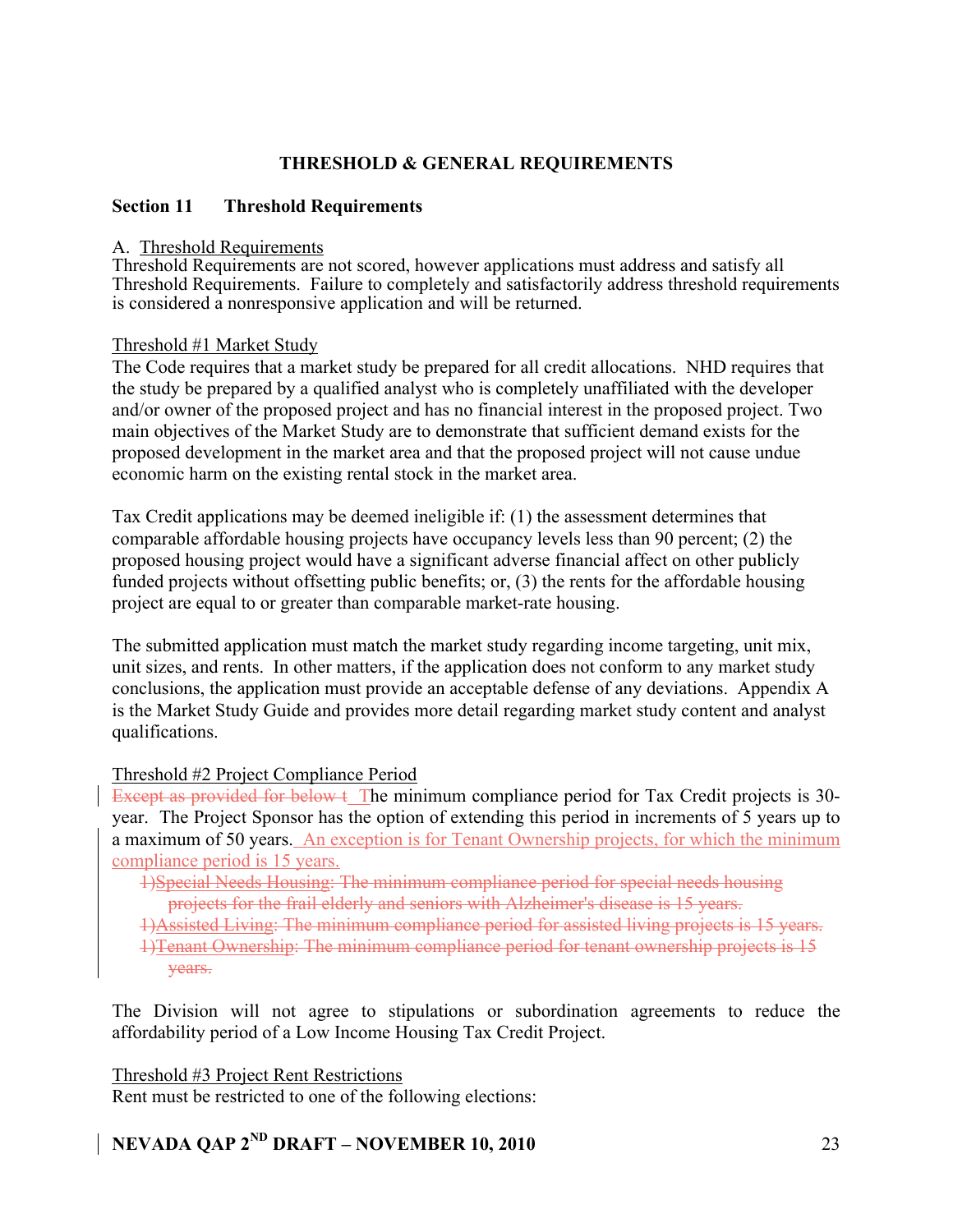### **THRESHOLD & GENERAL REQUIREMENTS**

### **Section 11 Threshold Requirements**

#### A. Threshold Requirements

Threshold Requirements are not scored, however applications must address and satisfy all Threshold Requirements. Failure to completely and satisfactorily address threshold requirements is considered a nonresponsive application and will be returned.

### Threshold #1 Market Study

The Code requires that a market study be prepared for all credit allocations. NHD requires that the study be prepared by a qualified analyst who is completely unaffiliated with the developer and/or owner of the proposed project and has no financial interest in the proposed project. Two main objectives of the Market Study are to demonstrate that sufficient demand exists for the proposed development in the market area and that the proposed project will not cause undue economic harm on the existing rental stock in the market area.

Tax Credit applications may be deemed ineligible if: (1) the assessment determines that comparable affordable housing projects have occupancy levels less than 90 percent; (2) the proposed housing project would have a significant adverse financial affect on other publicly funded projects without offsetting public benefits; or, (3) the rents for the affordable housing project are equal to or greater than comparable market-rate housing.

The submitted application must match the market study regarding income targeting, unit mix, unit sizes, and rents. In other matters, if the application does not conform to any market study conclusions, the application must provide an acceptable defense of any deviations. Appendix A is the Market Study Guide and provides more detail regarding market study content and analyst qualifications.

### Threshold #2 Project Compliance Period

Except as provided for below t The minimum compliance period for Tax Credit projects is 30year. The Project Sponsor has the option of extending this period in increments of 5 years up to a maximum of 50 years. An exception is for Tenant Ownership projects, for which the minimum compliance period is 15 years.

- 1)Special Needs Housing: The minimum compliance period for special needs housing projects for the frail elderly and seniors with Alzheimer's disease is 15 years.
- 1)Assisted Living: The minimum compliance period for assisted living projects is 15 years.
- 1)Tenant Ownership: The minimum compliance period for tenant ownership projects is 15 years.

The Division will not agree to stipulations or subordination agreements to reduce the affordability period of a Low Income Housing Tax Credit Project.

### Threshold #3 Project Rent Restrictions

Rent must be restricted to one of the following elections: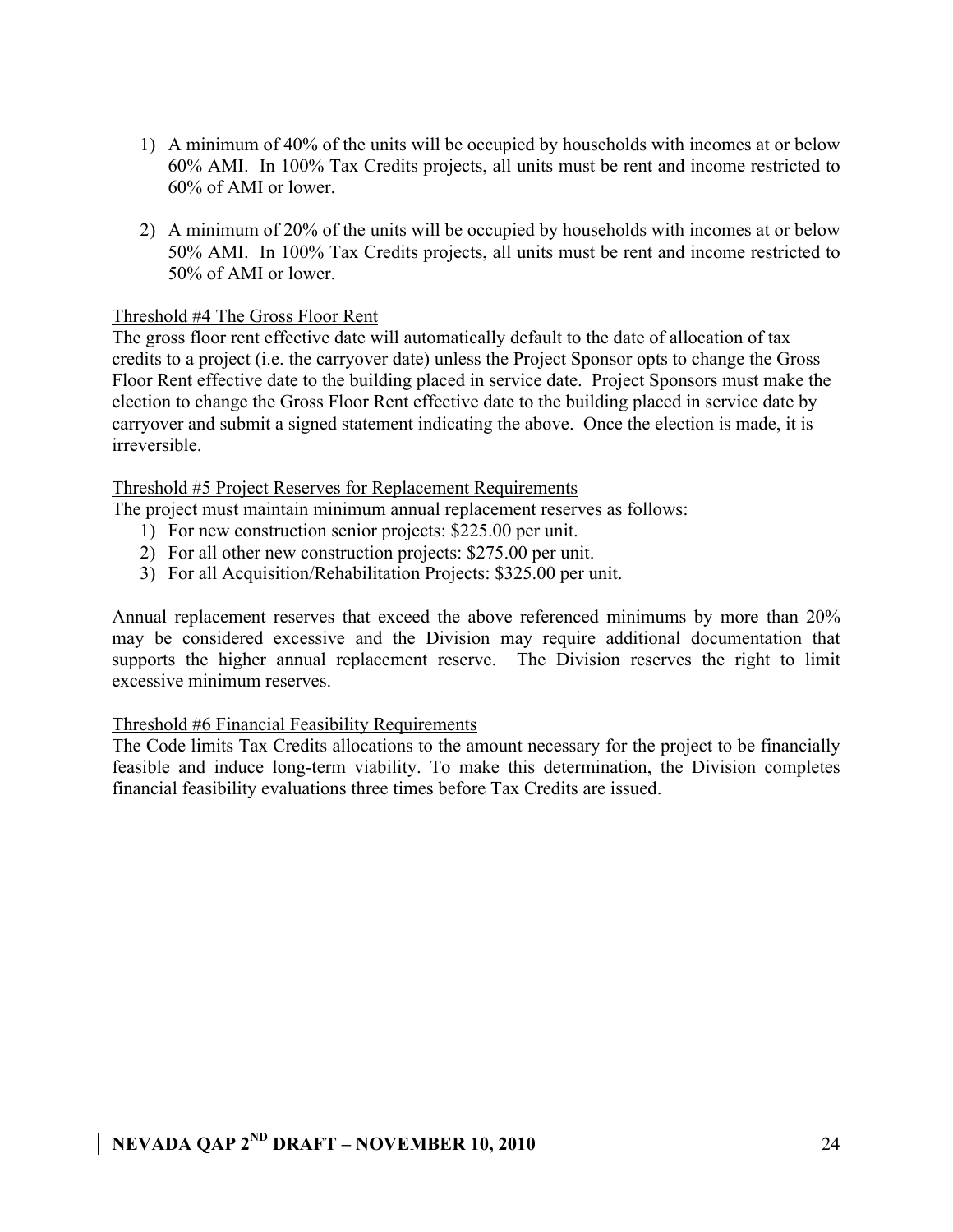- 1) A minimum of 40% of the units will be occupied by households with incomes at or below 60% AMI. In 100% Tax Credits projects, all units must be rent and income restricted to 60% of AMI or lower.
- 2) A minimum of 20% of the units will be occupied by households with incomes at or below 50% AMI. In 100% Tax Credits projects, all units must be rent and income restricted to 50% of AMI or lower.

### Threshold #4 The Gross Floor Rent

The gross floor rent effective date will automatically default to the date of allocation of tax credits to a project (i.e. the carryover date) unless the Project Sponsor opts to change the Gross Floor Rent effective date to the building placed in service date. Project Sponsors must make the election to change the Gross Floor Rent effective date to the building placed in service date by carryover and submit a signed statement indicating the above. Once the election is made, it is irreversible.

### Threshold #5 Project Reserves for Replacement Requirements

The project must maintain minimum annual replacement reserves as follows:

- 1) For new construction senior projects: \$225.00 per unit.
- 2) For all other new construction projects: \$275.00 per unit.
- 3) For all Acquisition/Rehabilitation Projects: \$325.00 per unit.

Annual replacement reserves that exceed the above referenced minimums by more than 20% may be considered excessive and the Division may require additional documentation that supports the higher annual replacement reserve. The Division reserves the right to limit excessive minimum reserves.

### Threshold #6 Financial Feasibility Requirements

The Code limits Tax Credits allocations to the amount necessary for the project to be financially feasible and induce long-term viability. To make this determination, the Division completes financial feasibility evaluations three times before Tax Credits are issued.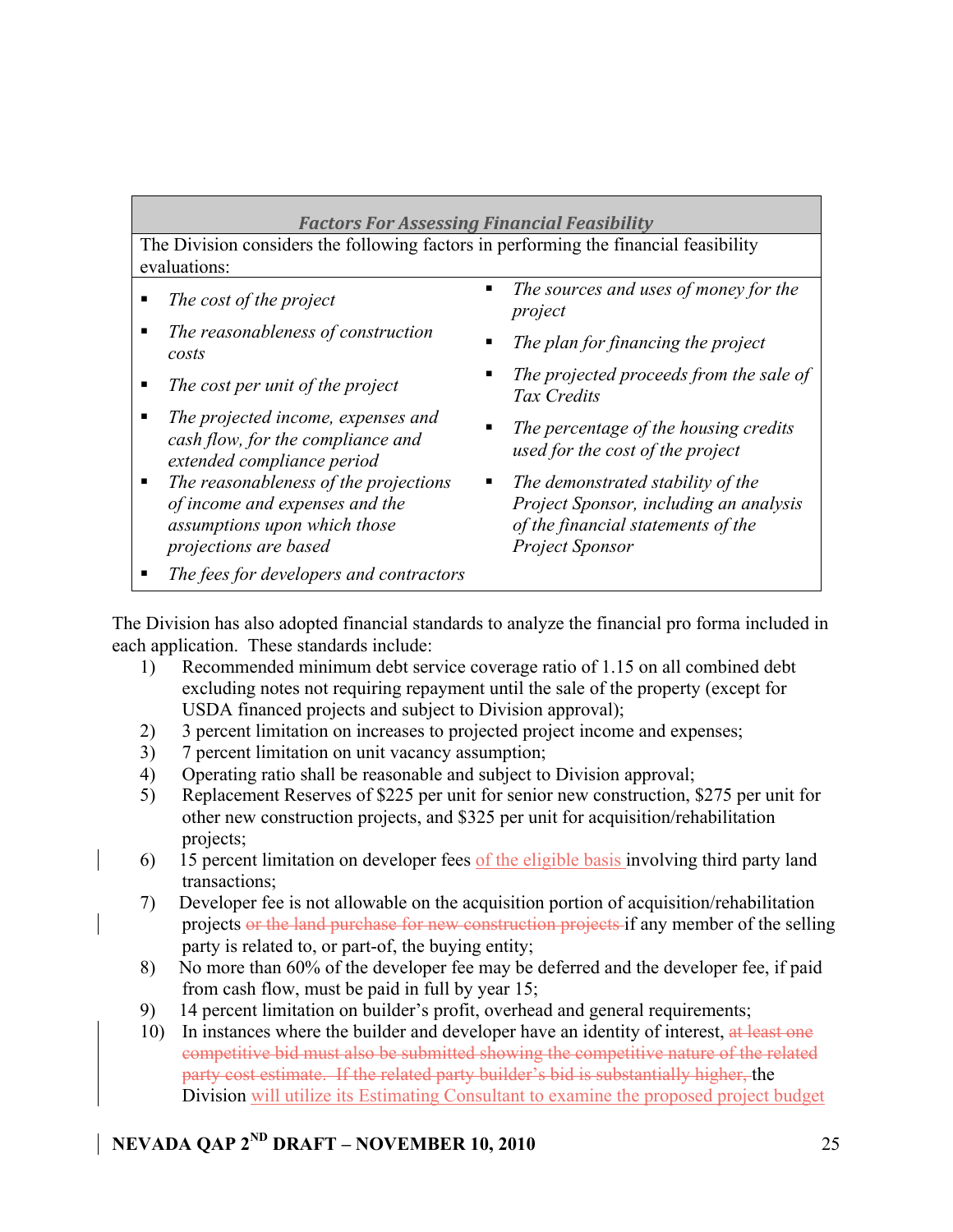### *Factors
For
Assessing
Financial
Feasibility*

The Division considers the following factors in performing the financial feasibility evaluations:

- 
- *The reasonableness of construction costs The plan for financing the project*
- 
- *The projected income, expenses and cash flow, for the compliance and extended compliance period*
- *The reasonableness of the projections of income and expenses and the assumptions upon which those projections are based*
- *The fees for developers and contractors*
- *The cost of the project The sources and uses of money for the project*
	-
- The cost per unit of the project **■** The projected proceeds from the sale of *Tax Credits*
	- *The percentage of the housing credits used for the cost of the project*
	- *The demonstrated stability of the Project Sponsor, including an analysis of the financial statements of the Project Sponsor*

The Division has also adopted financial standards to analyze the financial pro forma included in each application. These standards include:

- 1) Recommended minimum debt service coverage ratio of 1.15 on all combined debt excluding notes not requiring repayment until the sale of the property (except for USDA financed projects and subject to Division approval);
- 2) 3 percent limitation on increases to projected project income and expenses;
- 3) 7 percent limitation on unit vacancy assumption;
- 4) Operating ratio shall be reasonable and subject to Division approval;
- 5) Replacement Reserves of \$225 per unit for senior new construction, \$275 per unit for other new construction projects, and \$325 per unit for acquisition/rehabilitation projects;
- 6) 15 percent limitation on developer fees of the eligible basis involving third party land transactions;
- 7) Developer fee is not allowable on the acquisition portion of acquisition/rehabilitation projects or the land purchase for new construction projects if any member of the selling party is related to, or part-of, the buying entity;
- 8) No more than 60% of the developer fee may be deferred and the developer fee, if paid from cash flow, must be paid in full by year 15;
- 9) 14 percent limitation on builder's profit, overhead and general requirements;
- 10) In instances where the builder and developer have an identity of interest, at least one competitive bid must also be submitted showing the competitive nature of the related party cost estimate. If the related party builder's bid is substantially higher, the Division will utilize its Estimating Consultant to examine the proposed project budget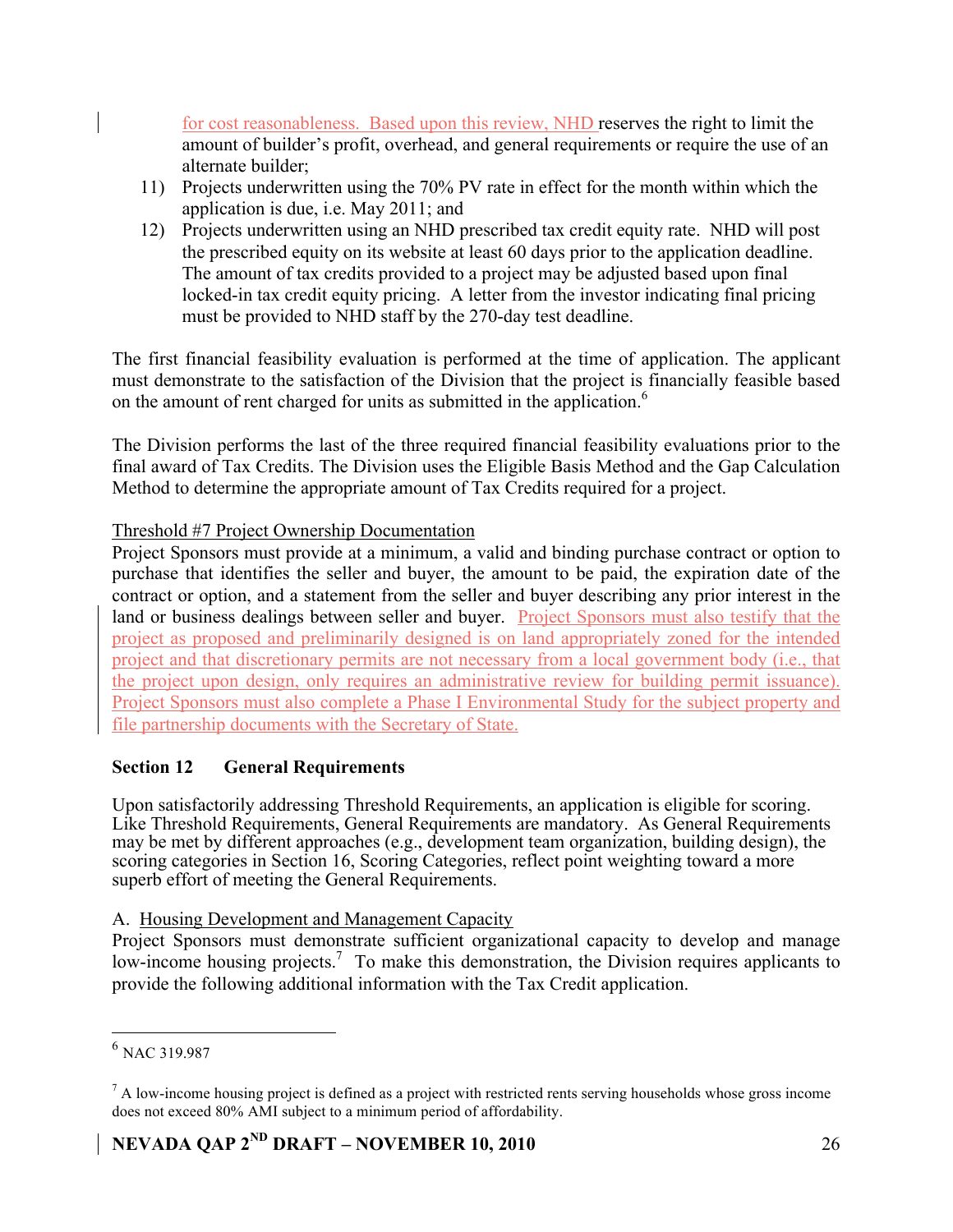for cost reasonableness. Based upon this review, NHD reserves the right to limit the amount of builder's profit, overhead, and general requirements or require the use of an alternate builder;

- 11) Projects underwritten using the 70% PV rate in effect for the month within which the application is due, i.e. May 2011; and
- 12) Projects underwritten using an NHD prescribed tax credit equity rate. NHD will post the prescribed equity on its website at least 60 days prior to the application deadline. The amount of tax credits provided to a project may be adjusted based upon final locked-in tax credit equity pricing. A letter from the investor indicating final pricing must be provided to NHD staff by the 270-day test deadline.

The first financial feasibility evaluation is performed at the time of application. The applicant must demonstrate to the satisfaction of the Division that the project is financially feasible based on the amount of rent charged for units as submitted in the application.<sup>6</sup>

The Division performs the last of the three required financial feasibility evaluations prior to the final award of Tax Credits. The Division uses the Eligible Basis Method and the Gap Calculation Method to determine the appropriate amount of Tax Credits required for a project.

### Threshold #7 Project Ownership Documentation

Project Sponsors must provide at a minimum, a valid and binding purchase contract or option to purchase that identifies the seller and buyer, the amount to be paid, the expiration date of the contract or option, and a statement from the seller and buyer describing any prior interest in the land or business dealings between seller and buyer. Project Sponsors must also testify that the project as proposed and preliminarily designed is on land appropriately zoned for the intended project and that discretionary permits are not necessary from a local government body (i.e., that the project upon design, only requires an administrative review for building permit issuance). Project Sponsors must also complete a Phase I Environmental Study for the subject property and file partnership documents with the Secretary of State.

### **Section 12 General Requirements**

Upon satisfactorily addressing Threshold Requirements, an application is eligible for scoring. Like Threshold Requirements, General Requirements are mandatory. As General Requirements may be met by different approaches (e.g., development team organization, building design), the scoring categories in Section 16, Scoring Categories, reflect point weighting toward a more superb effort of meeting the General Requirements.

### A. Housing Development and Management Capacity

Project Sponsors must demonstrate sufficient organizational capacity to develop and manage low-income housing projects.<sup>7</sup> To make this demonstration, the Division requires applicants to provide the following additional information with the Tax Credit application.

<sup>&</sup>lt;sup>6</sup> NAC 319.987

 $<sup>7</sup>$  A low-income housing project is defined as a project with restricted rents serving households whose gross income</sup> does not exceed 80% AMI subject to a minimum period of affordability.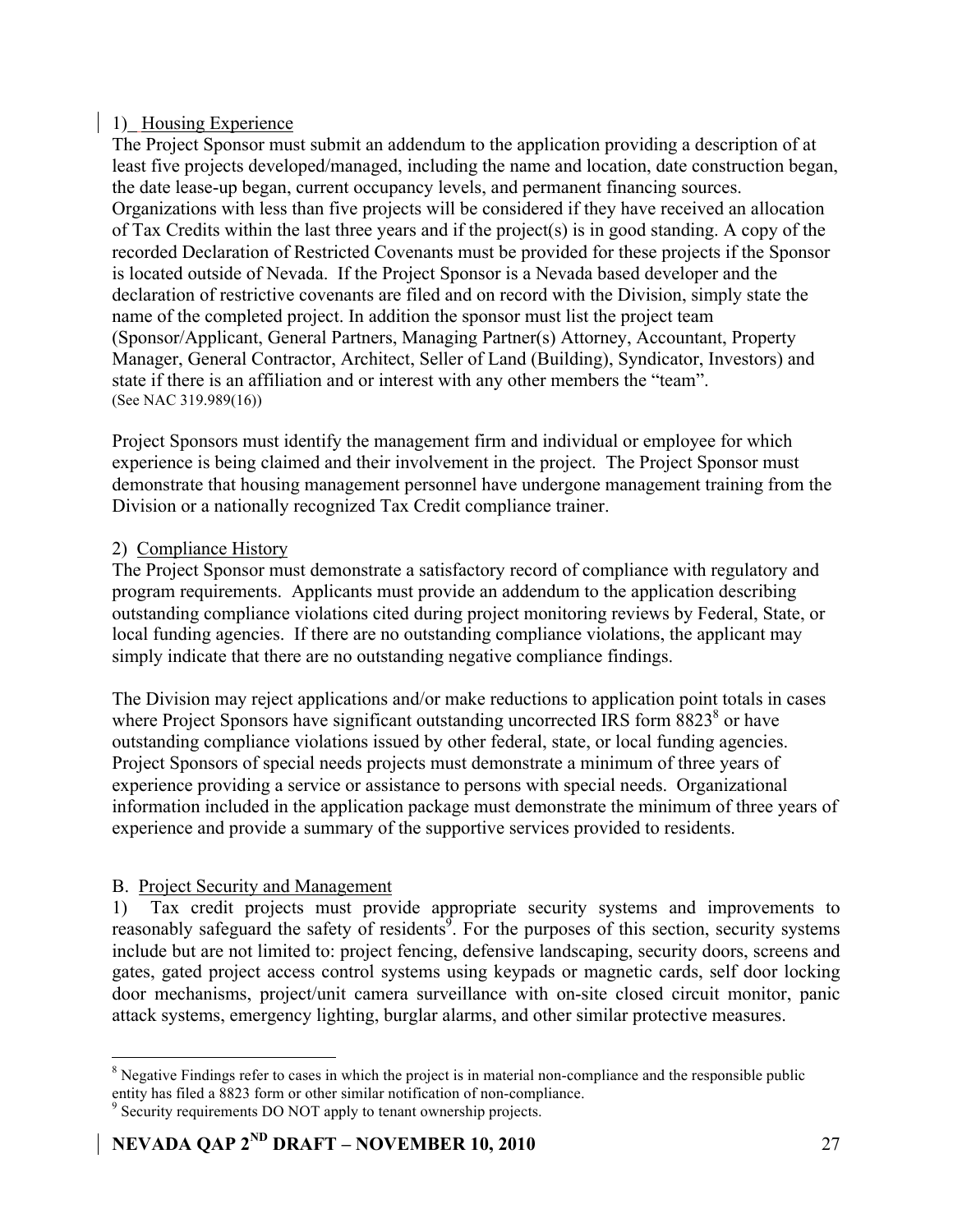### 1) Housing Experience

The Project Sponsor must submit an addendum to the application providing a description of at least five projects developed/managed, including the name and location, date construction began, the date lease-up began, current occupancy levels, and permanent financing sources. Organizations with less than five projects will be considered if they have received an allocation of Tax Credits within the last three years and if the project(s) is in good standing. A copy of the recorded Declaration of Restricted Covenants must be provided for these projects if the Sponsor is located outside of Nevada. If the Project Sponsor is a Nevada based developer and the declaration of restrictive covenants are filed and on record with the Division, simply state the name of the completed project. In addition the sponsor must list the project team (Sponsor/Applicant, General Partners, Managing Partner(s) Attorney, Accountant, Property Manager, General Contractor, Architect, Seller of Land (Building), Syndicator, Investors) and state if there is an affiliation and or interest with any other members the "team". (See NAC 319.989(16))

Project Sponsors must identify the management firm and individual or employee for which experience is being claimed and their involvement in the project. The Project Sponsor must demonstrate that housing management personnel have undergone management training from the Division or a nationally recognized Tax Credit compliance trainer.

### 2) Compliance History

The Project Sponsor must demonstrate a satisfactory record of compliance with regulatory and program requirements. Applicants must provide an addendum to the application describing outstanding compliance violations cited during project monitoring reviews by Federal, State, or local funding agencies. If there are no outstanding compliance violations, the applicant may simply indicate that there are no outstanding negative compliance findings.

The Division may reject applications and/or make reductions to application point totals in cases where Project Sponsors have significant outstanding uncorrected IRS form  $8823<sup>8</sup>$  or have outstanding compliance violations issued by other federal, state, or local funding agencies. Project Sponsors of special needs projects must demonstrate a minimum of three years of experience providing a service or assistance to persons with special needs. Organizational information included in the application package must demonstrate the minimum of three years of experience and provide a summary of the supportive services provided to residents.

### B. Project Security and Management

1) Tax credit projects must provide appropriate security systems and improvements to reasonably safeguard the safety of residents<sup>9</sup>. For the purposes of this section, security systems include but are not limited to: project fencing, defensive landscaping, security doors, screens and gates, gated project access control systems using keypads or magnetic cards, self door locking door mechanisms, project/unit camera surveillance with on-site closed circuit monitor, panic attack systems, emergency lighting, burglar alarms, and other similar protective measures.

 <sup>8</sup> <sup>8</sup> Negative Findings refer to cases in which the project is in material non-compliance and the responsible public entity has filed a 8823 form or other similar notification of non-compliance.

<sup>&</sup>lt;sup>9</sup> Security requirements DO NOT apply to tenant ownership projects.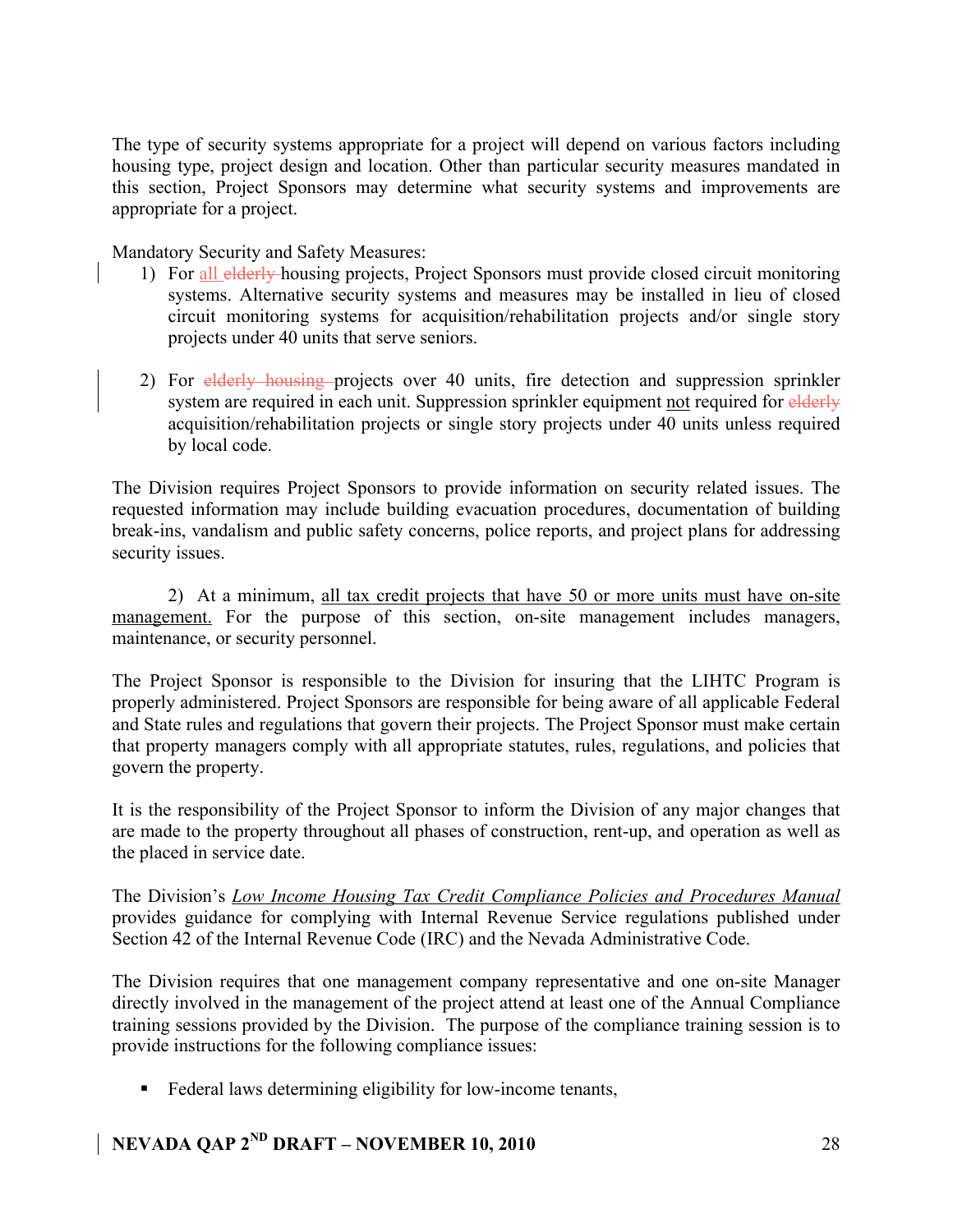The type of security systems appropriate for a project will depend on various factors including housing type, project design and location. Other than particular security measures mandated in this section, Project Sponsors may determine what security systems and improvements are appropriate for a project.

Mandatory Security and Safety Measures:

- 1) For all elderly housing projects, Project Sponsors must provide closed circuit monitoring systems. Alternative security systems and measures may be installed in lieu of closed circuit monitoring systems for acquisition/rehabilitation projects and/or single story projects under 40 units that serve seniors.
- 2) For elderly housing projects over 40 units, fire detection and suppression sprinkler system are required in each unit. Suppression sprinkler equipment not required for elderly acquisition/rehabilitation projects or single story projects under 40 units unless required by local code.

The Division requires Project Sponsors to provide information on security related issues. The requested information may include building evacuation procedures, documentation of building break-ins, vandalism and public safety concerns, police reports, and project plans for addressing security issues.

2) At a minimum, all tax credit projects that have 50 or more units must have on-site management. For the purpose of this section, on-site management includes managers, maintenance, or security personnel.

The Project Sponsor is responsible to the Division for insuring that the LIHTC Program is properly administered. Project Sponsors are responsible for being aware of all applicable Federal and State rules and regulations that govern their projects. The Project Sponsor must make certain that property managers comply with all appropriate statutes, rules, regulations, and policies that govern the property.

It is the responsibility of the Project Sponsor to inform the Division of any major changes that are made to the property throughout all phases of construction, rent-up, and operation as well as the placed in service date.

The Division's *Low Income Housing Tax Credit Compliance Policies and Procedures Manual* provides guidance for complying with Internal Revenue Service regulations published under Section 42 of the Internal Revenue Code (IRC) and the Nevada Administrative Code.

The Division requires that one management company representative and one on-site Manager directly involved in the management of the project attend at least one of the Annual Compliance training sessions provided by the Division. The purpose of the compliance training session is to provide instructions for the following compliance issues:

Federal laws determining eligibility for low-income tenants,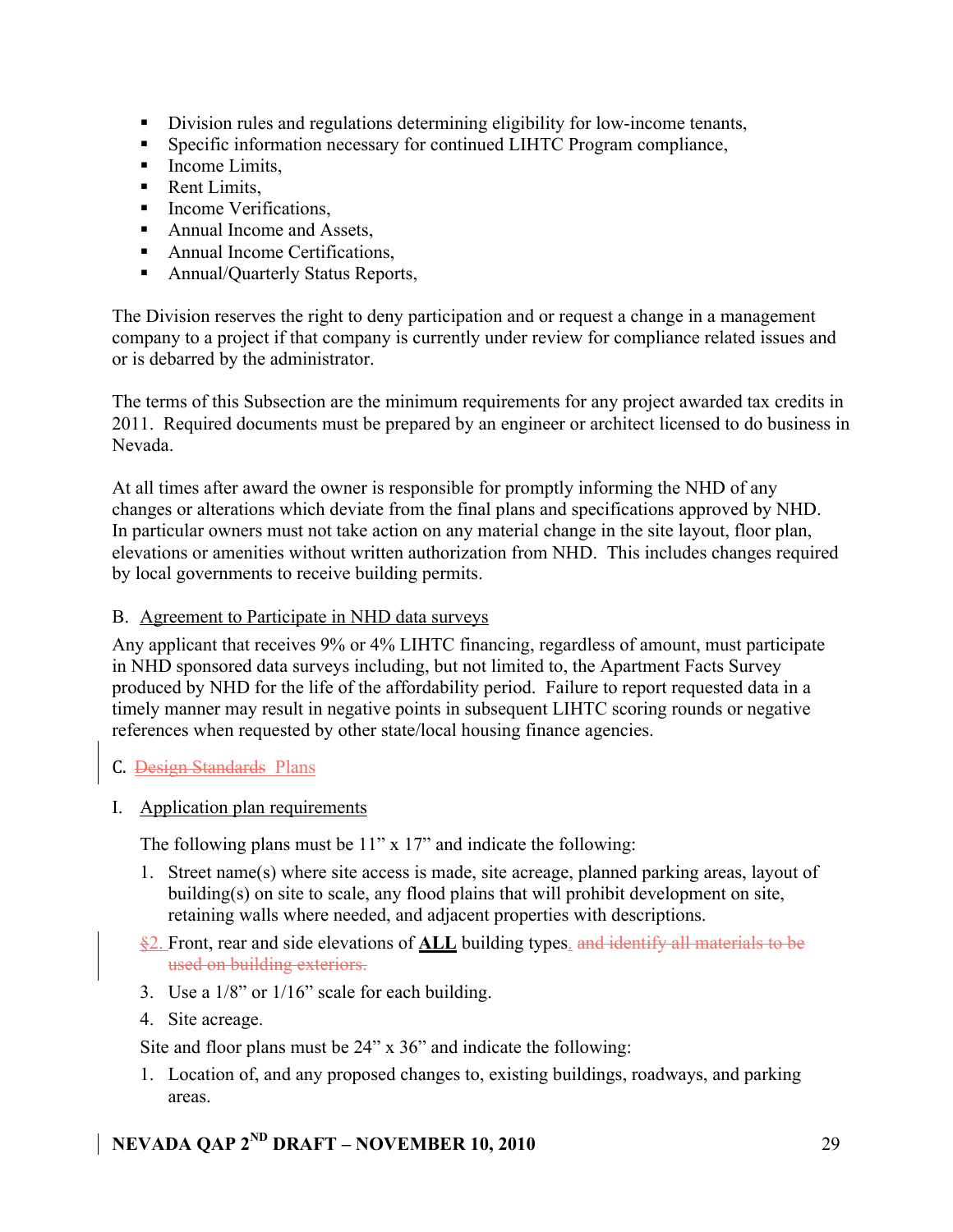- Division rules and regulations determining eligibility for low-income tenants,
- Specific information necessary for continued LIHTC Program compliance,
- Income Limits,
- Rent Limits,
- Income Verifications,
- Annual Income and Assets,
- Annual Income Certifications,
- Annual/Quarterly Status Reports,

The Division reserves the right to deny participation and or request a change in a management company to a project if that company is currently under review for compliance related issues and or is debarred by the administrator.

The terms of this Subsection are the minimum requirements for any project awarded tax credits in 2011. Required documents must be prepared by an engineer or architect licensed to do business in Nevada.

At all times after award the owner is responsible for promptly informing the NHD of any changes or alterations which deviate from the final plans and specifications approved by NHD. In particular owners must not take action on any material change in the site layout, floor plan, elevations or amenities without written authorization from NHD. This includes changes required by local governments to receive building permits.

### B. Agreement to Participate in NHD data surveys

Any applicant that receives 9% or 4% LIHTC financing, regardless of amount, must participate in NHD sponsored data surveys including, but not limited to, the Apartment Facts Survey produced by NHD for the life of the affordability period. Failure to report requested data in a timely manner may result in negative points in subsequent LIHTC scoring rounds or negative references when requested by other state/local housing finance agencies.

### C. Design Standards Plans

I. Application plan requirements

The following plans must be 11" x 17" and indicate the following:

- 1. Street name(s) where site access is made, site acreage, planned parking areas, layout of building(s) on site to scale, any flood plains that will prohibit development on site, retaining walls where needed, and adjacent properties with descriptions.
- §2. Front, rear and side elevations of **ALL** building types. and identify all materials to be used on building exteriors.
- 3. Use a 1/8" or 1/16" scale for each building.
- 4. Site acreage.

Site and floor plans must be 24" x 36" and indicate the following:

1. Location of, and any proposed changes to, existing buildings, roadways, and parking areas.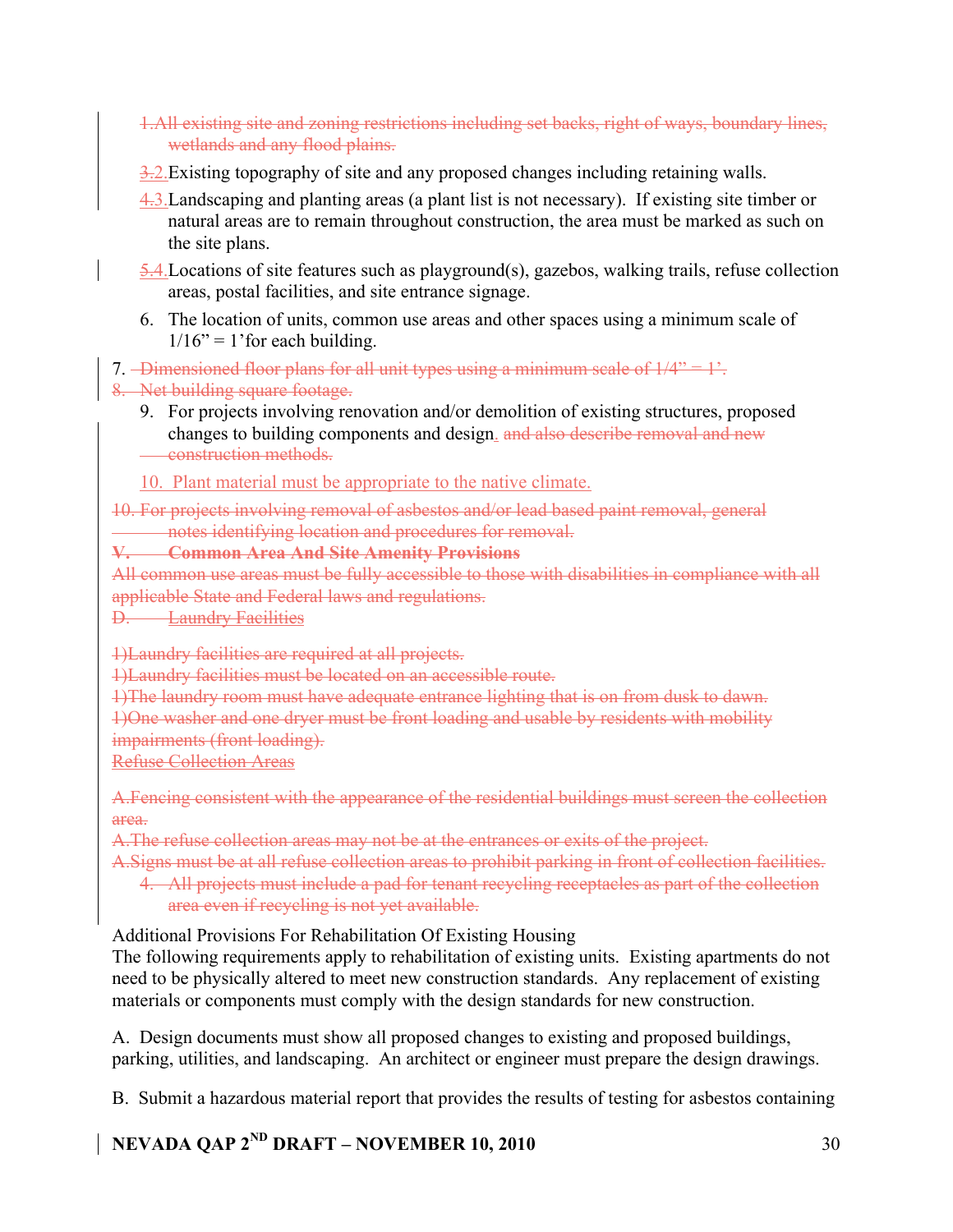- 1.All existing site and zoning restrictions including set backs, right of ways, boundary lines, wetlands and any flood plains.
- 3.2. Existing topography of site and any proposed changes including retaining walls.
- 4.3.Landscaping and planting areas (a plant list is not necessary). If existing site timber or natural areas are to remain throughout construction, the area must be marked as such on the site plans.
- 5.4.Locations of site features such as playground(s), gazebos, walking trails, refuse collection areas, postal facilities, and site entrance signage.
- 6. The location of units, common use areas and other spaces using a minimum scale of  $1/16$ " = 1' for each building.

7. Dimensioned floor plans for all unit types using a minimum scale of  $1/4$ "  $-1$ ".

8. Net building square footage.

- 9. For projects involving renovation and/or demolition of existing structures, proposed changes to building components and design. and also describe removal and new construction methods.
- 10. Plant material must be appropriate to the native climate.

10. For projects involving removal of asbestos and/or lead based paint removal, general notes identifying location and procedures for removal.

# **V. Common Area And Site Amenity Provisions**

All common use areas must be fully accessible to those with disabilities in compliance with all applicable State and Federal laws and regulations.

D. Laundry Facilities

1)Laundry facilities are required at all projects.

1)Laundry facilities must be located on an accessible route.

1)The laundry room must have adequate entrance lighting that is on from dusk to dawn.

1)One washer and one dryer must be front loading and usable by residents with mobility

impairments (front loading).

Refuse Collection Areas

A.Fencing consistent with the appearance of the residential buildings must screen the collection area.

A.The refuse collection areas may not be at the entrances or exits of the project.

A.Signs must be at all refuse collection areas to prohibit parking in front of collection facilities.

4. All projects must include a pad for tenant recycling receptacles as part of the collection area even if recycling is not yet available.

Additional Provisions For Rehabilitation Of Existing Housing

The following requirements apply to rehabilitation of existing units. Existing apartments do not need to be physically altered to meet new construction standards. Any replacement of existing materials or components must comply with the design standards for new construction.

A. Design documents must show all proposed changes to existing and proposed buildings, parking, utilities, and landscaping. An architect or engineer must prepare the design drawings.

B. Submit a hazardous material report that provides the results of testing for asbestos containing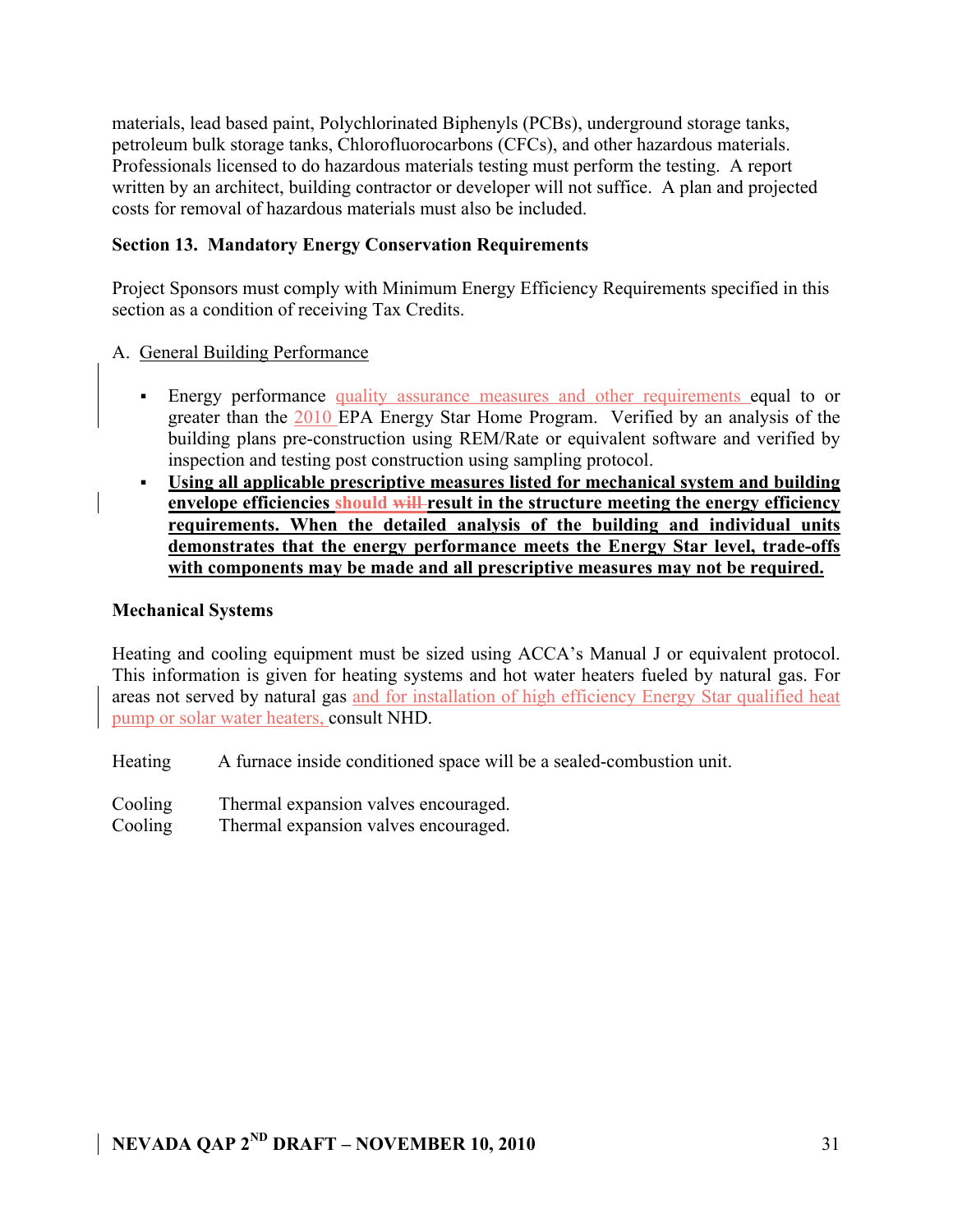materials, lead based paint, Polychlorinated Biphenyls (PCBs), underground storage tanks, petroleum bulk storage tanks, Chlorofluorocarbons (CFCs), and other hazardous materials. Professionals licensed to do hazardous materials testing must perform the testing. A report written by an architect, building contractor or developer will not suffice. A plan and projected costs for removal of hazardous materials must also be included.

### **Section 13. Mandatory Energy Conservation Requirements**

Project Sponsors must comply with Minimum Energy Efficiency Requirements specified in this section as a condition of receiving Tax Credits.

### A. General Building Performance

- Energy performance quality assurance measures and other requirements equal to or greater than the 2010 EPA Energy Star Home Program. Verified by an analysis of the building plans pre-construction using REM/Rate or equivalent software and verified by inspection and testing post construction using sampling protocol.
- **Using all applicable prescriptive measures listed for mechanical system and building envelope efficiencies should will result in the structure meeting the energy efficiency requirements. When the detailed analysis of the building and individual units demonstrates that the energy performance meets the Energy Star level, trade-offs with components may be made and all prescriptive measures may not be required.**

### **Mechanical Systems**

Heating and cooling equipment must be sized using ACCA's Manual J or equivalent protocol. This information is given for heating systems and hot water heaters fueled by natural gas. For areas not served by natural gas and for installation of high efficiency Energy Star qualified heat pump or solar water heaters, consult NHD.

Heating A furnace inside conditioned space will be a sealed-combustion unit.

Cooling Thermal expansion valves encouraged.

Cooling Thermal expansion valves encouraged.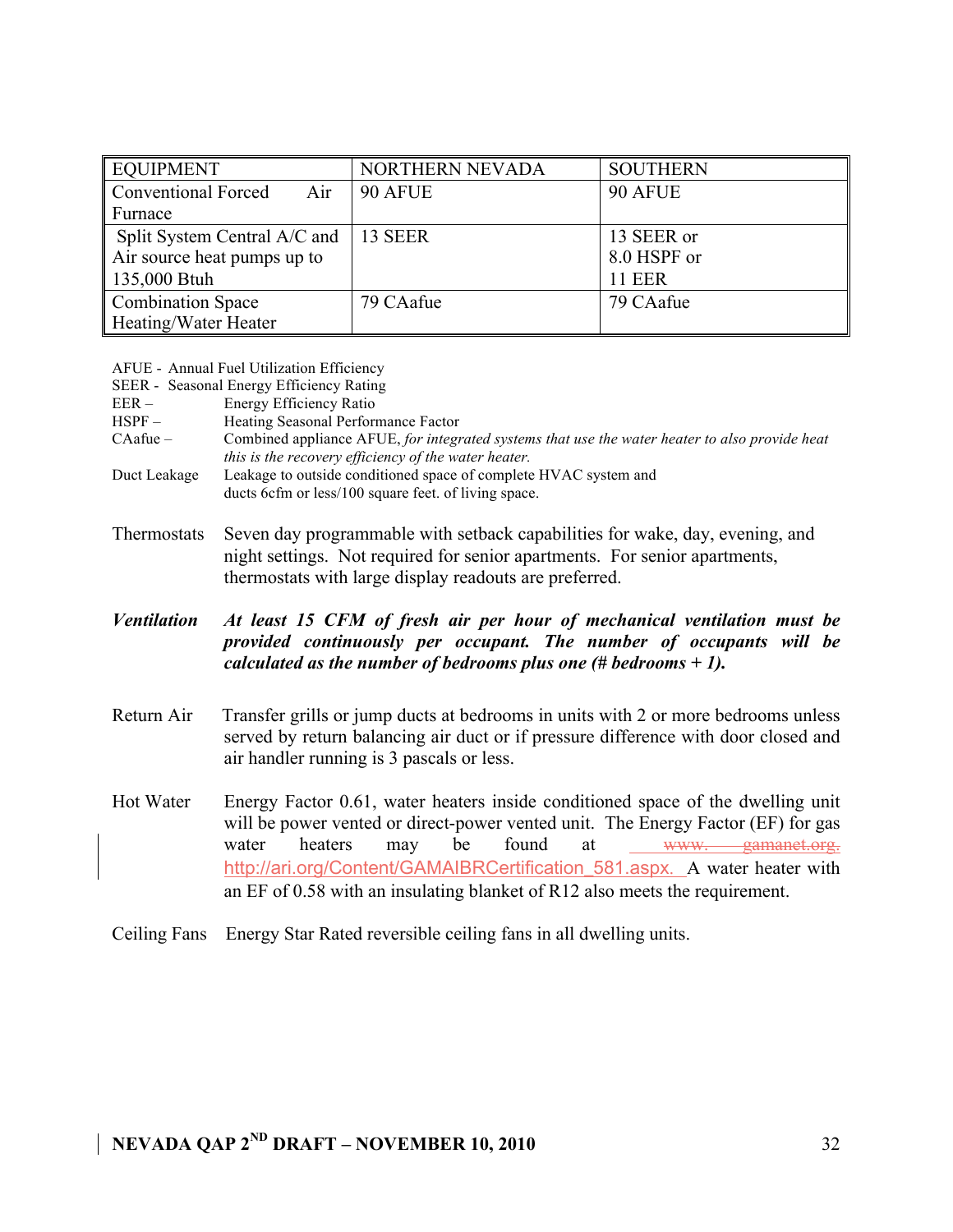| <b>EQUIPMENT</b>                  | NORTHERN NEVADA | <b>SOUTHERN</b> |
|-----------------------------------|-----------------|-----------------|
| <b>Conventional Forced</b><br>Air | 90 AFUE         | 90 AFUE         |
| Furnace                           |                 |                 |
| Split System Central A/C and      | 13 SEER         | 13 SEER or      |
| Air source heat pumps up to       |                 | 8.0 HSPF or     |
| 135,000 Btuh                      |                 | <b>11 EER</b>   |
| <b>Combination Space</b>          | 79 CAafue       | 79 CAafue       |
| Heating/Water Heater              |                 |                 |

|  |  |  | AFUE - Annual Fuel Utilization Efficiency |  |
|--|--|--|-------------------------------------------|--|
|--|--|--|-------------------------------------------|--|

|            | SEER - Seasonal Energy Efficiency Rating                                                       |
|------------|------------------------------------------------------------------------------------------------|
| $EER -$    | Energy Efficiency Ratio                                                                        |
| $HSPF -$   | Heating Seasonal Performance Factor                                                            |
| $CAafue -$ | Combined appliance AFUE, for integrated systems that use the water heater to also provide heat |
|            | <i>this is the recovery efficiency of the water heater.</i>                                    |

- Duct Leakage Leakage to outside conditioned space of complete HVAC system and ducts 6cfm or less/100 square feet. of living space.
- Thermostats Seven day programmable with setback capabilities for wake, day, evening, and night settings. Not required for senior apartments. For senior apartments, thermostats with large display readouts are preferred.

### *Ventilation At least 15 CFM of fresh air per hour of mechanical ventilation must be provided continuously per occupant. The number of occupants will be calculated as the number of bedrooms plus one (# bedrooms + 1).*

- Return Air Transfer grills or jump ducts at bedrooms in units with 2 or more bedrooms unless served by return balancing air duct or if pressure difference with door closed and air handler running is 3 pascals or less.
- Hot Water Energy Factor 0.61, water heaters inside conditioned space of the dwelling unit will be power vented or direct-power vented unit. The Energy Factor (EF) for gas water heaters may be found at www. gamanet.org. http://ari.org/Content/GAMAIBRCertification 581.aspx. A water heater with an EF of 0.58 with an insulating blanket of R12 also meets the requirement.
- Ceiling Fans Energy Star Rated reversible ceiling fans in all dwelling units.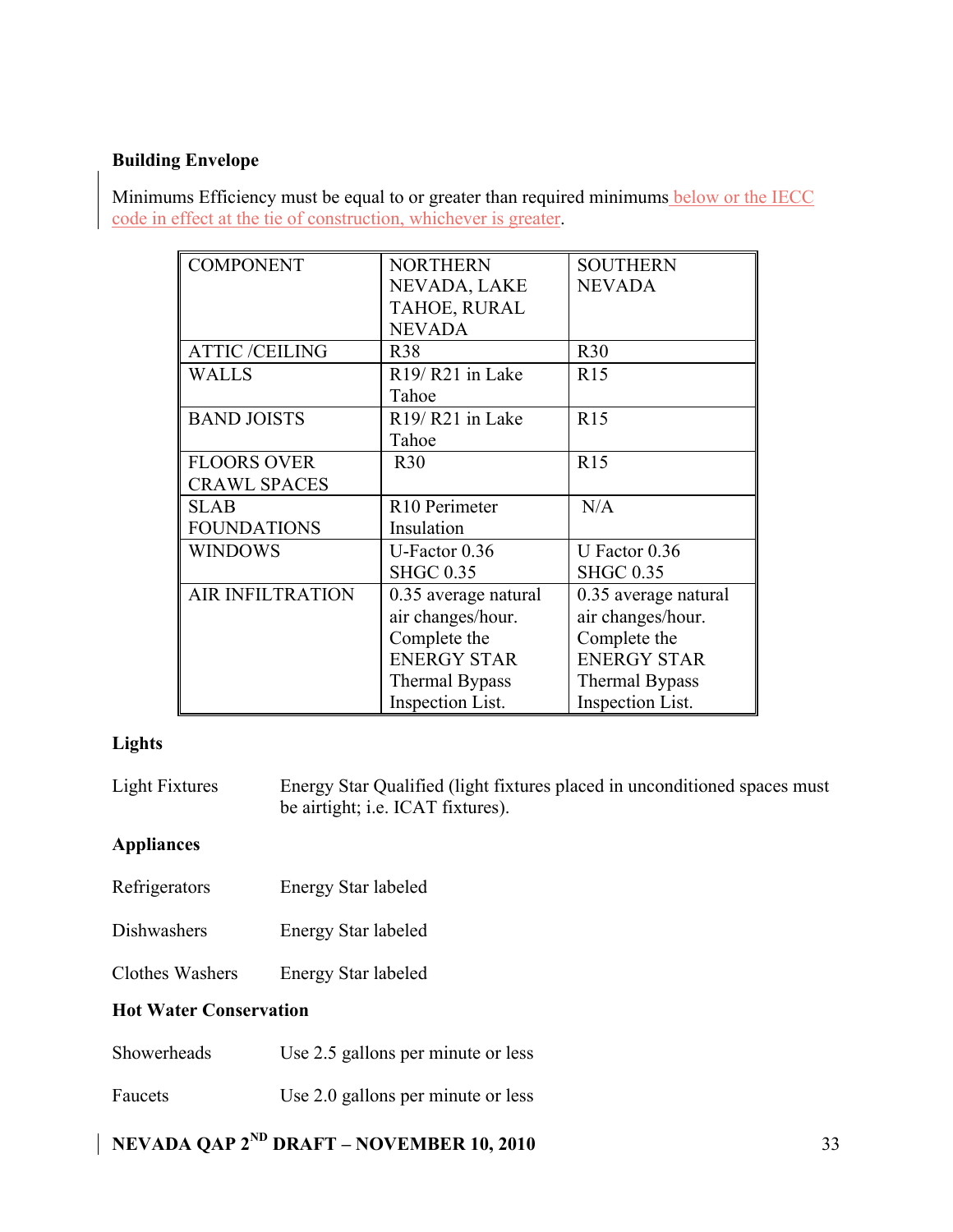### **Building Envelope**

Minimums Efficiency must be equal to or greater than required minimums below or the IECC code in effect at the tie of construction, whichever is greater.

| <b>COMPONENT</b>        | <b>NORTHERN</b>                          | <b>SOUTHERN</b>         |
|-------------------------|------------------------------------------|-------------------------|
|                         | NEVADA, LAKE                             | <b>NEVADA</b>           |
|                         | TAHOE, RURAL                             |                         |
|                         | <b>NEVADA</b>                            |                         |
| <b>ATTIC/CEILING</b>    | <b>R38</b>                               | R30                     |
| <b>WALLS</b>            | R <sub>19</sub> /R <sub>21</sub> in Lake | R15                     |
|                         | Tahoe                                    |                         |
| <b>BAND JOISTS</b>      | R <sub>19</sub> /R <sub>21</sub> in Lake | R15                     |
|                         | Tahoe                                    |                         |
| <b>FLOORS OVER</b>      | R30                                      | R15                     |
| <b>CRAWL SPACES</b>     |                                          |                         |
| <b>SLAB</b>             | R <sub>10</sub> Perimeter                | N/A                     |
| <b>FOUNDATIONS</b>      | Insulation                               |                         |
| <b>WINDOWS</b>          | U-Factor $0.36$                          | U Factor $0.36$         |
|                         | <b>SHGC 0.35</b>                         | <b>SHGC 0.35</b>        |
| <b>AIR INFILTRATION</b> | 0.35 average natural                     | 0.35 average natural    |
|                         | air changes/hour.                        | air changes/hour.       |
|                         | Complete the                             | Complete the            |
|                         | <b>ENERGY STAR</b>                       | <b>ENERGY STAR</b>      |
|                         | <b>Thermal Bypass</b>                    | <b>Thermal Bypass</b>   |
|                         | Inspection List.                         | <b>Inspection List.</b> |

### **Lights**

| Light Fixtures | Energy Star Qualified (light fixtures placed in unconditioned spaces must |
|----------------|---------------------------------------------------------------------------|
|                | be airtight; <i>i.e.</i> ICAT fixtures).                                  |

### **Appliances**

- Refrigerators Energy Star labeled
- Dishwashers Energy Star labeled
- Clothes Washers Energy Star labeled

### **Hot Water Conservation**

- Showerheads Use 2.5 gallons per minute or less
- Faucets Use 2.0 gallons per minute or less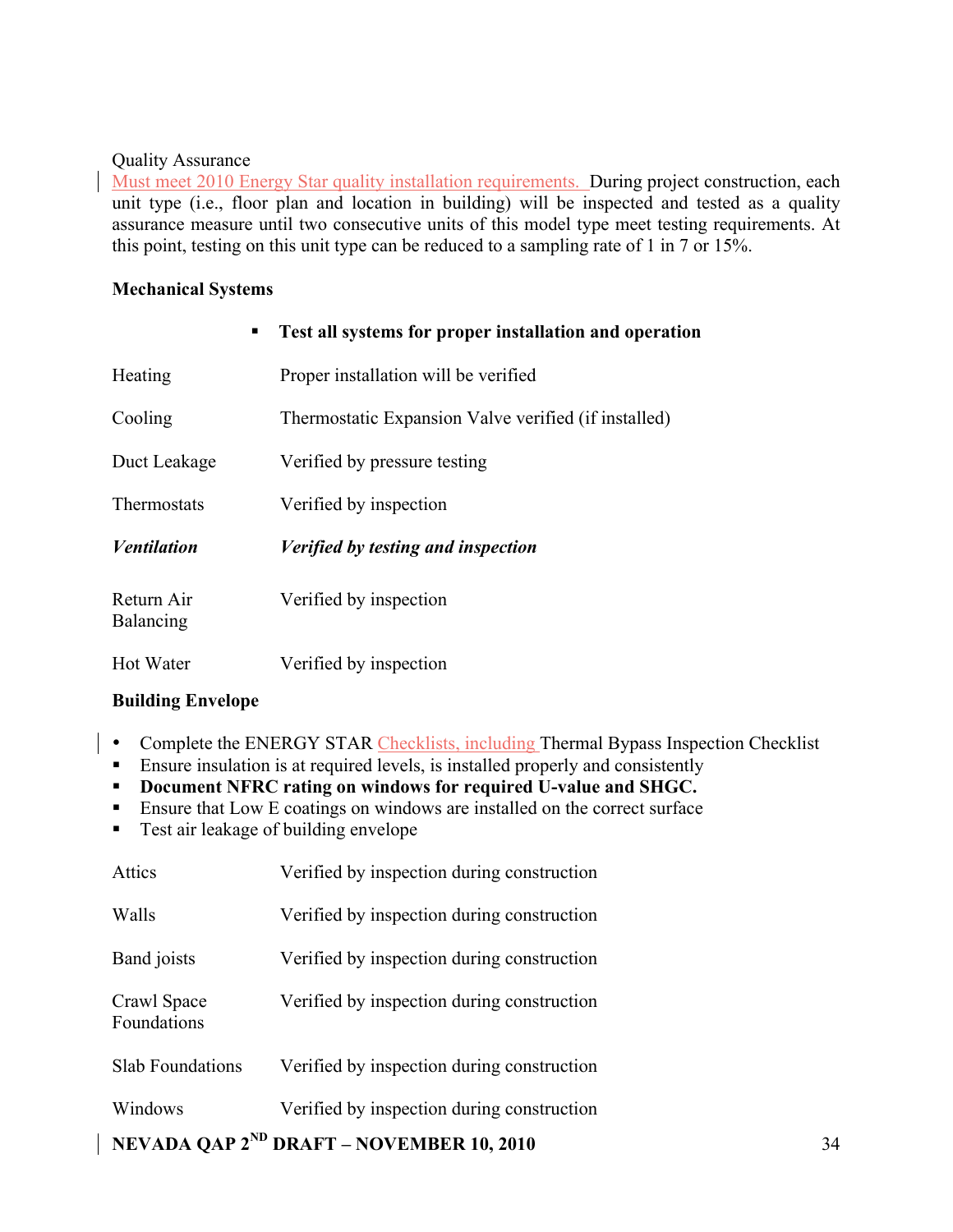### Quality Assurance

Must meet 2010 Energy Star quality installation requirements. During project construction, each unit type (i.e., floor plan and location in building) will be inspected and tested as a quality assurance measure until two consecutive units of this model type meet testing requirements. At this point, testing on this unit type can be reduced to a sampling rate of 1 in 7 or 15%.

#### **Mechanical Systems**

| ٠                       | Test all systems for proper installation and operation |
|-------------------------|--------------------------------------------------------|
| Heating                 | Proper installation will be verified                   |
| Cooling                 | Thermostatic Expansion Valve verified (if installed)   |
| Duct Leakage            | Verified by pressure testing                           |
| Thermostats             | Verified by inspection                                 |
| <b>Ventilation</b>      | Verified by testing and inspection                     |
| Return Air<br>Balancing | Verified by inspection                                 |
| Hot Water               | Verified by inspection                                 |

### **Building Envelope**

- Complete the ENERGY STAR Checklists, including Thermal Bypass Inspection Checklist
	- Ensure insulation is at required levels, is installed properly and consistently
	- **Document NFRC rating on windows for required U-value and SHGC.**
	- **Ensure that Low E coatings on windows are installed on the correct surface**
	- **Test air leakage of building envelope**

|                            | <b>NEVADA QAP <math>2^{ND}</math> DRAFT – NOVEMBER 10, 2010</b> | 34 |
|----------------------------|-----------------------------------------------------------------|----|
| Windows                    | Verified by inspection during construction                      |    |
| <b>Slab Foundations</b>    | Verified by inspection during construction                      |    |
| Crawl Space<br>Foundations | Verified by inspection during construction                      |    |
| Band joists                | Verified by inspection during construction                      |    |
| Walls                      | Verified by inspection during construction                      |    |
| Attics                     | Verified by inspection during construction                      |    |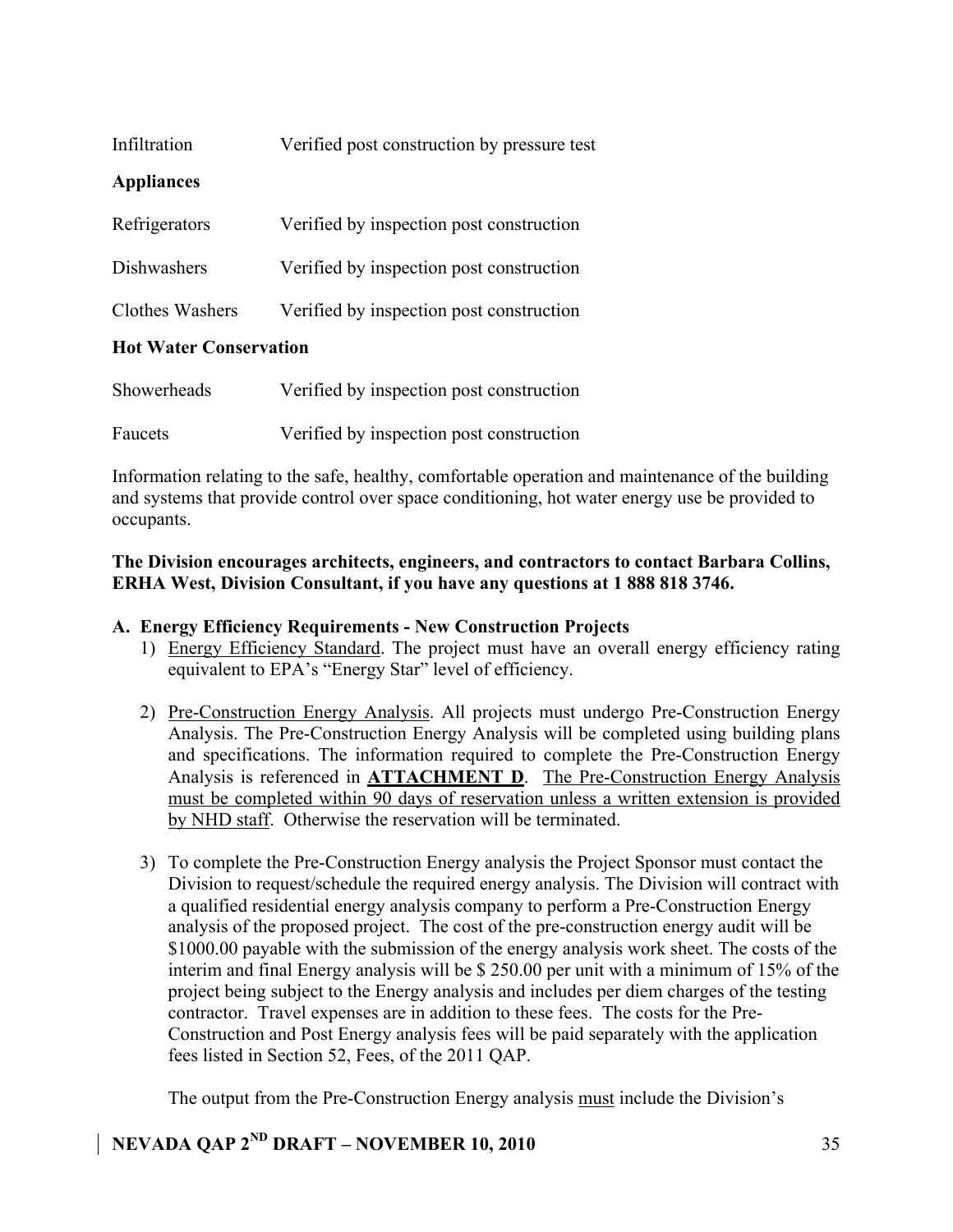| Infiltration                             | Verified post construction by pressure test |  |
|------------------------------------------|---------------------------------------------|--|
| <b>Appliances</b>                        |                                             |  |
| Refrigerators                            | Verified by inspection post construction    |  |
| Dishwashers                              | Verified by inspection post construction    |  |
| Clothes Washers                          | Verified by inspection post construction    |  |
| $\mathbf{H}_{\alpha}$ Waton Conconvation |                                             |  |

### **Hot Water Conservation**

| Showerheads | Verified by inspection post construction |
|-------------|------------------------------------------|
| Faucets     | Verified by inspection post construction |

Information relating to the safe, healthy, comfortable operation and maintenance of the building and systems that provide control over space conditioning, hot water energy use be provided to occupants.

### **The Division encourages architects, engineers, and contractors to contact Barbara Collins, ERHA West, Division Consultant, if you have any questions at 1 888 818 3746.**

### **A. Energy Efficiency Requirements - New Construction Projects**

- 1) Energy Efficiency Standard. The project must have an overall energy efficiency rating equivalent to EPA's "Energy Star" level of efficiency.
- 2) Pre-Construction Energy Analysis. All projects must undergo Pre-Construction Energy Analysis. The Pre-Construction Energy Analysis will be completed using building plans and specifications. The information required to complete the Pre-Construction Energy Analysis is referenced in **ATTACHMENT D**. The Pre-Construction Energy Analysis must be completed within 90 days of reservation unless a written extension is provided by NHD staff. Otherwise the reservation will be terminated.
- 3) To complete the Pre-Construction Energy analysis the Project Sponsor must contact the Division to request/schedule the required energy analysis. The Division will contract with a qualified residential energy analysis company to perform a Pre-Construction Energy analysis of the proposed project. The cost of the pre-construction energy audit will be \$1000.00 payable with the submission of the energy analysis work sheet. The costs of the interim and final Energy analysis will be \$ 250.00 per unit with a minimum of 15% of the project being subject to the Energy analysis and includes per diem charges of the testing contractor. Travel expenses are in addition to these fees. The costs for the Pre-Construction and Post Energy analysis fees will be paid separately with the application fees listed in Section 52, Fees, of the 2011 QAP.

The output from the Pre-Construction Energy analysis must include the Division's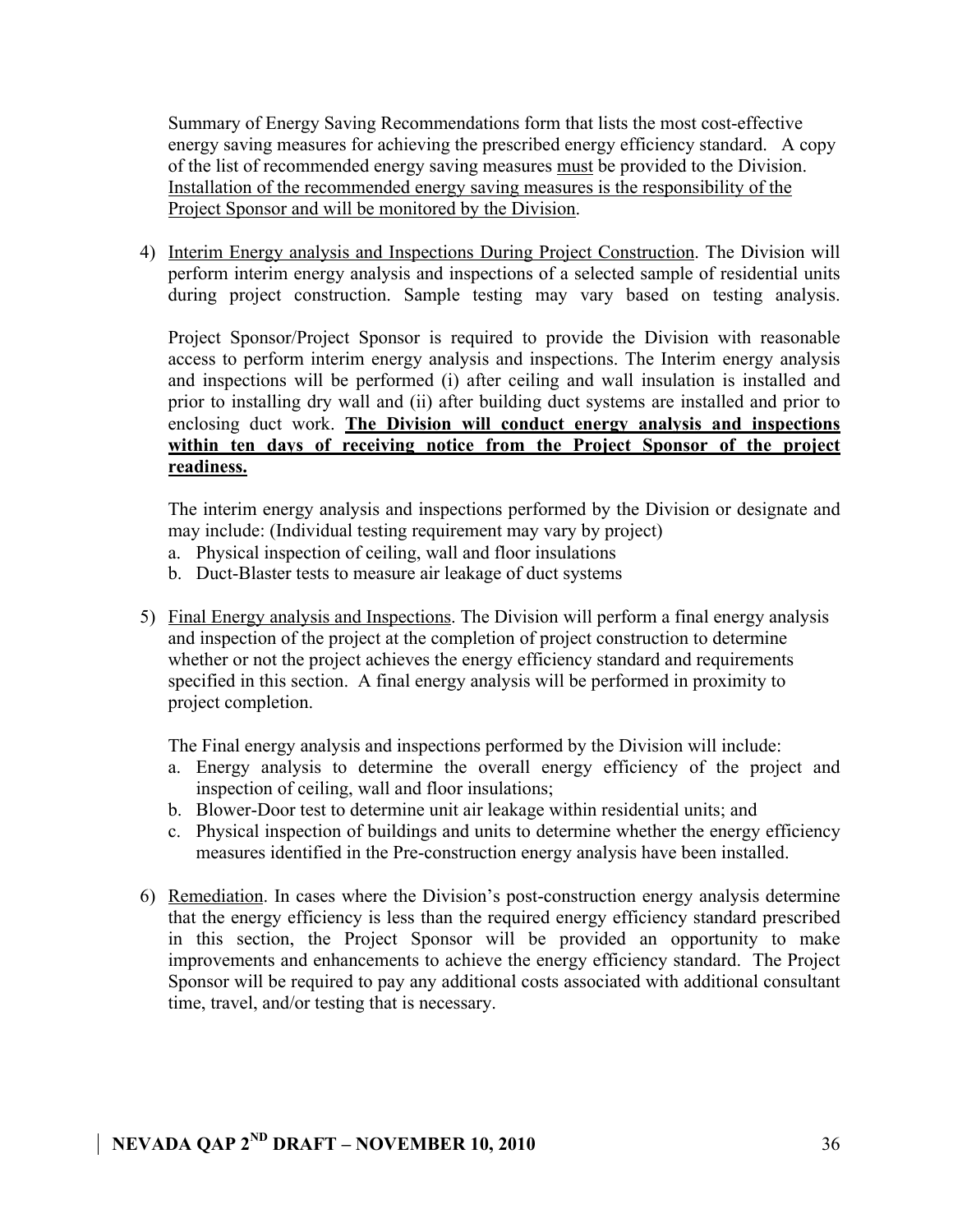Summary of Energy Saving Recommendations form that lists the most cost-effective energy saving measures for achieving the prescribed energy efficiency standard. A copy of the list of recommended energy saving measures must be provided to the Division. Installation of the recommended energy saving measures is the responsibility of the Project Sponsor and will be monitored by the Division.

4) Interim Energy analysis and Inspections During Project Construction. The Division will perform interim energy analysis and inspections of a selected sample of residential units during project construction. Sample testing may vary based on testing analysis.

Project Sponsor/Project Sponsor is required to provide the Division with reasonable access to perform interim energy analysis and inspections. The Interim energy analysis and inspections will be performed (i) after ceiling and wall insulation is installed and prior to installing dry wall and (ii) after building duct systems are installed and prior to enclosing duct work. **The Division will conduct energy analysis and inspections within ten days of receiving notice from the Project Sponsor of the project readiness.** 

The interim energy analysis and inspections performed by the Division or designate and may include: (Individual testing requirement may vary by project)

- a. Physical inspection of ceiling, wall and floor insulations
- b. Duct-Blaster tests to measure air leakage of duct systems
- 5) Final Energy analysis and Inspections. The Division will perform a final energy analysis and inspection of the project at the completion of project construction to determine whether or not the project achieves the energy efficiency standard and requirements specified in this section. A final energy analysis will be performed in proximity to project completion.

The Final energy analysis and inspections performed by the Division will include:

- a. Energy analysis to determine the overall energy efficiency of the project and inspection of ceiling, wall and floor insulations;
- b. Blower-Door test to determine unit air leakage within residential units; and
- c. Physical inspection of buildings and units to determine whether the energy efficiency measures identified in the Pre-construction energy analysis have been installed.
- 6) Remediation. In cases where the Division's post-construction energy analysis determine that the energy efficiency is less than the required energy efficiency standard prescribed in this section, the Project Sponsor will be provided an opportunity to make improvements and enhancements to achieve the energy efficiency standard. The Project Sponsor will be required to pay any additional costs associated with additional consultant time, travel, and/or testing that is necessary.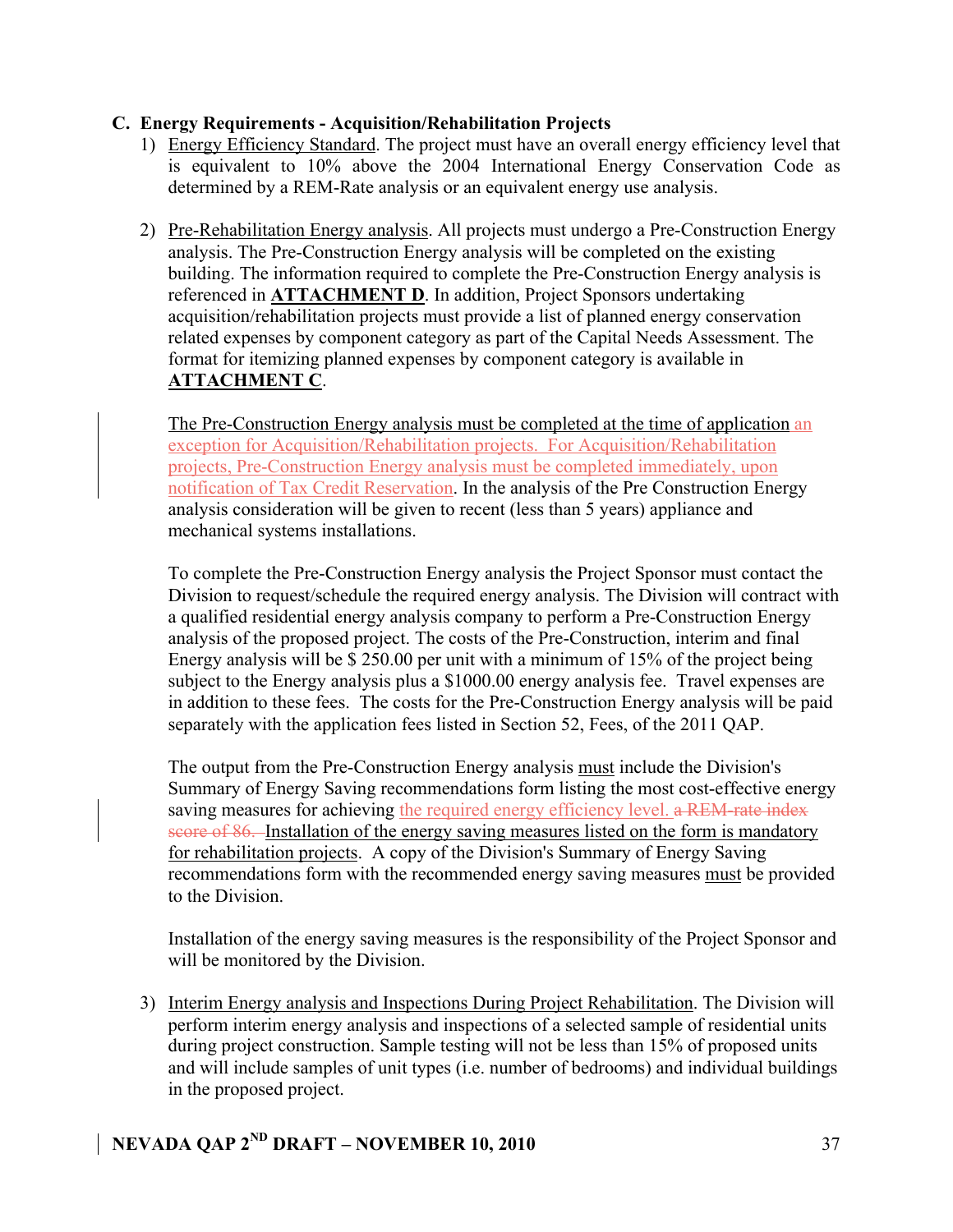### **C. Energy Requirements - Acquisition/Rehabilitation Projects**

- 1) Energy Efficiency Standard. The project must have an overall energy efficiency level that is equivalent to 10% above the 2004 International Energy Conservation Code as determined by a REM-Rate analysis or an equivalent energy use analysis.
- 2) Pre-Rehabilitation Energy analysis. All projects must undergo a Pre-Construction Energy analysis. The Pre-Construction Energy analysis will be completed on the existing building. The information required to complete the Pre-Construction Energy analysis is referenced in **ATTACHMENT D**. In addition, Project Sponsors undertaking acquisition/rehabilitation projects must provide a list of planned energy conservation related expenses by component category as part of the Capital Needs Assessment. The format for itemizing planned expenses by component category is available in **ATTACHMENT C**.

The Pre-Construction Energy analysis must be completed at the time of application an exception for Acquisition/Rehabilitation projects. For Acquisition/Rehabilitation projects, Pre-Construction Energy analysis must be completed immediately, upon notification of Tax Credit Reservation. In the analysis of the Pre Construction Energy analysis consideration will be given to recent (less than 5 years) appliance and mechanical systems installations.

To complete the Pre-Construction Energy analysis the Project Sponsor must contact the Division to request/schedule the required energy analysis. The Division will contract with a qualified residential energy analysis company to perform a Pre-Construction Energy analysis of the proposed project. The costs of the Pre-Construction, interim and final Energy analysis will be \$ 250.00 per unit with a minimum of 15% of the project being subject to the Energy analysis plus a \$1000.00 energy analysis fee. Travel expenses are in addition to these fees. The costs for the Pre-Construction Energy analysis will be paid separately with the application fees listed in Section 52, Fees, of the 2011 QAP.

The output from the Pre-Construction Energy analysis must include the Division's Summary of Energy Saving recommendations form listing the most cost-effective energy saving measures for achieving the required energy efficiency level. a REM-rate index score of 86. Installation of the energy saving measures listed on the form is mandatory for rehabilitation projects. A copy of the Division's Summary of Energy Saving recommendations form with the recommended energy saving measures must be provided to the Division.

Installation of the energy saving measures is the responsibility of the Project Sponsor and will be monitored by the Division.

3) Interim Energy analysis and Inspections During Project Rehabilitation. The Division will perform interim energy analysis and inspections of a selected sample of residential units during project construction. Sample testing will not be less than 15% of proposed units and will include samples of unit types (i.e. number of bedrooms) and individual buildings in the proposed project.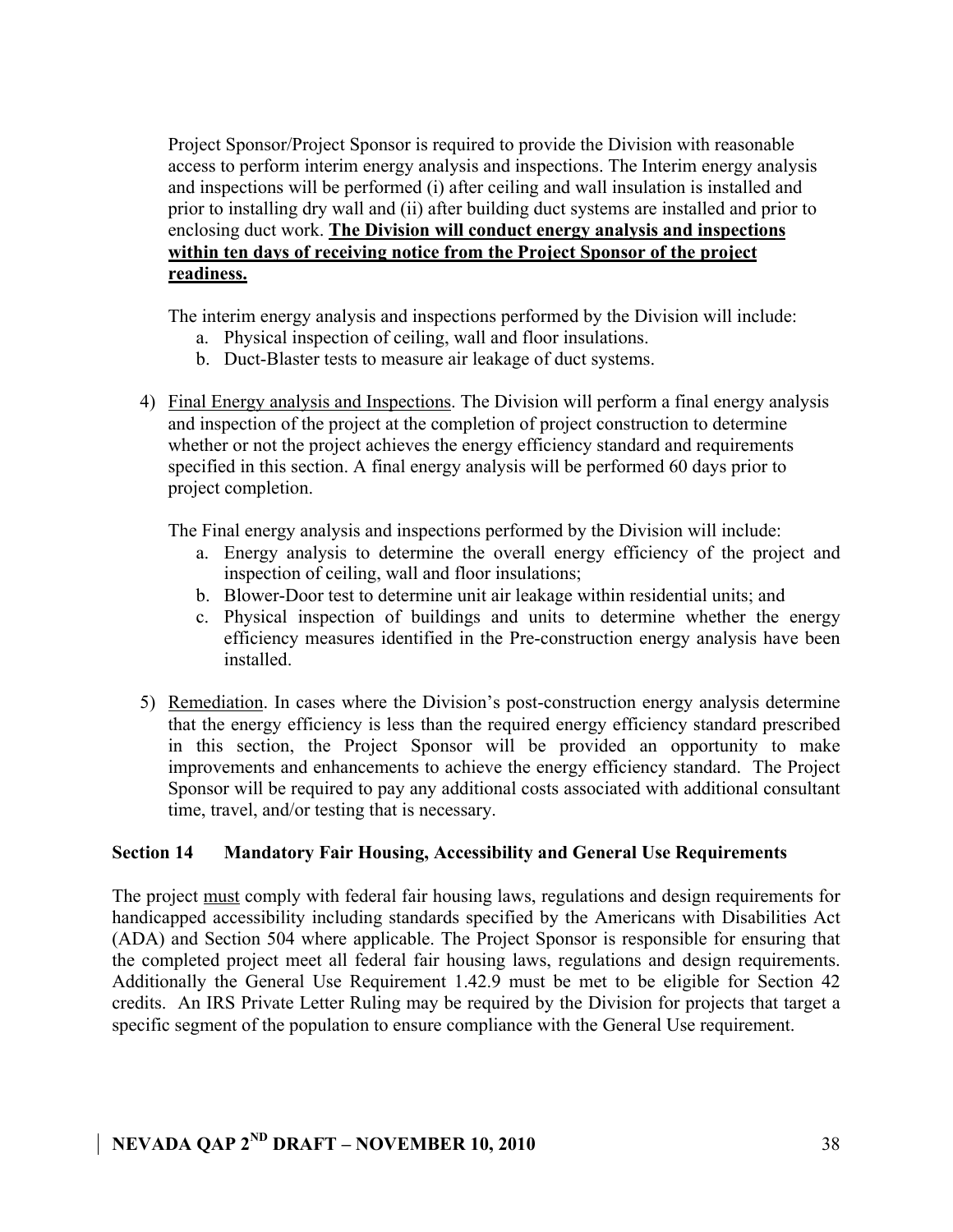Project Sponsor/Project Sponsor is required to provide the Division with reasonable access to perform interim energy analysis and inspections. The Interim energy analysis and inspections will be performed (i) after ceiling and wall insulation is installed and prior to installing dry wall and (ii) after building duct systems are installed and prior to enclosing duct work. **The Division will conduct energy analysis and inspections within ten days of receiving notice from the Project Sponsor of the project readiness.** 

The interim energy analysis and inspections performed by the Division will include:

- a. Physical inspection of ceiling, wall and floor insulations.
- b. Duct-Blaster tests to measure air leakage of duct systems.
- 4) Final Energy analysis and Inspections. The Division will perform a final energy analysis and inspection of the project at the completion of project construction to determine whether or not the project achieves the energy efficiency standard and requirements specified in this section. A final energy analysis will be performed 60 days prior to project completion.

The Final energy analysis and inspections performed by the Division will include:

- a. Energy analysis to determine the overall energy efficiency of the project and inspection of ceiling, wall and floor insulations;
- b. Blower-Door test to determine unit air leakage within residential units; and
- c. Physical inspection of buildings and units to determine whether the energy efficiency measures identified in the Pre-construction energy analysis have been installed.
- 5) Remediation. In cases where the Division's post-construction energy analysis determine that the energy efficiency is less than the required energy efficiency standard prescribed in this section, the Project Sponsor will be provided an opportunity to make improvements and enhancements to achieve the energy efficiency standard. The Project Sponsor will be required to pay any additional costs associated with additional consultant time, travel, and/or testing that is necessary.

### **Section 14 Mandatory Fair Housing, Accessibility and General Use Requirements**

The project must comply with federal fair housing laws, regulations and design requirements for handicapped accessibility including standards specified by the Americans with Disabilities Act (ADA) and Section 504 where applicable. The Project Sponsor is responsible for ensuring that the completed project meet all federal fair housing laws, regulations and design requirements. Additionally the General Use Requirement 1.42.9 must be met to be eligible for Section 42 credits. An IRS Private Letter Ruling may be required by the Division for projects that target a specific segment of the population to ensure compliance with the General Use requirement.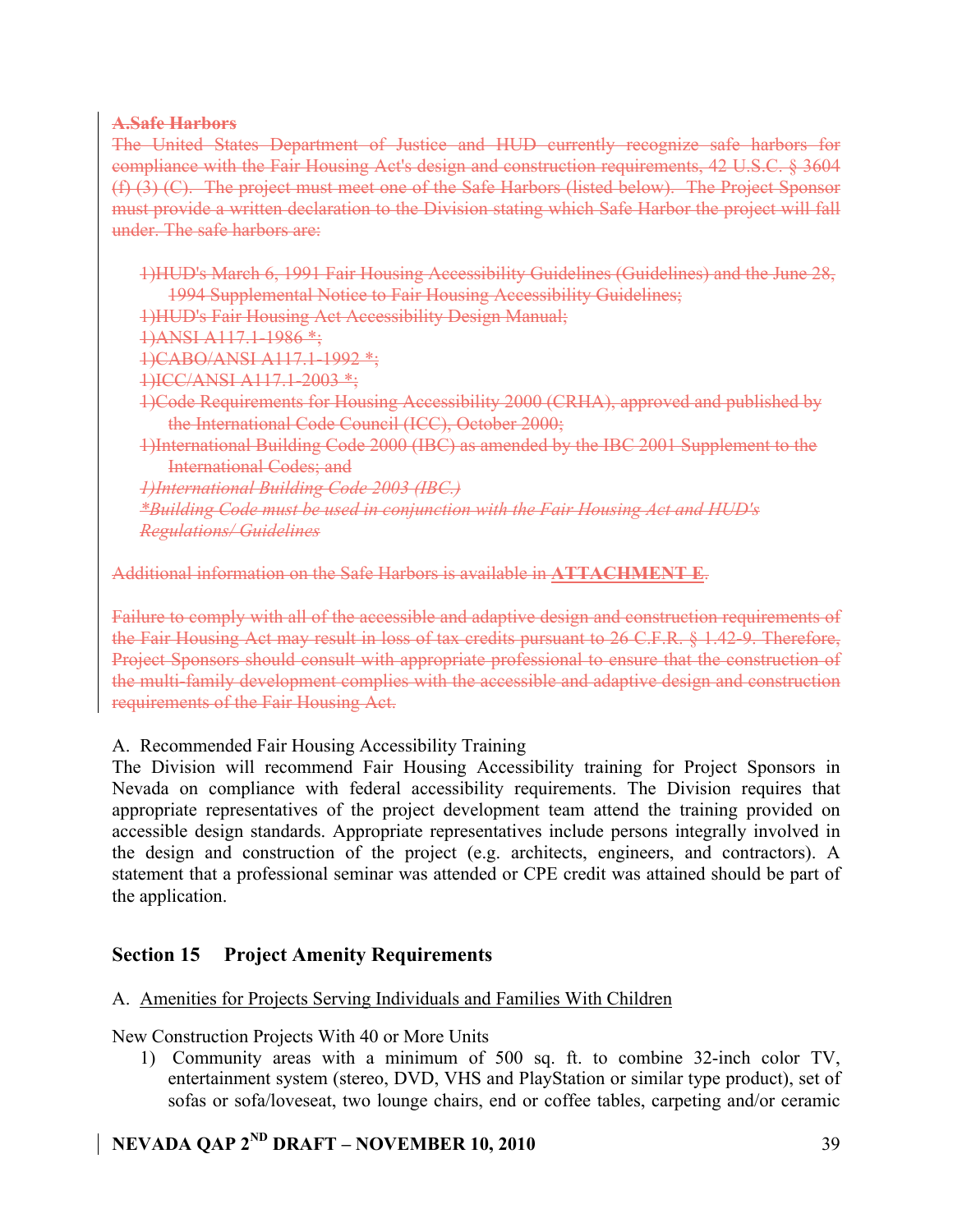### **A.Safe Harbors**

The United States Department of Justice and HUD currently recognize safe harbors for compliance with the Fair Housing Act's design and construction requirements, 42 U.S.C. § 3604 (f) (3) (C). The project must meet one of the Safe Harbors (listed below). The Project Sponsor must provide a written declaration to the Division stating which Safe Harbor the project will fall under. The safe harbors are:

1)HUD's March 6, 1991 Fair Housing Accessibility Guidelines (Guidelines) and the June 28, 1994 Supplemental Notice to Fair Housing Accessibility Guidelines;

1)HUD's Fair Housing Act Accessibility Design Manual;

1)ANSI A117.1-1986 \*;

1)CABO/ANSI A117.1-1992 \*;

1)ICC/ANSI A117.1-2003 \*;

1)Code Requirements for Housing Accessibility 2000 (CRHA), approved and published by the International Code Council (ICC), October 2000;

1)International Building Code 2000 (IBC) as amended by the IBC 2001 Supplement to the International Codes; and

*1)International Building Code 2003 (IBC.)*

*\*Building Code must be used in conjunction with the Fair Housing Act and HUD's Regulations/ Guidelines* 

Additional information on the Safe Harbors is available in **ATTACHMENT E**.

Failure to comply with all of the accessible and adaptive design and construction requirements of the Fair Housing Act may result in loss of tax credits pursuant to 26 C.F.R. § 1.42-9. Therefore, Project Sponsors should consult with appropriate professional to ensure that the construction of the multi-family development complies with the accessible and adaptive design and construction requirements of the Fair Housing Act.

A. Recommended Fair Housing Accessibility Training

The Division will recommend Fair Housing Accessibility training for Project Sponsors in Nevada on compliance with federal accessibility requirements. The Division requires that appropriate representatives of the project development team attend the training provided on accessible design standards. Appropriate representatives include persons integrally involved in the design and construction of the project (e.g. architects, engineers, and contractors). A statement that a professional seminar was attended or CPE credit was attained should be part of the application.

### **Section 15 Project Amenity Requirements**

### A. Amenities for Projects Serving Individuals and Families With Children

New Construction Projects With 40 or More Units

1) Community areas with a minimum of 500 sq. ft. to combine 32-inch color TV, entertainment system (stereo, DVD, VHS and PlayStation or similar type product), set of sofas or sofa/loveseat, two lounge chairs, end or coffee tables, carpeting and/or ceramic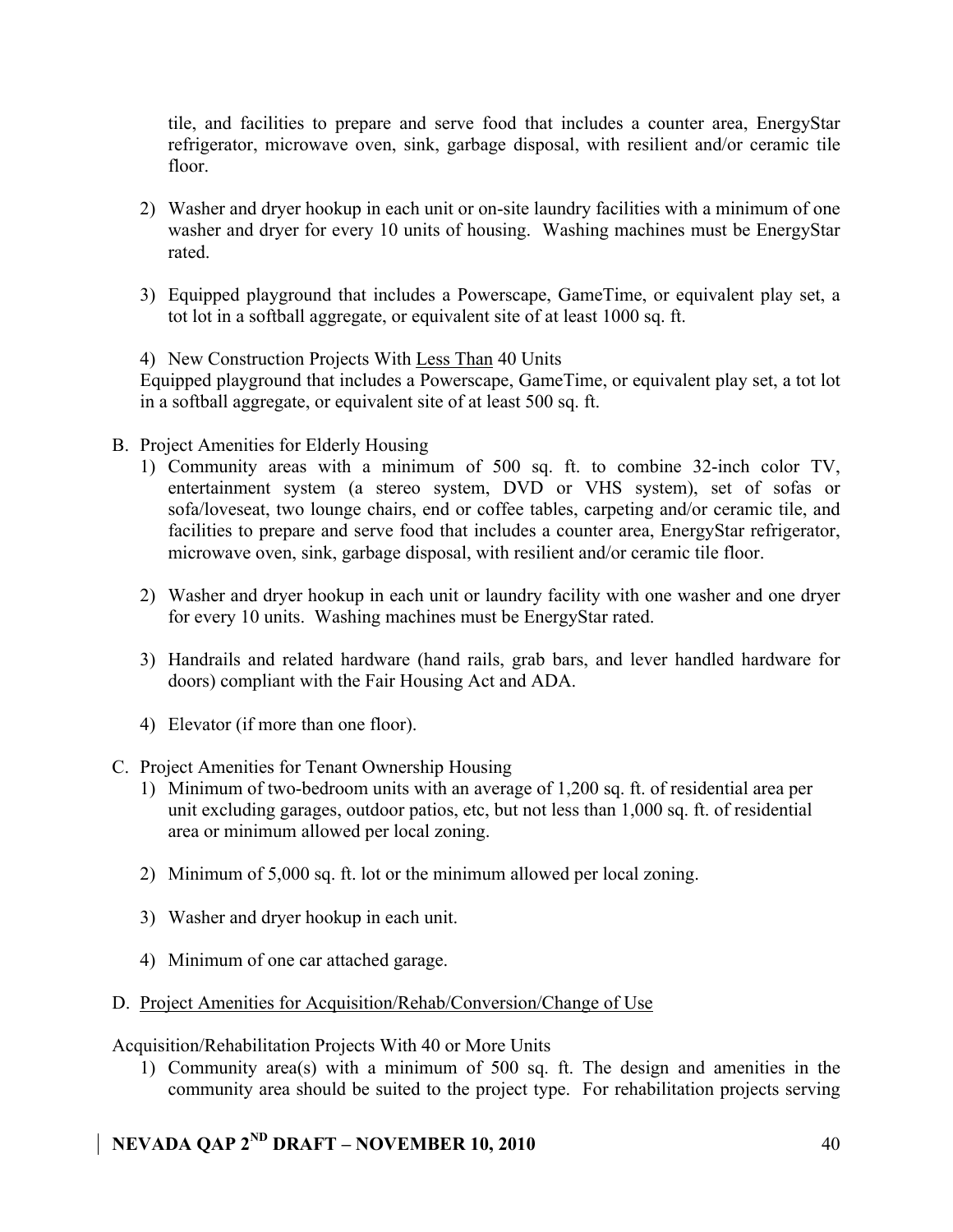tile, and facilities to prepare and serve food that includes a counter area, EnergyStar refrigerator, microwave oven, sink, garbage disposal, with resilient and/or ceramic tile floor.

- 2) Washer and dryer hookup in each unit or on-site laundry facilities with a minimum of one washer and dryer for every 10 units of housing. Washing machines must be EnergyStar rated.
- 3) Equipped playground that includes a Powerscape, GameTime, or equivalent play set, a tot lot in a softball aggregate, or equivalent site of at least 1000 sq. ft.

### 4) New Construction Projects With Less Than 40 Units

Equipped playground that includes a Powerscape, GameTime, or equivalent play set, a tot lot in a softball aggregate, or equivalent site of at least 500 sq. ft.

- B. Project Amenities for Elderly Housing
	- 1) Community areas with a minimum of 500 sq. ft. to combine 32-inch color TV, entertainment system (a stereo system, DVD or VHS system), set of sofas or sofa/loveseat, two lounge chairs, end or coffee tables, carpeting and/or ceramic tile, and facilities to prepare and serve food that includes a counter area, EnergyStar refrigerator, microwave oven, sink, garbage disposal, with resilient and/or ceramic tile floor.
	- 2) Washer and dryer hookup in each unit or laundry facility with one washer and one dryer for every 10 units. Washing machines must be EnergyStar rated.
	- 3) Handrails and related hardware (hand rails, grab bars, and lever handled hardware for doors) compliant with the Fair Housing Act and ADA.
	- 4) Elevator (if more than one floor).
- C. Project Amenities for Tenant Ownership Housing
	- 1) Minimum of two-bedroom units with an average of 1,200 sq. ft. of residential area per unit excluding garages, outdoor patios, etc, but not less than 1,000 sq. ft. of residential area or minimum allowed per local zoning.
	- 2) Minimum of 5,000 sq. ft. lot or the minimum allowed per local zoning.
	- 3) Washer and dryer hookup in each unit.
	- 4) Minimum of one car attached garage.

### D. Project Amenities for Acquisition/Rehab/Conversion/Change of Use

Acquisition/Rehabilitation Projects With 40 or More Units

1) Community area(s) with a minimum of 500 sq. ft. The design and amenities in the community area should be suited to the project type. For rehabilitation projects serving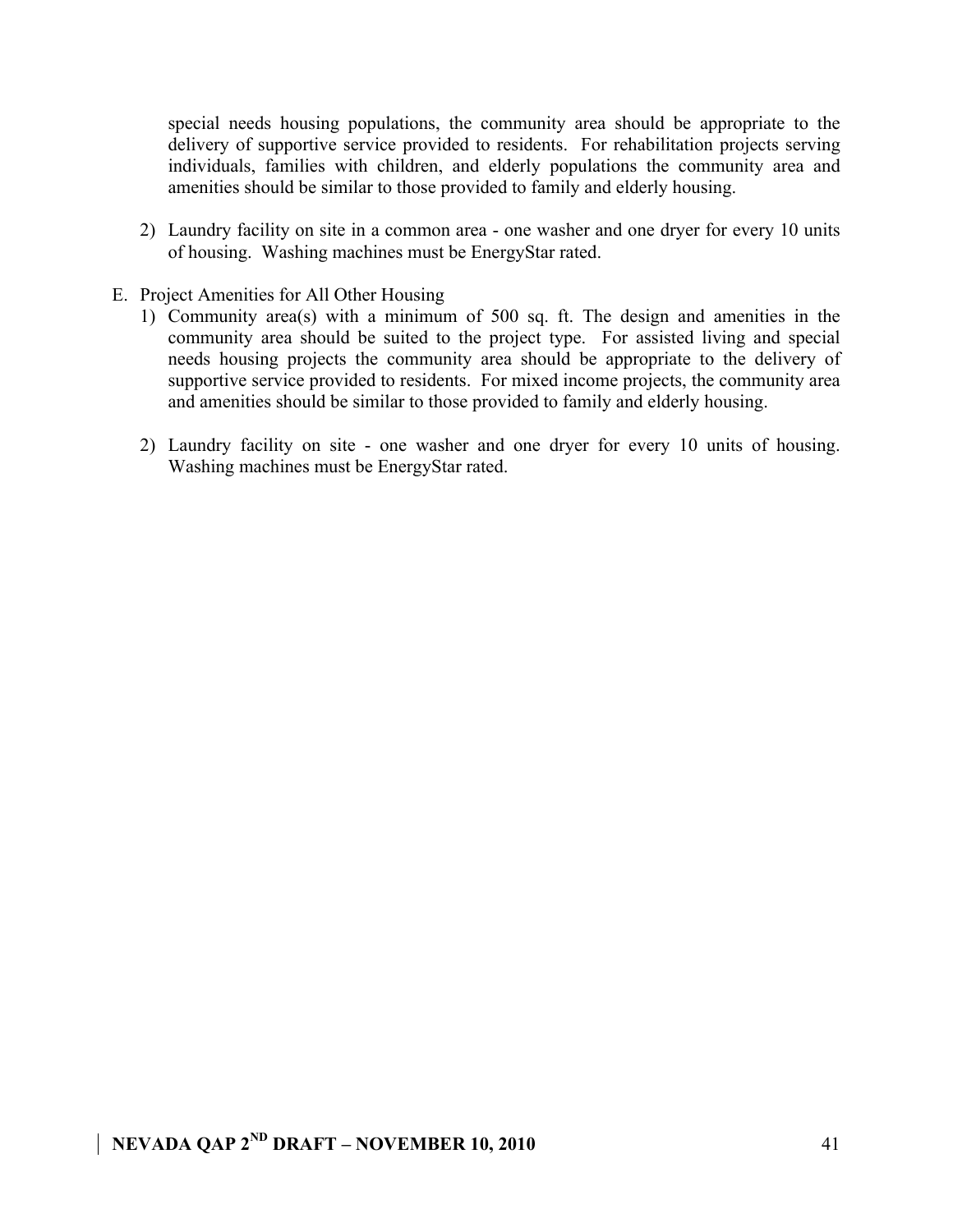special needs housing populations, the community area should be appropriate to the delivery of supportive service provided to residents. For rehabilitation projects serving individuals, families with children, and elderly populations the community area and amenities should be similar to those provided to family and elderly housing.

- 2) Laundry facility on site in a common area one washer and one dryer for every 10 units of housing. Washing machines must be EnergyStar rated.
- E. Project Amenities for All Other Housing
	- 1) Community area(s) with a minimum of 500 sq. ft. The design and amenities in the community area should be suited to the project type. For assisted living and special needs housing projects the community area should be appropriate to the delivery of supportive service provided to residents. For mixed income projects, the community area and amenities should be similar to those provided to family and elderly housing.
	- 2) Laundry facility on site one washer and one dryer for every 10 units of housing. Washing machines must be EnergyStar rated.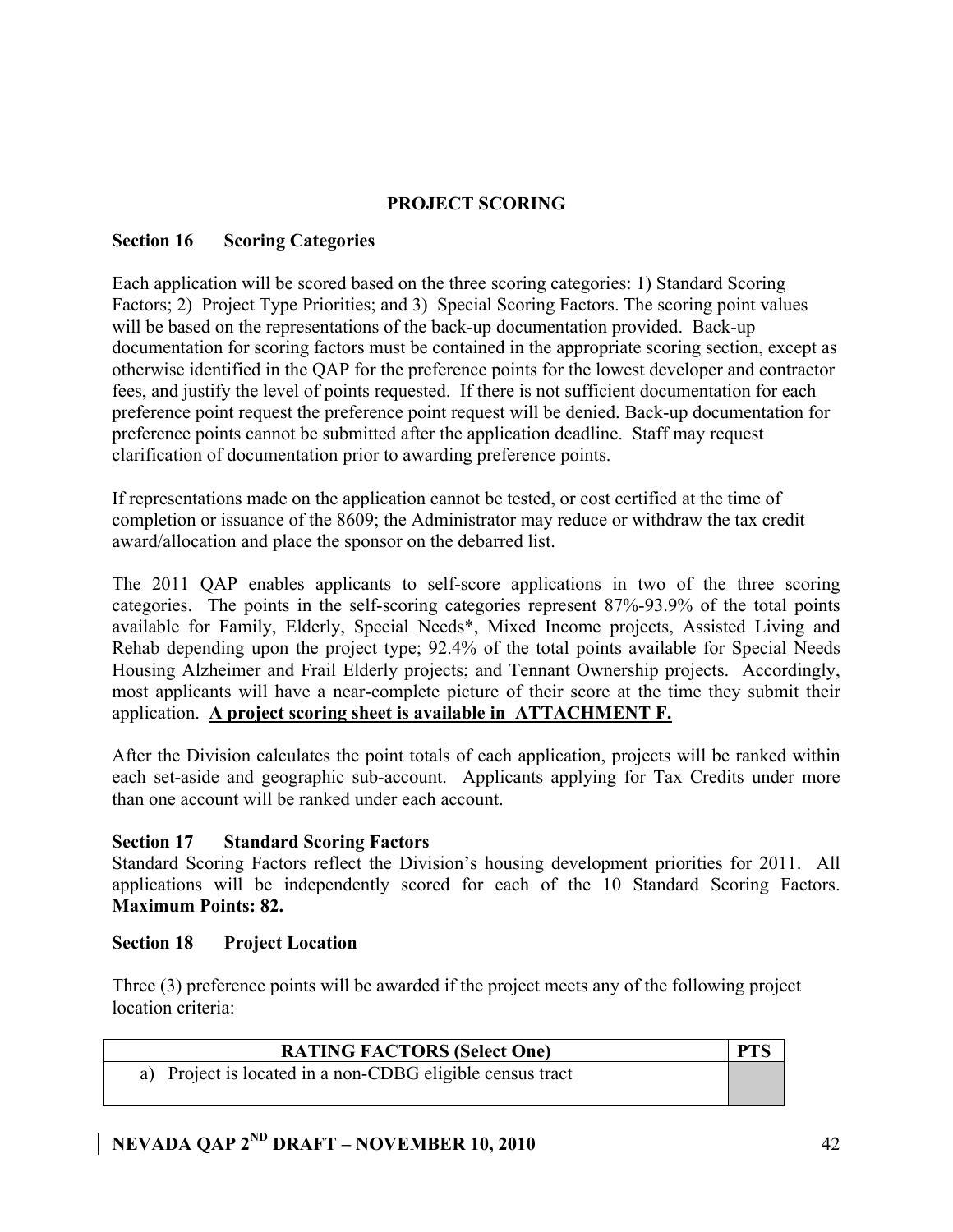### **PROJECT SCORING**

### **Section 16 Scoring Categories**

Each application will be scored based on the three scoring categories: 1) Standard Scoring Factors; 2) Project Type Priorities; and 3) Special Scoring Factors. The scoring point values will be based on the representations of the back-up documentation provided. Back-up documentation for scoring factors must be contained in the appropriate scoring section, except as otherwise identified in the QAP for the preference points for the lowest developer and contractor fees, and justify the level of points requested. If there is not sufficient documentation for each preference point request the preference point request will be denied. Back-up documentation for preference points cannot be submitted after the application deadline. Staff may request clarification of documentation prior to awarding preference points.

If representations made on the application cannot be tested, or cost certified at the time of completion or issuance of the 8609; the Administrator may reduce or withdraw the tax credit award/allocation and place the sponsor on the debarred list.

The 2011 QAP enables applicants to self-score applications in two of the three scoring categories. The points in the self-scoring categories represent 87%-93.9% of the total points available for Family, Elderly, Special Needs\*, Mixed Income projects, Assisted Living and Rehab depending upon the project type; 92.4% of the total points available for Special Needs Housing Alzheimer and Frail Elderly projects; and Tennant Ownership projects. Accordingly, most applicants will have a near-complete picture of their score at the time they submit their application. **A project scoring sheet is available in ATTACHMENT F.**

After the Division calculates the point totals of each application, projects will be ranked within each set-aside and geographic sub-account. Applicants applying for Tax Credits under more than one account will be ranked under each account.

### **Section 17 Standard Scoring Factors**

Standard Scoring Factors reflect the Division's housing development priorities for 2011. All applications will be independently scored for each of the 10 Standard Scoring Factors. **Maximum Points: 82.**

### **Section 18 Project Location**

Three (3) preference points will be awarded if the project meets any of the following project location criteria:

| <b>RATING FACTORS (Select One)</b>                        | <b>PTS</b> |
|-----------------------------------------------------------|------------|
| a) Project is located in a non-CDBG eligible census tract |            |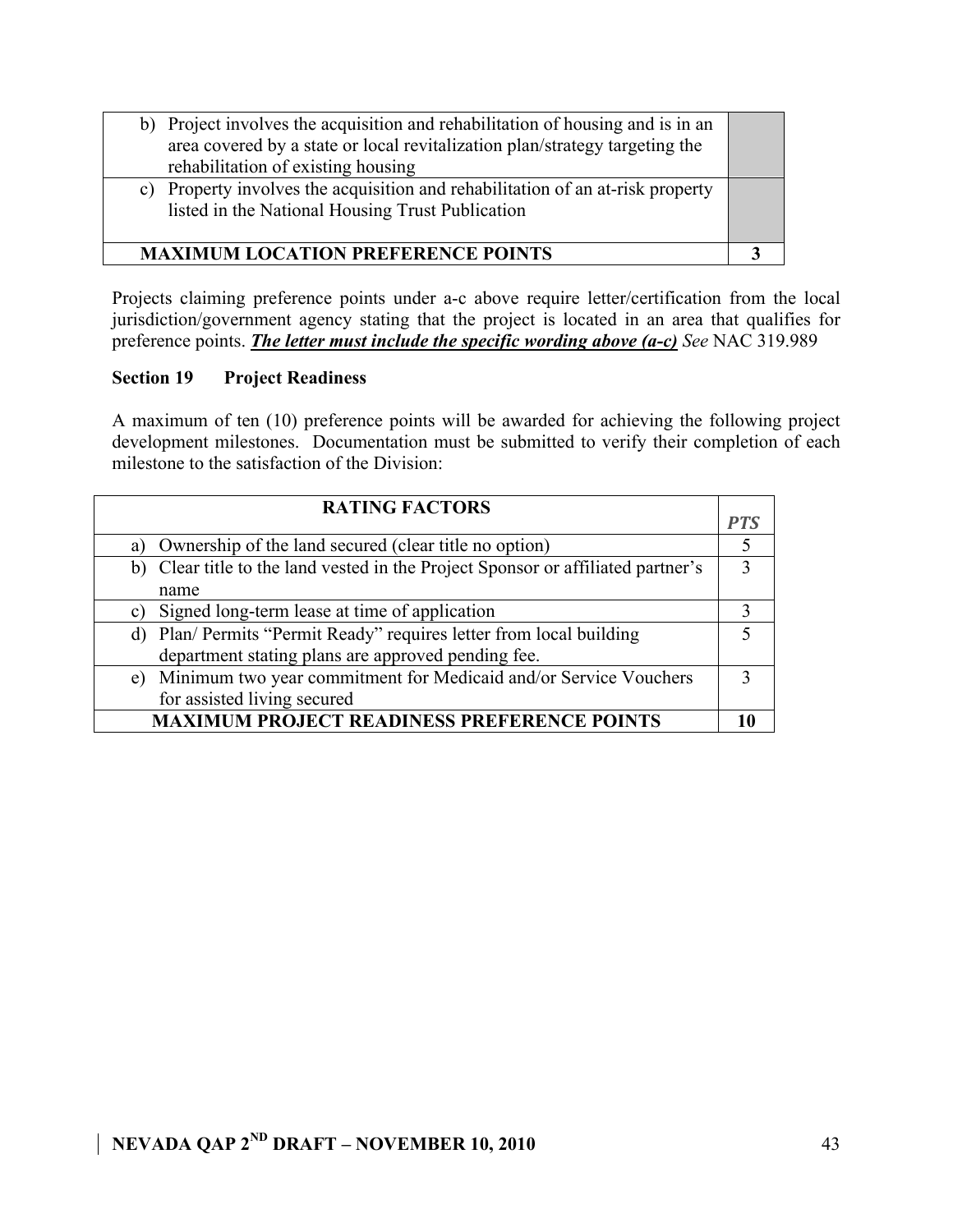| b) Project involves the acquisition and rehabilitation of housing and is in an<br>area covered by a state or local revitalization plan/strategy targeting the<br>rehabilitation of existing housing |  |
|-----------------------------------------------------------------------------------------------------------------------------------------------------------------------------------------------------|--|
| Property involves the acquisition and rehabilitation of an at-risk property<br>C)<br>listed in the National Housing Trust Publication                                                               |  |
| <b>MAXIMUM LOCATION PREFERENCE POINTS</b>                                                                                                                                                           |  |

Projects claiming preference points under a-c above require letter/certification from the local jurisdiction/government agency stating that the project is located in an area that qualifies for preference points. *The letter must include the specific wording above (a-c) See* NAC 319.989

### **Section 19 Project Readiness**

A maximum of ten (10) preference points will be awarded for achieving the following project development milestones. Documentation must be submitted to verify their completion of each milestone to the satisfaction of the Division:

| <b>RATING FACTORS</b>                                                            |     |
|----------------------------------------------------------------------------------|-----|
|                                                                                  | PTS |
| Ownership of the land secured (clear title no option)<br>a)                      |     |
| b) Clear title to the land vested in the Project Sponsor or affiliated partner's |     |
| name                                                                             |     |
| Signed long-term lease at time of application<br>C)                              |     |
| d) Plan/ Permits "Permit Ready" requires letter from local building              |     |
| department stating plans are approved pending fee.                               |     |
| e) Minimum two year commitment for Medicaid and/or Service Vouchers              |     |
| for assisted living secured                                                      |     |
| <b>MAXIMUM PROJECT READINESS PREFERENCE POINTS</b>                               |     |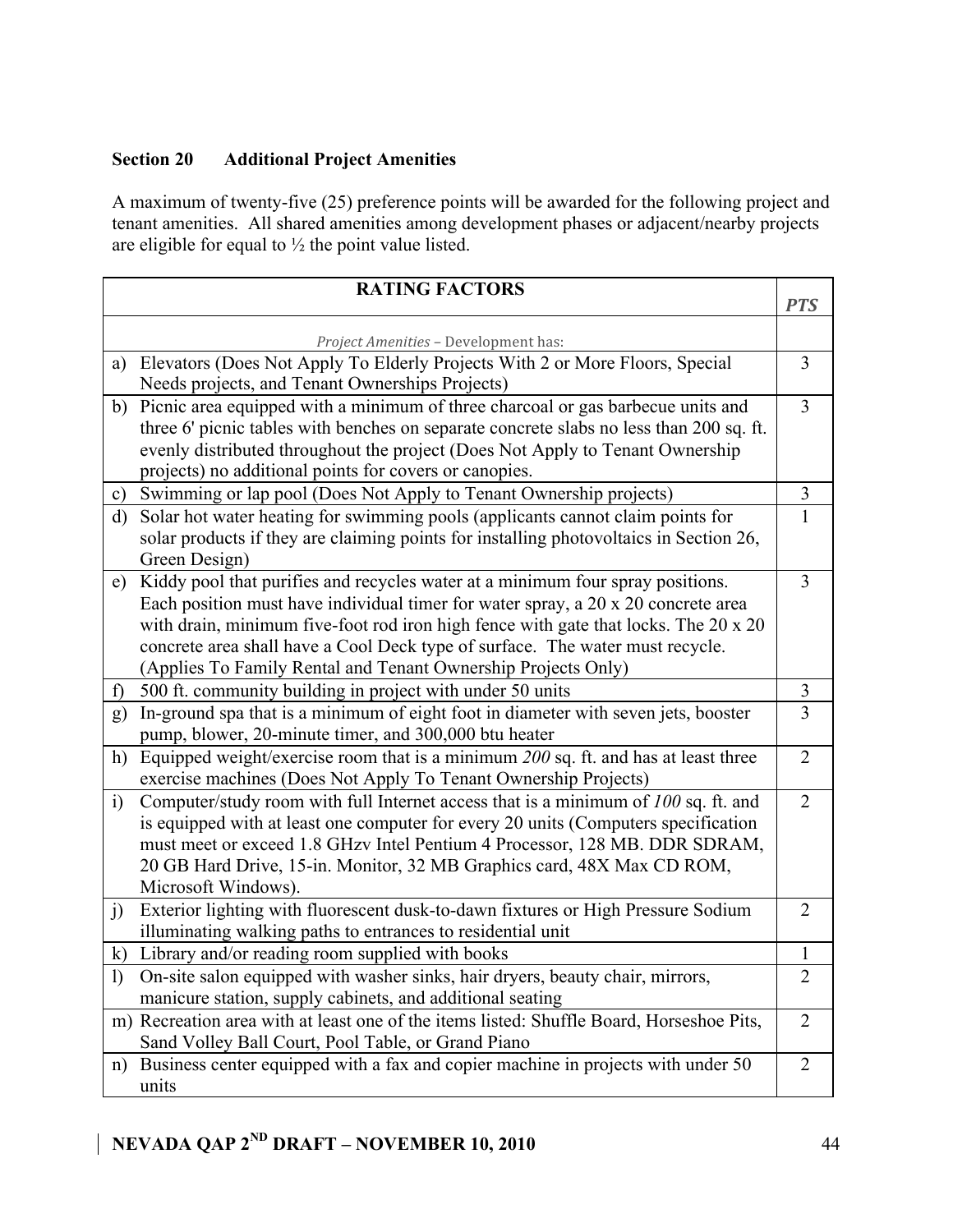# **Section 20 Additional Project Amenities**

A maximum of twenty-five (25) preference points will be awarded for the following project and tenant amenities. All shared amenities among development phases or adjacent/nearby projects are eligible for equal to  $\frac{1}{2}$  the point value listed.

|              | <b>RATING FACTORS</b>                                                                                                                                                                                                                                                                                                                                                                                        | <b>PTS</b>     |
|--------------|--------------------------------------------------------------------------------------------------------------------------------------------------------------------------------------------------------------------------------------------------------------------------------------------------------------------------------------------------------------------------------------------------------------|----------------|
|              |                                                                                                                                                                                                                                                                                                                                                                                                              |                |
|              | Project Amenities - Development has:                                                                                                                                                                                                                                                                                                                                                                         | 3              |
| a)           | Elevators (Does Not Apply To Elderly Projects With 2 or More Floors, Special<br>Needs projects, and Tenant Ownerships Projects)                                                                                                                                                                                                                                                                              |                |
| b)           | Picnic area equipped with a minimum of three charcoal or gas barbecue units and<br>three 6' picnic tables with benches on separate concrete slabs no less than 200 sq. ft.<br>evenly distributed throughout the project (Does Not Apply to Tenant Ownership<br>projects) no additional points for covers or canopies.                                                                                        | 3              |
| c)           | Swimming or lap pool (Does Not Apply to Tenant Ownership projects)                                                                                                                                                                                                                                                                                                                                           | 3              |
| $\mathbf{d}$ | Solar hot water heating for swimming pools (applicants cannot claim points for<br>solar products if they are claiming points for installing photovoltaics in Section 26,<br>Green Design)                                                                                                                                                                                                                    | 1              |
| e)           | Kiddy pool that purifies and recycles water at a minimum four spray positions.<br>Each position must have individual timer for water spray, a 20 x 20 concrete area<br>with drain, minimum five-foot rod iron high fence with gate that locks. The 20 x 20<br>concrete area shall have a Cool Deck type of surface. The water must recycle.<br>(Applies To Family Rental and Tenant Ownership Projects Only) | 3              |
| $\mathbf{f}$ | 500 ft. community building in project with under 50 units                                                                                                                                                                                                                                                                                                                                                    | 3              |
| g)           | In-ground spa that is a minimum of eight foot in diameter with seven jets, booster<br>pump, blower, 20-minute timer, and 300,000 btu heater                                                                                                                                                                                                                                                                  | $\overline{3}$ |
| h)           | Equipped weight/exercise room that is a minimum 200 sq. ft. and has at least three<br>exercise machines (Does Not Apply To Tenant Ownership Projects)                                                                                                                                                                                                                                                        | $\overline{2}$ |
| $\ddot{1}$   | Computer/study room with full Internet access that is a minimum of 100 sq. ft. and<br>is equipped with at least one computer for every 20 units (Computers specification<br>must meet or exceed 1.8 GHzv Intel Pentium 4 Processor, 128 MB. DDR SDRAM,<br>20 GB Hard Drive, 15-in. Monitor, 32 MB Graphics card, 48X Max CD ROM,<br>Microsoft Windows).                                                      | $\overline{2}$ |
| j)           | Exterior lighting with fluorescent dusk-to-dawn fixtures or High Pressure Sodium<br>illuminating walking paths to entrances to residential unit                                                                                                                                                                                                                                                              | $\overline{2}$ |
| $\bf k)$     | Library and/or reading room supplied with books                                                                                                                                                                                                                                                                                                                                                              | 1              |
| $\mathbf{I}$ | On-site salon equipped with washer sinks, hair dryers, beauty chair, mirrors,<br>manicure station, supply cabinets, and additional seating                                                                                                                                                                                                                                                                   | $\overline{2}$ |
|              | m) Recreation area with at least one of the items listed: Shuffle Board, Horseshoe Pits,<br>Sand Volley Ball Court, Pool Table, or Grand Piano                                                                                                                                                                                                                                                               | $\overline{2}$ |
| n)           | Business center equipped with a fax and copier machine in projects with under 50<br>units                                                                                                                                                                                                                                                                                                                    | $\overline{2}$ |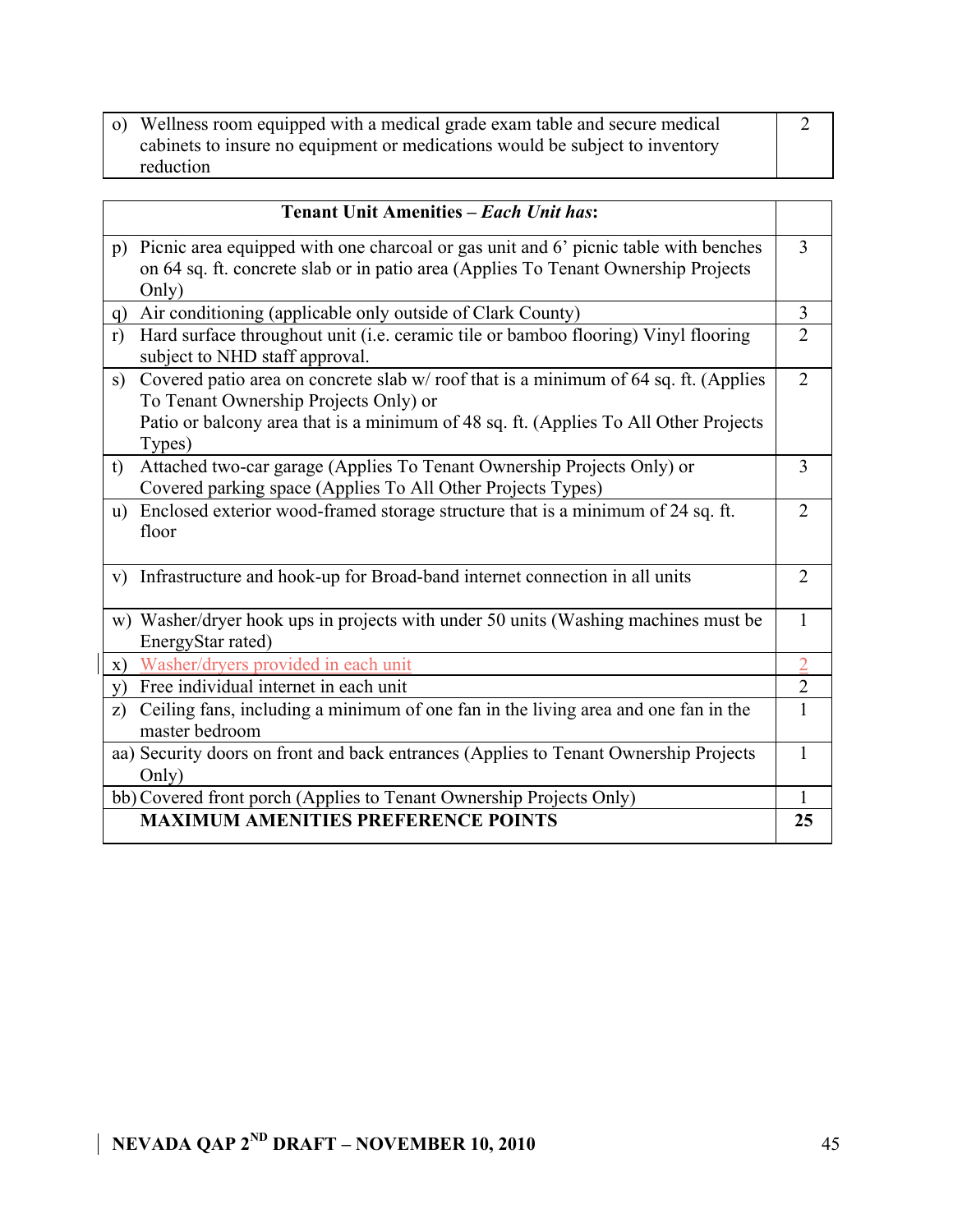| o) Wellness room equipped with a medical grade exam table and secure medical |  |
|------------------------------------------------------------------------------|--|
|                                                                              |  |
| cabinets to insure no equipment or medications would be subject to inventory |  |
|                                                                              |  |
| reduction                                                                    |  |
|                                                                              |  |

| <b>Tenant Unit Amenities - Each Unit has:</b>                                                                              |                |
|----------------------------------------------------------------------------------------------------------------------------|----------------|
| Picnic area equipped with one charcoal or gas unit and 6' picnic table with benches<br>p)                                  | 3              |
| on 64 sq. ft. concrete slab or in patio area (Applies To Tenant Ownership Projects                                         |                |
| Only)                                                                                                                      |                |
| Air conditioning (applicable only outside of Clark County)<br>q)                                                           | 3              |
| Hard surface throughout unit (i.e. ceramic tile or bamboo flooring) Vinyl flooring<br>r)<br>subject to NHD staff approval. | $\overline{2}$ |
| Covered patio area on concrete slab w/roof that is a minimum of 64 sq. ft. (Applies<br>s)                                  | $\overline{2}$ |
| To Tenant Ownership Projects Only) or                                                                                      |                |
| Patio or balcony area that is a minimum of 48 sq. ft. (Applies To All Other Projects<br>Types)                             |                |
| Attached two-car garage (Applies To Tenant Ownership Projects Only) or<br>t)                                               | 3              |
| Covered parking space (Applies To All Other Projects Types)                                                                |                |
| Enclosed exterior wood-framed storage structure that is a minimum of 24 sq. ft.<br>$\mathbf{u}$ )                          | $\overline{2}$ |
| floor                                                                                                                      |                |
| Infrastructure and hook-up for Broad-band internet connection in all units<br>V)                                           | $\overline{2}$ |
| w) Washer/dryer hook ups in projects with under 50 units (Washing machines must be                                         | $\mathbf{1}$   |
| EnergyStar rated)                                                                                                          |                |
| Washer/dryers provided in each unit<br>X)                                                                                  | $\overline{2}$ |
| Free individual internet in each unit<br>V)                                                                                | $\overline{2}$ |
| Ceiling fans, including a minimum of one fan in the living area and one fan in the<br>z)                                   | $\mathbf{1}$   |
| master bedroom                                                                                                             |                |
| aa) Security doors on front and back entrances (Applies to Tenant Ownership Projects                                       | 1              |
| Only)                                                                                                                      |                |
| bb) Covered front porch (Applies to Tenant Ownership Projects Only)                                                        | 1              |
| <b>MAXIMUM AMENITIES PREFERENCE POINTS</b>                                                                                 | 25             |

 $\overline{\phantom{a}}$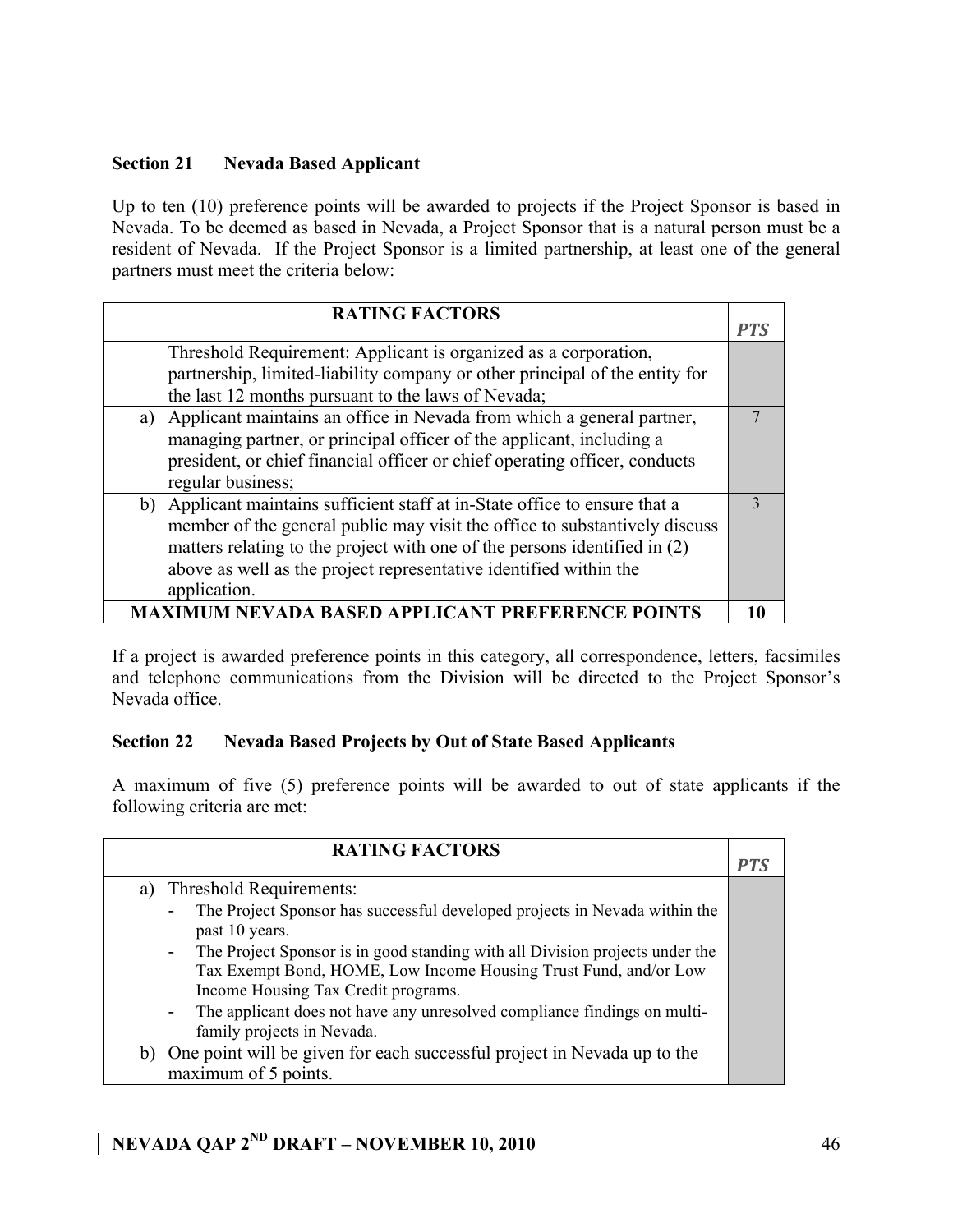### **Section 21 Nevada Based Applicant**

Up to ten (10) preference points will be awarded to projects if the Project Sponsor is based in Nevada. To be deemed as based in Nevada, a Project Sponsor that is a natural person must be a resident of Nevada. If the Project Sponsor is a limited partnership, at least one of the general partners must meet the criteria below:

| <b>RATING FACTORS</b>                                                       |    |
|-----------------------------------------------------------------------------|----|
| Threshold Requirement: Applicant is organized as a corporation,             |    |
| partnership, limited-liability company or other principal of the entity for |    |
| the last 12 months pursuant to the laws of Nevada;                          |    |
| a) Applicant maintains an office in Nevada from which a general partner,    | 7  |
| managing partner, or principal officer of the applicant, including a        |    |
| president, or chief financial officer or chief operating officer, conducts  |    |
| regular business;                                                           |    |
| b) Applicant maintains sufficient staff at in-State office to ensure that a | 3  |
| member of the general public may visit the office to substantively discuss  |    |
| matters relating to the project with one of the persons identified in (2)   |    |
| above as well as the project representative identified within the           |    |
| application.                                                                |    |
| AXIMUM NEVADA BASED APPLICANT PREFERENCE POINTS                             | 10 |

If a project is awarded preference points in this category, all correspondence, letters, facsimiles and telephone communications from the Division will be directed to the Project Sponsor's Nevada office.

### **Section 22 Nevada Based Projects by Out of State Based Applicants**

A maximum of five (5) preference points will be awarded to out of state applicants if the following criteria are met:

| <b>RATING FACTORS</b>                                                                                                                                                        | PTS |
|------------------------------------------------------------------------------------------------------------------------------------------------------------------------------|-----|
| a) Threshold Requirements:                                                                                                                                                   |     |
| The Project Sponsor has successful developed projects in Nevada within the<br>past 10 years.<br>The Project Sponsor is in good standing with all Division projects under the |     |
| $\sim 100$<br>Tax Exempt Bond, HOME, Low Income Housing Trust Fund, and/or Low<br>Income Housing Tax Credit programs.                                                        |     |
| The applicant does not have any unresolved compliance findings on multi-<br>$\sim$<br>family projects in Nevada.                                                             |     |
| b) One point will be given for each successful project in Nevada up to the<br>maximum of 5 points.                                                                           |     |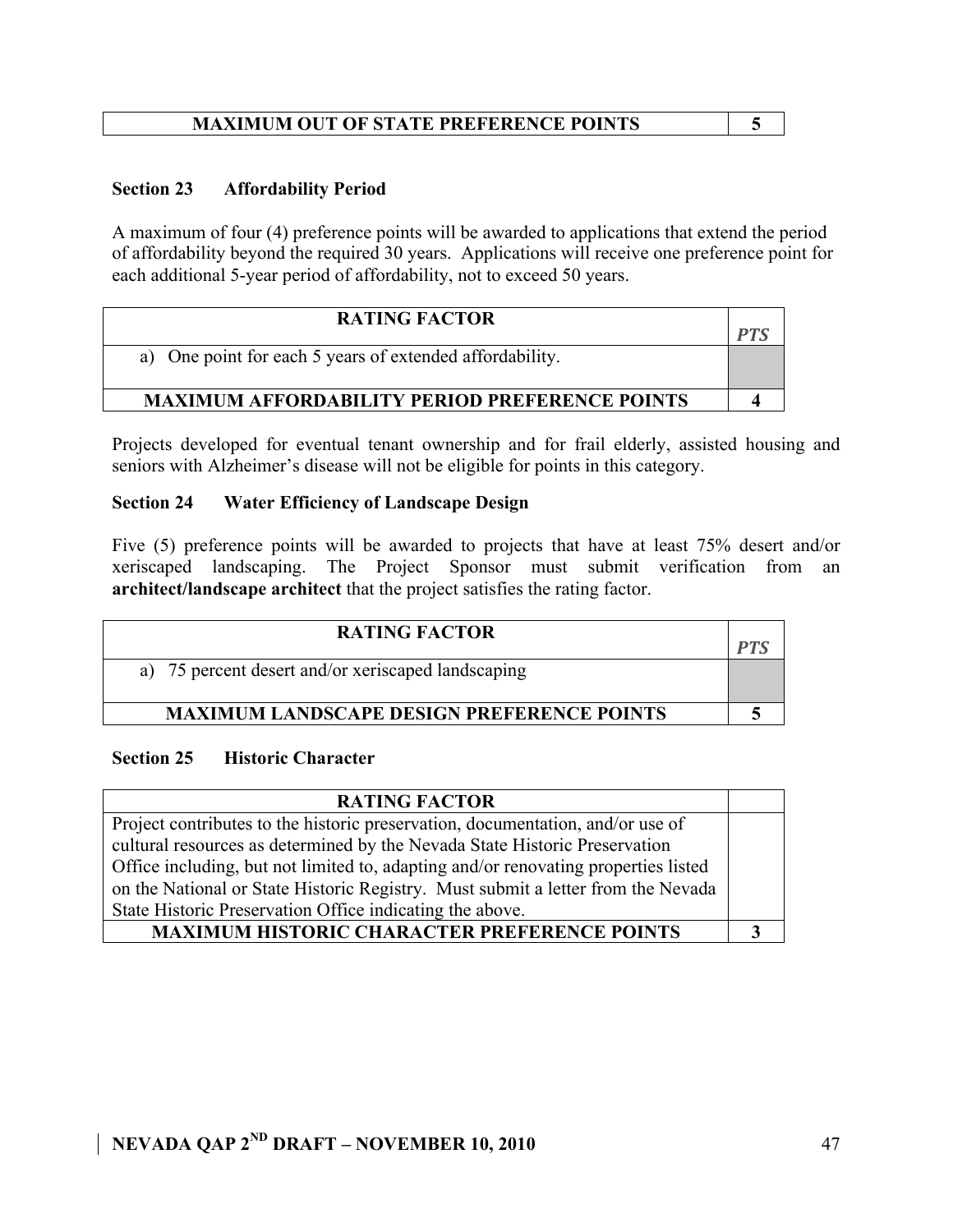## **MAXIMUM OUT OF STATE PREFERENCE POINTS 5**

### **Section 23 Affordability Period**

A maximum of four (4) preference points will be awarded to applications that extend the period of affordability beyond the required 30 years. Applications will receive one preference point for each additional 5-year period of affordability, not to exceed 50 years.

| <b>RATING FACTOR</b>                                     | DТ |
|----------------------------------------------------------|----|
| a) One point for each 5 years of extended affordability. |    |
| <b>MAXIMUM AFFORDABILITY PERIOD PREFERENCE POINTS</b>    |    |

Projects developed for eventual tenant ownership and for frail elderly, assisted housing and seniors with Alzheimer's disease will not be eligible for points in this category.

### **Section 24 Water Efficiency of Landscape Design**

Five (5) preference points will be awarded to projects that have at least 75% desert and/or xeriscaped landscaping. The Project Sponsor must submit verification from an **architect/landscape architect** that the project satisfies the rating factor.

| <b>RATING FACTOR</b>                               |  |
|----------------------------------------------------|--|
| a) 75 percent desert and/or xeriscaped landscaping |  |
| <b>MAXIMUM LANDSCAPE DESIGN PREFERENCE POINTS</b>  |  |

### **Section 25 Historic Character**

| <b>RATING FACTOR</b>                                                               |  |
|------------------------------------------------------------------------------------|--|
| Project contributes to the historic preservation, documentation, and/or use of     |  |
| cultural resources as determined by the Nevada State Historic Preservation         |  |
| Office including, but not limited to, adapting and/or renovating properties listed |  |
| on the National or State Historic Registry. Must submit a letter from the Nevada   |  |
| State Historic Preservation Office indicating the above.                           |  |
| <b>MAXIMUM HISTORIC CHARACTER PREFERENCE POINTS</b>                                |  |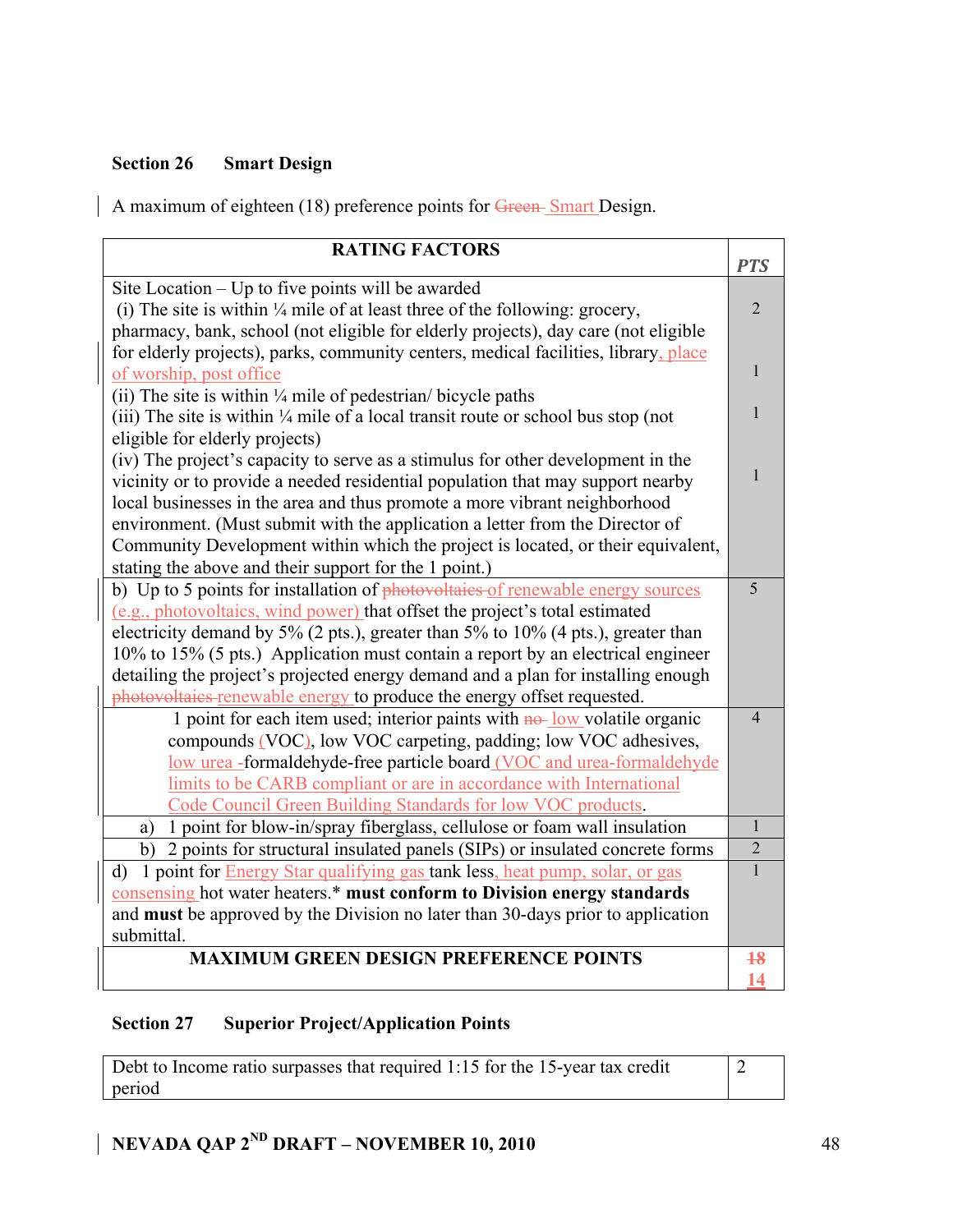## **Section 26 Smart Design**

A maximum of eighteen (18) preference points for Green-Smart Design.

| <b>RATING FACTORS</b>                                                                        |                |
|----------------------------------------------------------------------------------------------|----------------|
|                                                                                              | <b>PTS</b>     |
| Site Location – Up to five points will be awarded                                            |                |
| (i) The site is within $\frac{1}{4}$ mile of at least three of the following: grocery,       | $\overline{2}$ |
| pharmacy, bank, school (not eligible for elderly projects), day care (not eligible           |                |
| for elderly projects), parks, community centers, medical facilities, library, place          |                |
| of worship, post office                                                                      | 1              |
| (ii) The site is within $\frac{1}{4}$ mile of pedestrian/ bicycle paths                      |                |
| (iii) The site is within $\frac{1}{4}$ mile of a local transit route or school bus stop (not | 1              |
| eligible for elderly projects)                                                               |                |
| (iv) The project's capacity to serve as a stimulus for other development in the              |                |
| vicinity or to provide a needed residential population that may support nearby               | 1              |
| local businesses in the area and thus promote a more vibrant neighborhood                    |                |
| environment. (Must submit with the application a letter from the Director of                 |                |
| Community Development within which the project is located, or their equivalent,              |                |
| stating the above and their support for the 1 point.)                                        |                |
| b) Up to 5 points for installation of photovoltaies of renewable energy sources              | 5              |
| (e.g., photovoltaics, wind power) that offset the project's total estimated                  |                |
| electricity demand by 5% (2 pts.), greater than 5% to 10% (4 pts.), greater than             |                |
| 10% to 15% (5 pts.) Application must contain a report by an electrical engineer              |                |
| detailing the project's projected energy demand and a plan for installing enough             |                |
| photovoltaies renewable energy to produce the energy offset requested.                       |                |
| 1 point for each item used; interior paints with $n\theta$ -low volatile organic             | 4              |
| compounds (VOC), low VOC carpeting, padding; low VOC adhesives,                              |                |
| low urea -formaldehyde-free particle board (VOC and urea-formaldehyde                        |                |
| limits to be CARB compliant or are in accordance with International                          |                |
| Code Council Green Building Standards for low VOC products.                                  |                |
| 1 point for blow-in/spray fiberglass, cellulose or foam wall insulation<br>a)                | $\mathbf{1}$   |
| b) 2 points for structural insulated panels (SIPs) or insulated concrete forms               | $\overline{2}$ |
| 1 point for <b>Energy Star qualifying gas tank less</b> , heat pump, solar, or gas<br>d)     | 1              |
| consensing hot water heaters.* must conform to Division energy standards                     |                |
| and must be approved by the Division no later than 30-days prior to application              |                |
| submittal.                                                                                   |                |
| <b>MAXIMUM GREEN DESIGN PREFERENCE POINTS</b>                                                | 18             |
|                                                                                              | 14             |

# **Section 27 Superior Project/Application Points**

Debt to Income ratio surpasses that required 1:15 for the 15-year tax credit period 2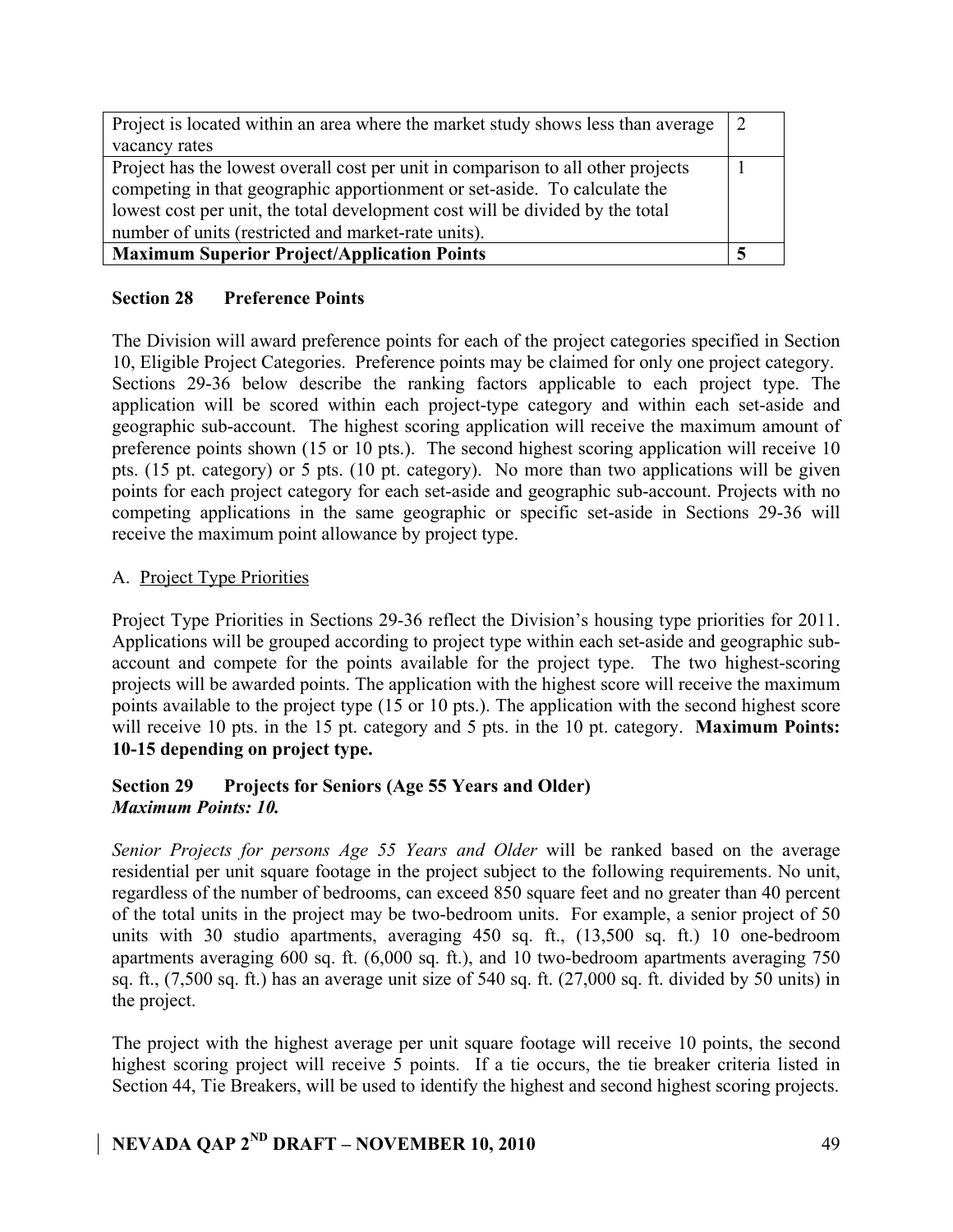| Project is located within an area where the market study shows less than average<br>vacancy rates                                                                                                                                                                                                     |  |
|-------------------------------------------------------------------------------------------------------------------------------------------------------------------------------------------------------------------------------------------------------------------------------------------------------|--|
| Project has the lowest overall cost per unit in comparison to all other projects<br>competing in that geographic apportionment or set-aside. To calculate the<br>lowest cost per unit, the total development cost will be divided by the total<br>number of units (restricted and market-rate units). |  |
| <b>Maximum Superior Project/Application Points</b>                                                                                                                                                                                                                                                    |  |

### **Section 28 Preference Points**

The Division will award preference points for each of the project categories specified in Section 10, Eligible Project Categories. Preference points may be claimed for only one project category. Sections 29-36 below describe the ranking factors applicable to each project type. The application will be scored within each project-type category and within each set-aside and geographic sub-account. The highest scoring application will receive the maximum amount of preference points shown (15 or 10 pts.). The second highest scoring application will receive 10 pts. (15 pt. category) or 5 pts. (10 pt. category). No more than two applications will be given points for each project category for each set-aside and geographic sub-account. Projects with no competing applications in the same geographic or specific set-aside in Sections 29-36 will receive the maximum point allowance by project type.

### A. Project Type Priorities

Project Type Priorities in Sections 29-36 reflect the Division's housing type priorities for 2011. Applications will be grouped according to project type within each set-aside and geographic subaccount and compete for the points available for the project type. The two highest-scoring projects will be awarded points. The application with the highest score will receive the maximum points available to the project type (15 or 10 pts.). The application with the second highest score will receive 10 pts. in the 15 pt. category and 5 pts. in the 10 pt. category. **Maximum Points: 10-15 depending on project type.**

### **Section 29 Projects for Seniors (Age 55 Years and Older)** *Maximum Points: 10.*

*Senior Projects for persons Age 55 Years and Older* will be ranked based on the average residential per unit square footage in the project subject to the following requirements. No unit, regardless of the number of bedrooms, can exceed 850 square feet and no greater than 40 percent of the total units in the project may be two-bedroom units. For example, a senior project of 50 units with 30 studio apartments, averaging 450 sq. ft., (13,500 sq. ft.) 10 one-bedroom apartments averaging 600 sq. ft. (6,000 sq. ft.), and 10 two-bedroom apartments averaging 750 sq. ft., (7,500 sq. ft.) has an average unit size of 540 sq. ft. (27,000 sq. ft. divided by 50 units) in the project.

The project with the highest average per unit square footage will receive 10 points, the second highest scoring project will receive 5 points. If a tie occurs, the tie breaker criteria listed in Section 44, Tie Breakers, will be used to identify the highest and second highest scoring projects.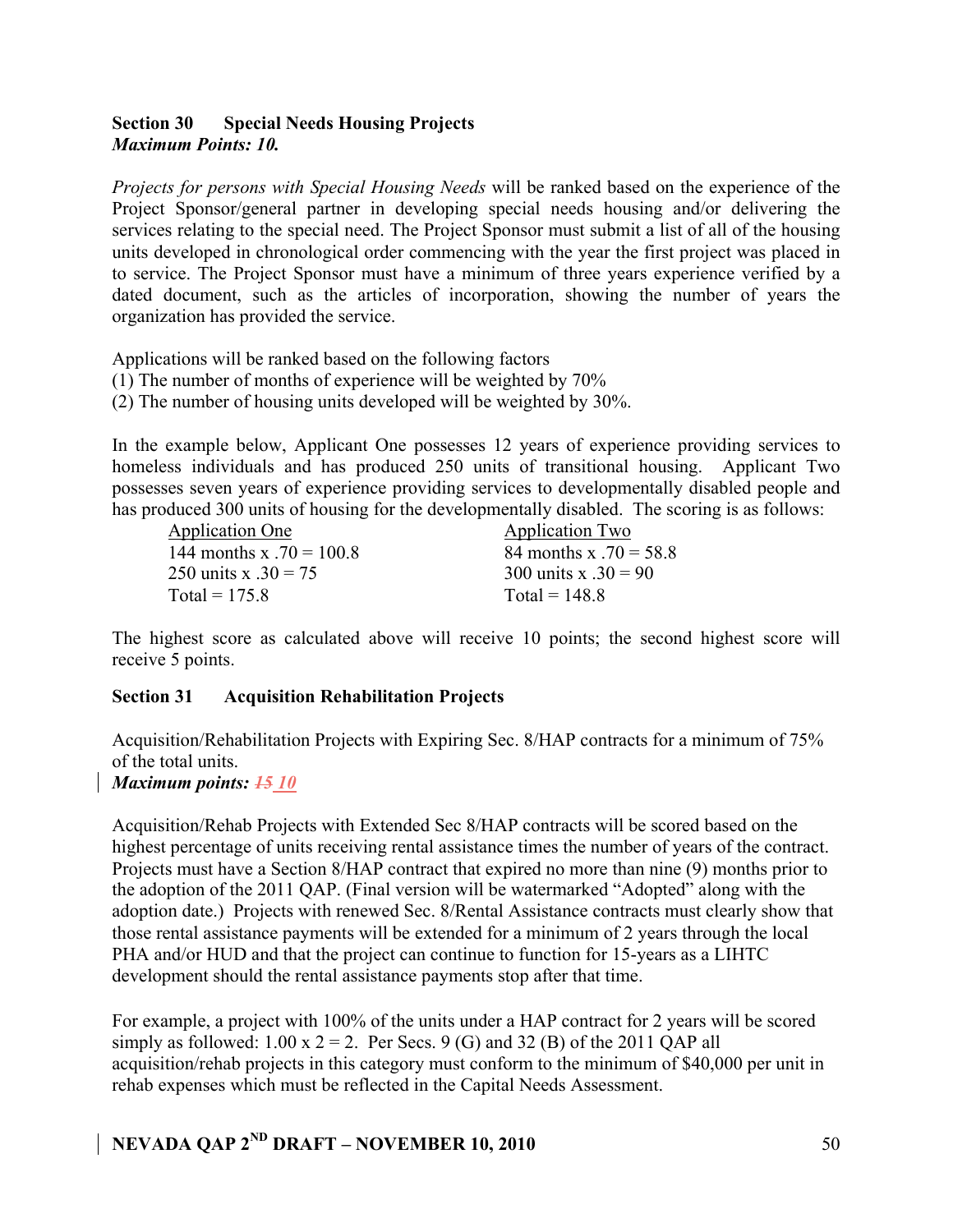### **Section 30 Special Needs Housing Projects** *Maximum Points: 10.*

*Projects for persons with Special Housing Needs* will be ranked based on the experience of the Project Sponsor/general partner in developing special needs housing and/or delivering the services relating to the special need. The Project Sponsor must submit a list of all of the housing units developed in chronological order commencing with the year the first project was placed in to service. The Project Sponsor must have a minimum of three years experience verified by a dated document, such as the articles of incorporation, showing the number of years the organization has provided the service.

Applications will be ranked based on the following factors

- (1) The number of months of experience will be weighted by 70%
- (2) The number of housing units developed will be weighted by 30%.

In the example below, Applicant One possesses 12 years of experience providing services to homeless individuals and has produced 250 units of transitional housing. Applicant Two possesses seven years of experience providing services to developmentally disabled people and has produced 300 units of housing for the developmentally disabled. The scoring is as follows:

Application One Application Two 144 months x  $.70 = 100.8$  84 months x  $.70 = 58.8$ 250 units x  $.30 = 75$  300 units x  $.30 = 90$  $Total = 175.8$  Total =  $148.8$ 

The highest score as calculated above will receive 10 points; the second highest score will receive 5 points.

### **Section 31 Acquisition Rehabilitation Projects**

Acquisition/Rehabilitation Projects with Expiring Sec. 8/HAP contracts for a minimum of 75% of the total units.

### *Maximum points: 15 10*

Acquisition/Rehab Projects with Extended Sec 8/HAP contracts will be scored based on the highest percentage of units receiving rental assistance times the number of years of the contract. Projects must have a Section 8/HAP contract that expired no more than nine (9) months prior to the adoption of the 2011 QAP. (Final version will be watermarked "Adopted" along with the adoption date.) Projects with renewed Sec. 8/Rental Assistance contracts must clearly show that those rental assistance payments will be extended for a minimum of 2 years through the local PHA and/or HUD and that the project can continue to function for 15-years as a LIHTC development should the rental assistance payments stop after that time.

For example, a project with 100% of the units under a HAP contract for 2 years will be scored simply as followed:  $1.00 \times 2 = 2$ . Per Secs. 9 (G) and 32 (B) of the 2011 QAP all acquisition/rehab projects in this category must conform to the minimum of \$40,000 per unit in rehab expenses which must be reflected in the Capital Needs Assessment.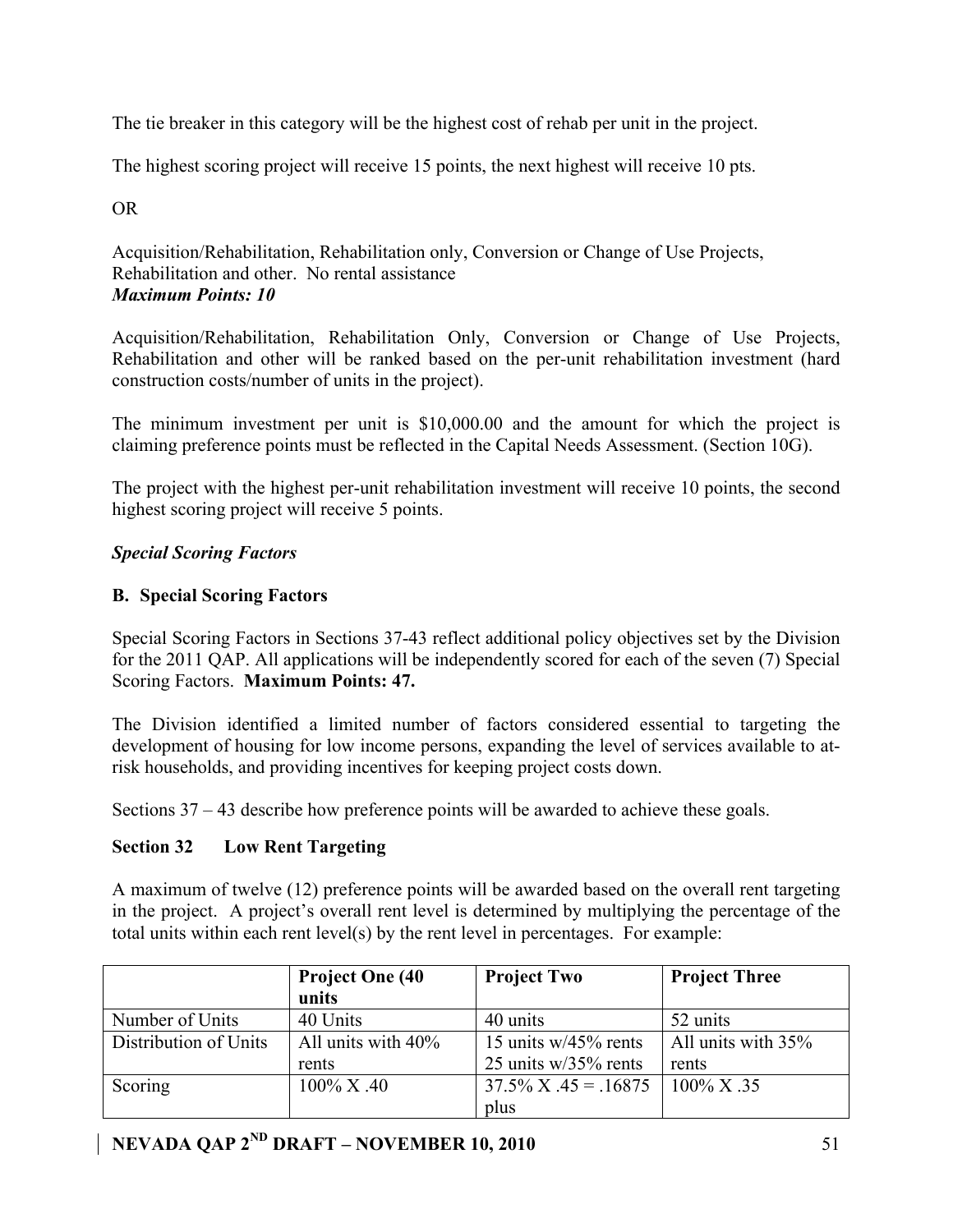The tie breaker in this category will be the highest cost of rehab per unit in the project.

The highest scoring project will receive 15 points, the next highest will receive 10 pts.

OR

Acquisition/Rehabilitation, Rehabilitation only, Conversion or Change of Use Projects, Rehabilitation and other. No rental assistance *Maximum Points: 10* 

Acquisition/Rehabilitation, Rehabilitation Only, Conversion or Change of Use Projects, Rehabilitation and other will be ranked based on the per-unit rehabilitation investment (hard construction costs/number of units in the project).

The minimum investment per unit is \$10,000.00 and the amount for which the project is claiming preference points must be reflected in the Capital Needs Assessment. (Section 10G).

The project with the highest per-unit rehabilitation investment will receive 10 points, the second highest scoring project will receive 5 points.

### *Special Scoring Factors*

### **B. Special Scoring Factors**

Special Scoring Factors in Sections 37-43 reflect additional policy objectives set by the Division for the 2011 QAP. All applications will be independently scored for each of the seven (7) Special Scoring Factors. **Maximum Points: 47.**

The Division identified a limited number of factors considered essential to targeting the development of housing for low income persons, expanding the level of services available to atrisk households, and providing incentives for keeping project costs down.

Sections 37 – 43 describe how preference points will be awarded to achieve these goals.

### **Section 32 Low Rent Targeting**

A maximum of twelve (12) preference points will be awarded based on the overall rent targeting in the project. A project's overall rent level is determined by multiplying the percentage of the total units within each rent level(s) by the rent level in percentages. For example:

|                       | <b>Project One (40)</b><br>units | <b>Project Two</b>        | <b>Project Three</b> |
|-----------------------|----------------------------------|---------------------------|----------------------|
| Number of Units       | 40 Units                         | 40 units                  | 52 units             |
| Distribution of Units | All units with $40\%$            | 15 units $w/45\%$ rents   | All units with 35%   |
|                       | rents                            | 25 units $w/35%$ rents    | rents                |
| Scoring               | $100\%$ X .40                    | $37.5\%$ X $.45 = .16875$ | $100\%$ X .35        |
|                       |                                  | plus                      |                      |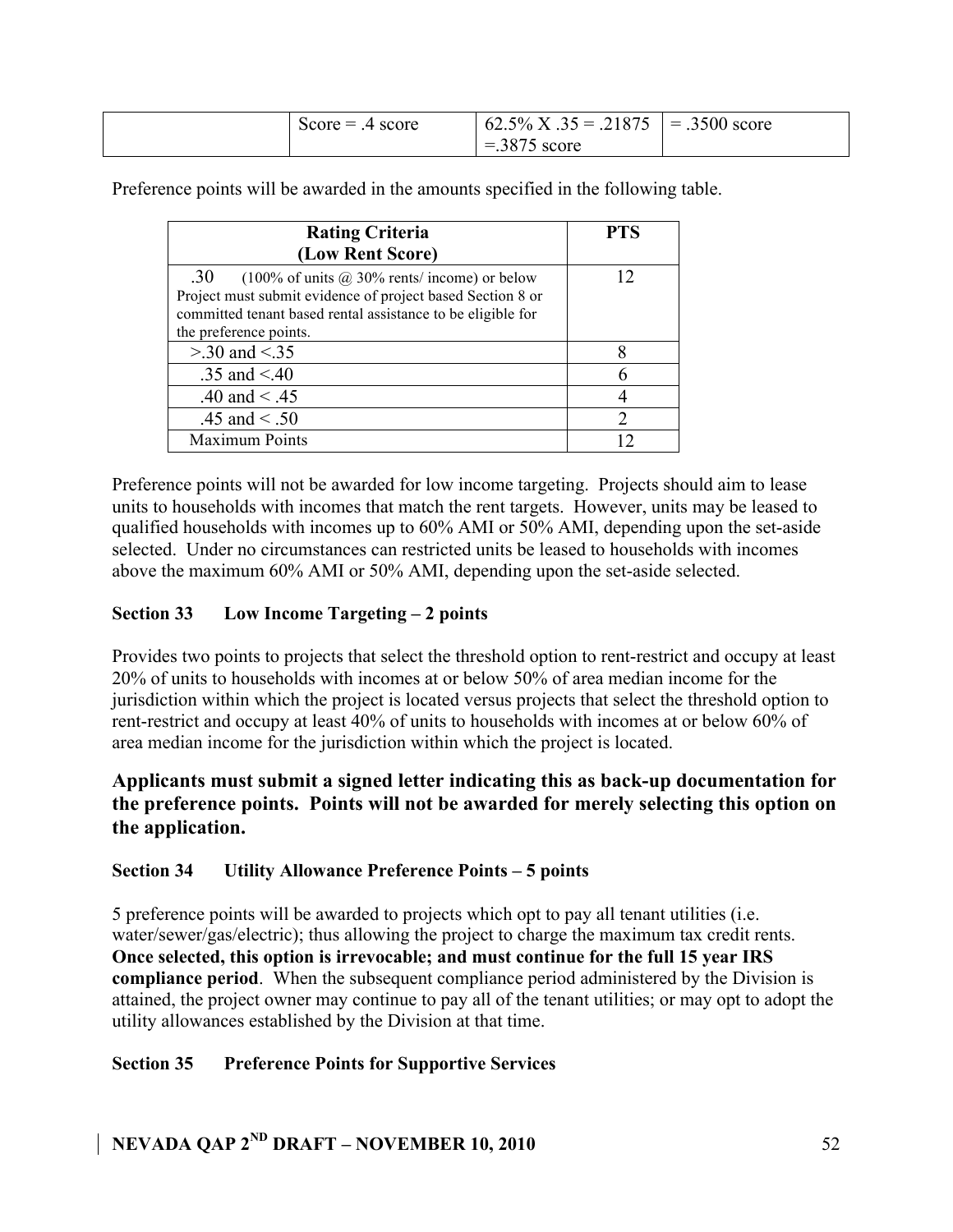| score<br>$Score =$ | 21875<br>$\sim$ $\sim$<br>$5\%$ X.<br>$35 =$<br>02.5 | 3500.<br>$=$<br>score |
|--------------------|------------------------------------------------------|-----------------------|
|                    | 2075<br>score<br>$\circ$                             |                       |

Preference points will be awarded in the amounts specified in the following table.

| <b>Rating Criteria</b>                                      | <b>PTS</b> |
|-------------------------------------------------------------|------------|
| (Low Rent Score)                                            |            |
| .30<br>(100% of units $\omega$ ) 30% rents/income) or below |            |
| Project must submit evidence of project based Section 8 or  |            |
| committed tenant based rental assistance to be eligible for |            |
| the preference points.                                      |            |
| $> 0.30$ and $< 0.35$                                       |            |
| .35 and $< 40$                                              |            |
| .40 and $< .45$                                             |            |
| .45 and $< .50$                                             |            |
| <b>Maximum Points</b>                                       |            |

Preference points will not be awarded for low income targeting. Projects should aim to lease units to households with incomes that match the rent targets. However, units may be leased to qualified households with incomes up to 60% AMI or 50% AMI, depending upon the set-aside selected. Under no circumstances can restricted units be leased to households with incomes above the maximum 60% AMI or 50% AMI, depending upon the set-aside selected.

### **Section 33 Low Income Targeting – 2 points**

Provides two points to projects that select the threshold option to rent-restrict and occupy at least 20% of units to households with incomes at or below 50% of area median income for the jurisdiction within which the project is located versus projects that select the threshold option to rent-restrict and occupy at least 40% of units to households with incomes at or below 60% of area median income for the jurisdiction within which the project is located.

### **Applicants must submit a signed letter indicating this as back-up documentation for the preference points. Points will not be awarded for merely selecting this option on the application.**

### **Section 34 Utility Allowance Preference Points – 5 points**

5 preference points will be awarded to projects which opt to pay all tenant utilities (i.e. water/sewer/gas/electric); thus allowing the project to charge the maximum tax credit rents. **Once selected, this option is irrevocable; and must continue for the full 15 year IRS compliance period**. When the subsequent compliance period administered by the Division is attained, the project owner may continue to pay all of the tenant utilities; or may opt to adopt the utility allowances established by the Division at that time.

### **Section 35 Preference Points for Supportive Services**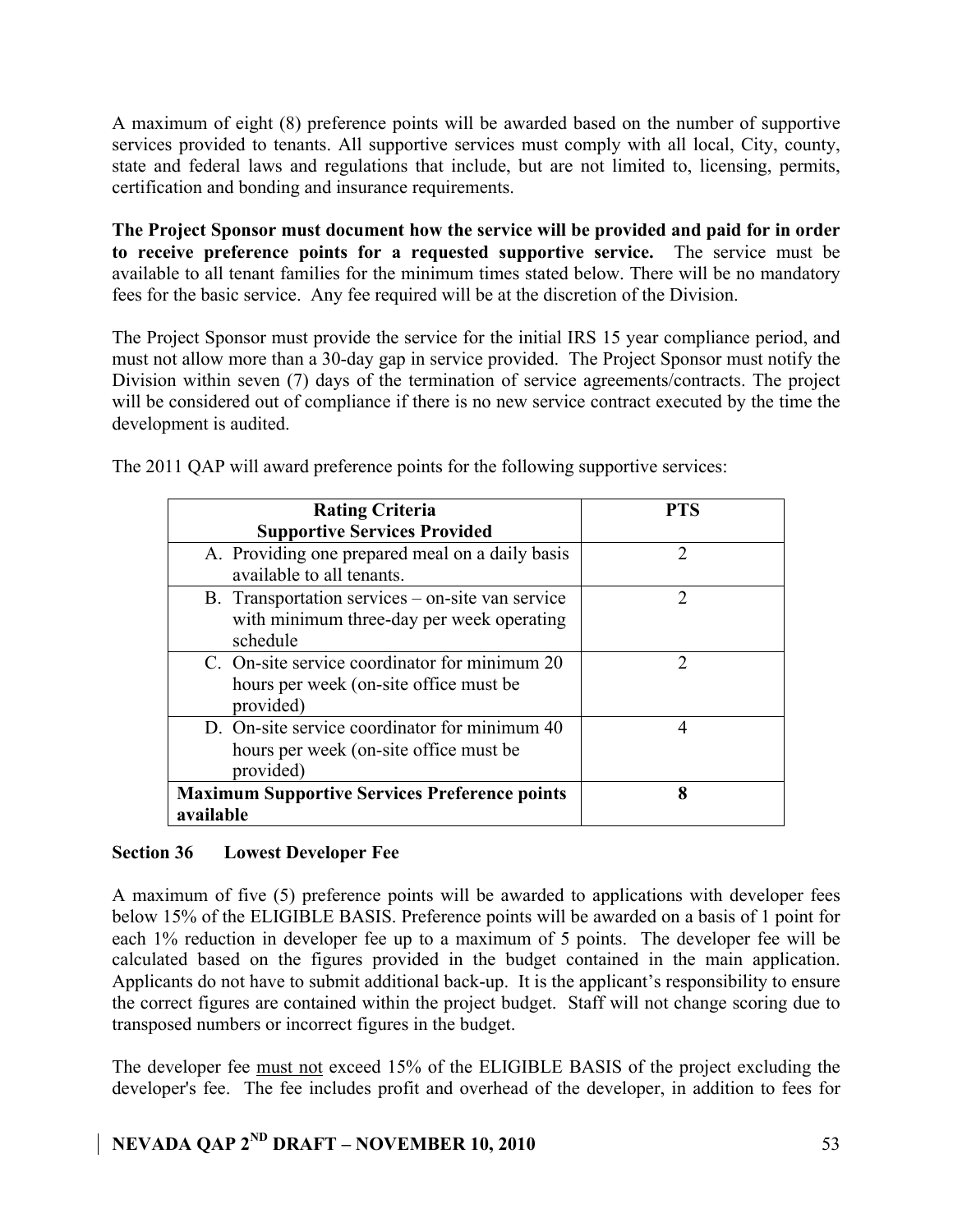A maximum of eight (8) preference points will be awarded based on the number of supportive services provided to tenants. All supportive services must comply with all local, City, county, state and federal laws and regulations that include, but are not limited to, licensing, permits, certification and bonding and insurance requirements.

**The Project Sponsor must document how the service will be provided and paid for in order to receive preference points for a requested supportive service.** The service must be available to all tenant families for the minimum times stated below. There will be no mandatory fees for the basic service. Any fee required will be at the discretion of the Division.

The Project Sponsor must provide the service for the initial IRS 15 year compliance period, and must not allow more than a 30-day gap in service provided. The Project Sponsor must notify the Division within seven (7) days of the termination of service agreements/contracts. The project will be considered out of compliance if there is no new service contract executed by the time the development is audited.

| <b>Rating Criteria</b>                                                                                    | PTS           |
|-----------------------------------------------------------------------------------------------------------|---------------|
| <b>Supportive Services Provided</b>                                                                       |               |
| A. Providing one prepared meal on a daily basis<br>available to all tenants.                              | 2             |
| B. Transportation services – on-site van service<br>with minimum three-day per week operating<br>schedule | $\mathcal{D}$ |
| C. On-site service coordinator for minimum 20<br>hours per week (on-site office must be<br>provided)      | $\mathcal{D}$ |
| D. On-site service coordinator for minimum 40<br>hours per week (on-site office must be<br>provided)      | 4             |
| <b>Maximum Supportive Services Preference points</b><br>available                                         | 8             |

The 2011 QAP will award preference points for the following supportive services:

### **Section 36 Lowest Developer Fee**

A maximum of five (5) preference points will be awarded to applications with developer fees below 15% of the ELIGIBLE BASIS. Preference points will be awarded on a basis of 1 point for each 1% reduction in developer fee up to a maximum of 5 points. The developer fee will be calculated based on the figures provided in the budget contained in the main application. Applicants do not have to submit additional back-up. It is the applicant's responsibility to ensure the correct figures are contained within the project budget. Staff will not change scoring due to transposed numbers or incorrect figures in the budget.

The developer fee must not exceed 15% of the ELIGIBLE BASIS of the project excluding the developer's fee. The fee includes profit and overhead of the developer, in addition to fees for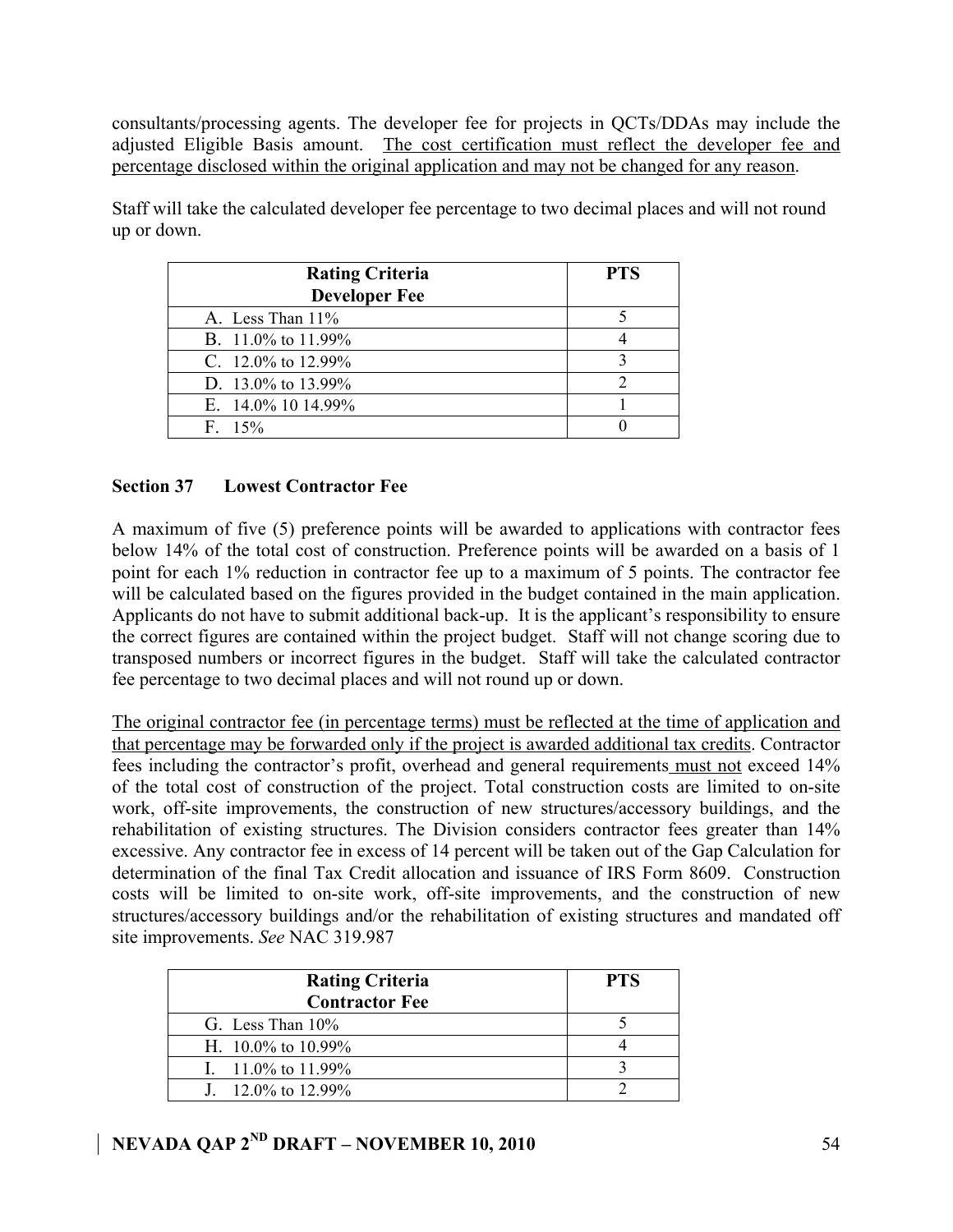consultants/processing agents. The developer fee for projects in QCTs/DDAs may include the adjusted Eligible Basis amount. The cost certification must reflect the developer fee and percentage disclosed within the original application and may not be changed for any reason.

| <b>Rating Criteria</b><br><b>Developer Fee</b> | <b>PTS</b> |
|------------------------------------------------|------------|
| A. Less Than $11\%$                            |            |
| B. $11.0\%$ to $11.99\%$                       |            |
| C. 12.0% to 12.99%                             |            |
| D. 13.0% to 13.99%                             |            |
| E. $14.0\%$ 10 14.99%                          |            |
| $F = 15\%$                                     |            |

Staff will take the calculated developer fee percentage to two decimal places and will not round up or down.

### **Section 37 Lowest Contractor Fee**

A maximum of five (5) preference points will be awarded to applications with contractor fees below 14% of the total cost of construction. Preference points will be awarded on a basis of 1 point for each 1% reduction in contractor fee up to a maximum of 5 points. The contractor fee will be calculated based on the figures provided in the budget contained in the main application. Applicants do not have to submit additional back-up. It is the applicant's responsibility to ensure the correct figures are contained within the project budget. Staff will not change scoring due to transposed numbers or incorrect figures in the budget. Staff will take the calculated contractor fee percentage to two decimal places and will not round up or down.

The original contractor fee (in percentage terms) must be reflected at the time of application and that percentage may be forwarded only if the project is awarded additional tax credits. Contractor fees including the contractor's profit, overhead and general requirements must not exceed 14% of the total cost of construction of the project. Total construction costs are limited to on-site work, off-site improvements, the construction of new structures/accessory buildings, and the rehabilitation of existing structures. The Division considers contractor fees greater than 14% excessive. Any contractor fee in excess of 14 percent will be taken out of the Gap Calculation for determination of the final Tax Credit allocation and issuance of IRS Form 8609. Construction costs will be limited to on-site work, off-site improvements, and the construction of new structures/accessory buildings and/or the rehabilitation of existing structures and mandated off site improvements. *See* NAC 319.987

| <b>Rating Criteria</b><br><b>Contractor Fee</b> | <b>PTS</b> |
|-------------------------------------------------|------------|
| G. Less Than $10\%$                             |            |
| H. $10.0\%$ to $10.99\%$                        |            |
| I. $11.0\%$ to 11.99%                           |            |
| $1.120\%$ to 12.99%                             |            |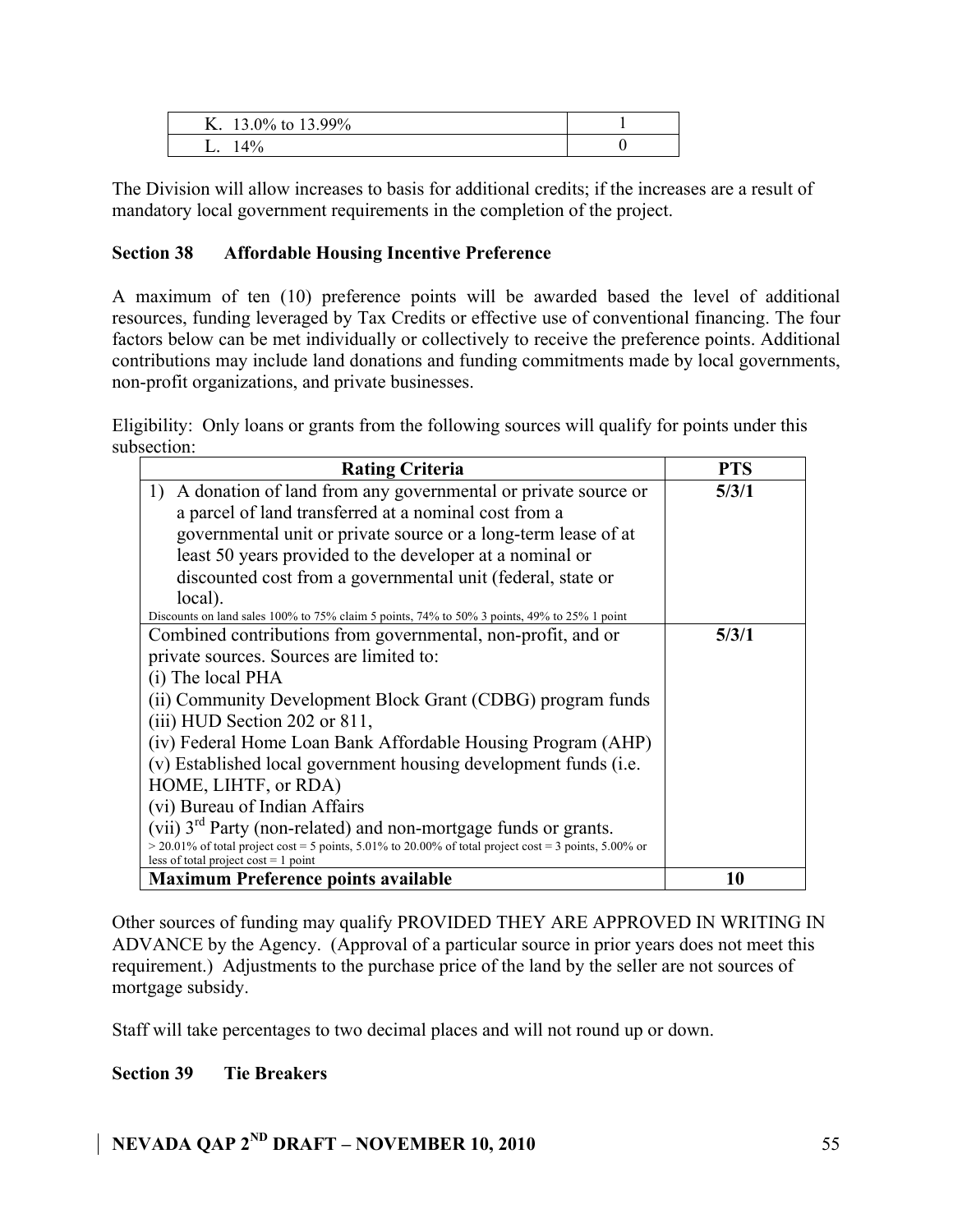| Δ. | 13.99%<br>$.3.0\%$ to |  |
|----|-----------------------|--|
|    | 4%                    |  |

The Division will allow increases to basis for additional credits; if the increases are a result of mandatory local government requirements in the completion of the project.

### **Section 38 Affordable Housing Incentive Preference**

A maximum of ten (10) preference points will be awarded based the level of additional resources, funding leveraged by Tax Credits or effective use of conventional financing. The four factors below can be met individually or collectively to receive the preference points. Additional contributions may include land donations and funding commitments made by local governments, non-profit organizations, and private businesses.

Eligibility: Only loans or grants from the following sources will qualify for points under this subsection:

| <b>Rating Criteria</b>                                                                                  | <b>PTS</b> |
|---------------------------------------------------------------------------------------------------------|------------|
| 1) A donation of land from any governmental or private source or                                        | 5/3/1      |
| a parcel of land transferred at a nominal cost from a                                                   |            |
| governmental unit or private source or a long-term lease of at                                          |            |
| least 50 years provided to the developer at a nominal or                                                |            |
| discounted cost from a governmental unit (federal, state or                                             |            |
| local).                                                                                                 |            |
| Discounts on land sales 100% to 75% claim 5 points, 74% to 50% 3 points, 49% to 25% 1 point             |            |
| Combined contributions from governmental, non-profit, and or                                            | 5/3/1      |
| private sources. Sources are limited to:                                                                |            |
| (i) The local PHA                                                                                       |            |
| (ii) Community Development Block Grant (CDBG) program funds                                             |            |
| $(iii)$ HUD Section 202 or 811,                                                                         |            |
| (iv) Federal Home Loan Bank Affordable Housing Program (AHP)                                            |            |
| (v) Established local government housing development funds (i.e.                                        |            |
| HOME, LIHTF, or RDA)                                                                                    |            |
| (vi) Bureau of Indian Affairs                                                                           |            |
| (vii) 3 <sup>rd</sup> Party (non-related) and non-mortgage funds or grants.                             |            |
| $>$ 20.01% of total project cost = 5 points, 5.01% to 20.00% of total project cost = 3 points, 5.00% or |            |
| less of total project cost $= 1$ point                                                                  |            |
| <b>Maximum Preference points available</b>                                                              | 10         |

Other sources of funding may qualify PROVIDED THEY ARE APPROVED IN WRITING IN ADVANCE by the Agency. (Approval of a particular source in prior years does not meet this requirement.) Adjustments to the purchase price of the land by the seller are not sources of mortgage subsidy.

Staff will take percentages to two decimal places and will not round up or down.

### **Section 39 Tie Breakers**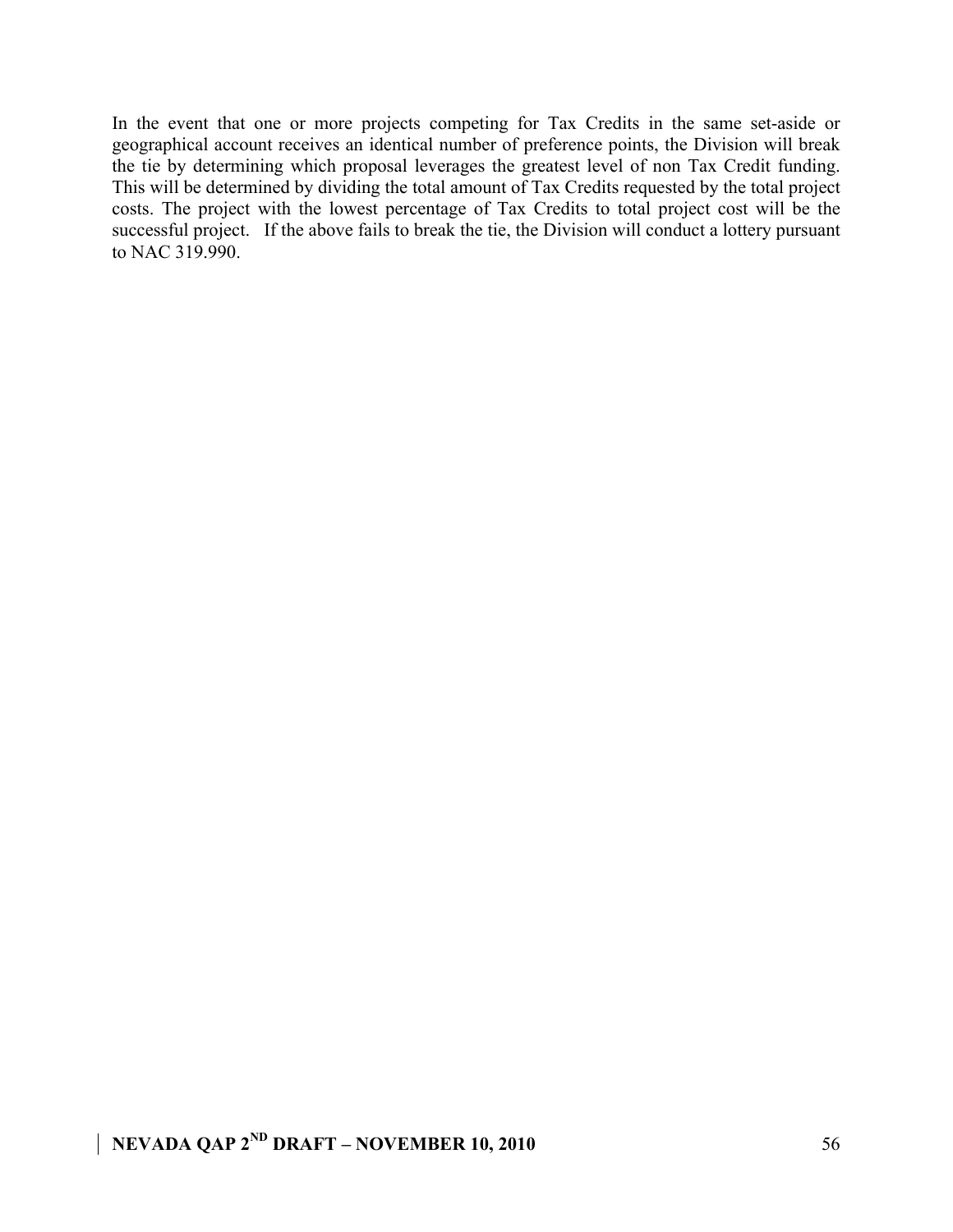In the event that one or more projects competing for Tax Credits in the same set-aside or geographical account receives an identical number of preference points, the Division will break the tie by determining which proposal leverages the greatest level of non Tax Credit funding. This will be determined by dividing the total amount of Tax Credits requested by the total project costs. The project with the lowest percentage of Tax Credits to total project cost will be the successful project. If the above fails to break the tie, the Division will conduct a lottery pursuant to NAC 319.990.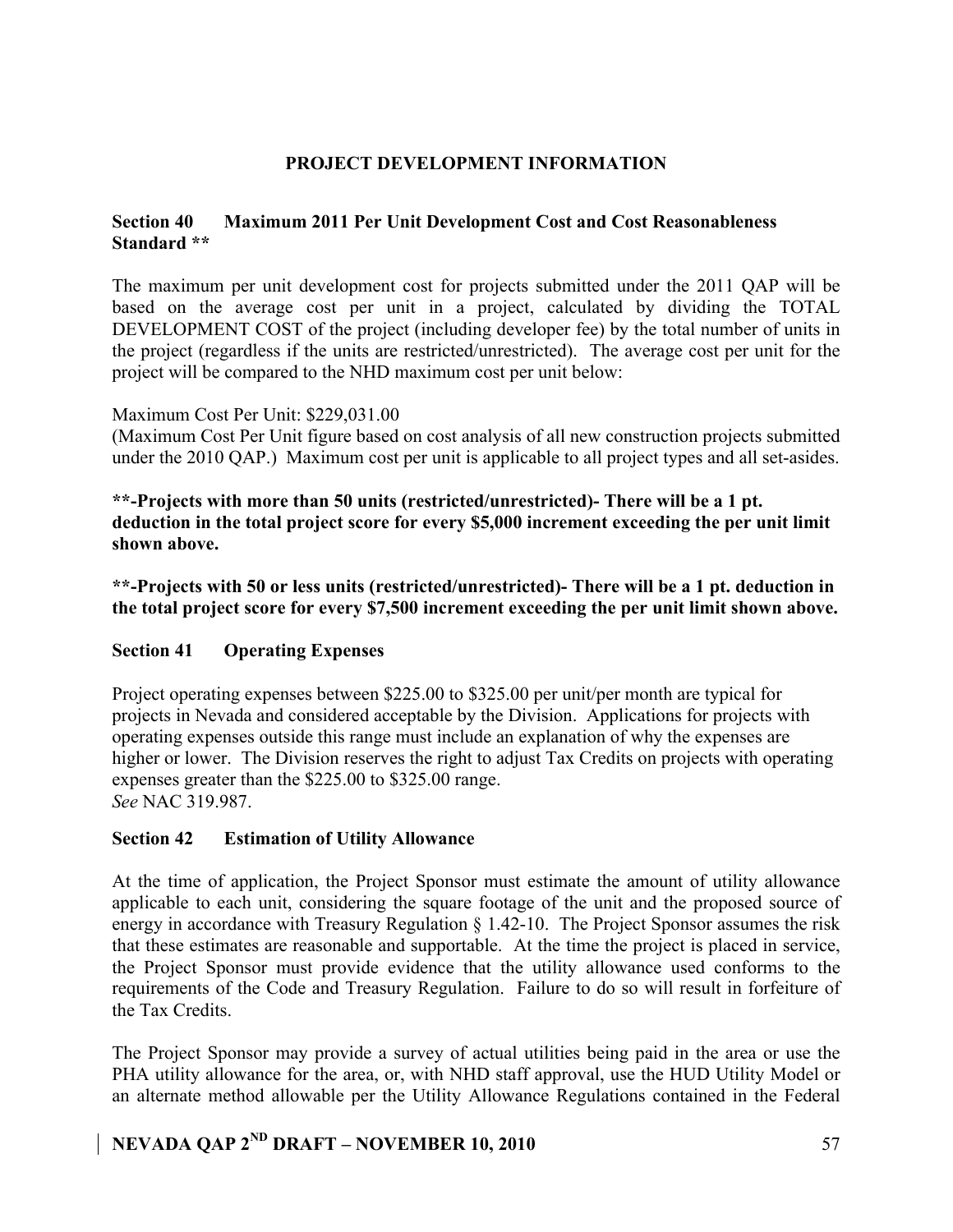### **PROJECT DEVELOPMENT INFORMATION**

### **Section 40 Maximum 2011 Per Unit Development Cost and Cost Reasonableness Standard \*\***

The maximum per unit development cost for projects submitted under the 2011 QAP will be based on the average cost per unit in a project, calculated by dividing the TOTAL DEVELOPMENT COST of the project (including developer fee) by the total number of units in the project (regardless if the units are restricted/unrestricted). The average cost per unit for the project will be compared to the NHD maximum cost per unit below:

### Maximum Cost Per Unit: \$229,031.00

(Maximum Cost Per Unit figure based on cost analysis of all new construction projects submitted under the 2010 QAP.) Maximum cost per unit is applicable to all project types and all set-asides.

**\*\*-Projects with more than 50 units (restricted/unrestricted)- There will be a 1 pt. deduction in the total project score for every \$5,000 increment exceeding the per unit limit shown above.**

**\*\*-Projects with 50 or less units (restricted/unrestricted)- There will be a 1 pt. deduction in the total project score for every \$7,500 increment exceeding the per unit limit shown above.**

### **Section 41 Operating Expenses**

Project operating expenses between \$225.00 to \$325.00 per unit/per month are typical for projects in Nevada and considered acceptable by the Division. Applications for projects with operating expenses outside this range must include an explanation of why the expenses are higher or lower. The Division reserves the right to adjust Tax Credits on projects with operating expenses greater than the \$225.00 to \$325.00 range. *See* NAC 319.987.

### **Section 42 Estimation of Utility Allowance**

At the time of application, the Project Sponsor must estimate the amount of utility allowance applicable to each unit, considering the square footage of the unit and the proposed source of energy in accordance with Treasury Regulation § 1.42-10. The Project Sponsor assumes the risk that these estimates are reasonable and supportable. At the time the project is placed in service, the Project Sponsor must provide evidence that the utility allowance used conforms to the requirements of the Code and Treasury Regulation. Failure to do so will result in forfeiture of the Tax Credits.

The Project Sponsor may provide a survey of actual utilities being paid in the area or use the PHA utility allowance for the area, or, with NHD staff approval, use the HUD Utility Model or an alternate method allowable per the Utility Allowance Regulations contained in the Federal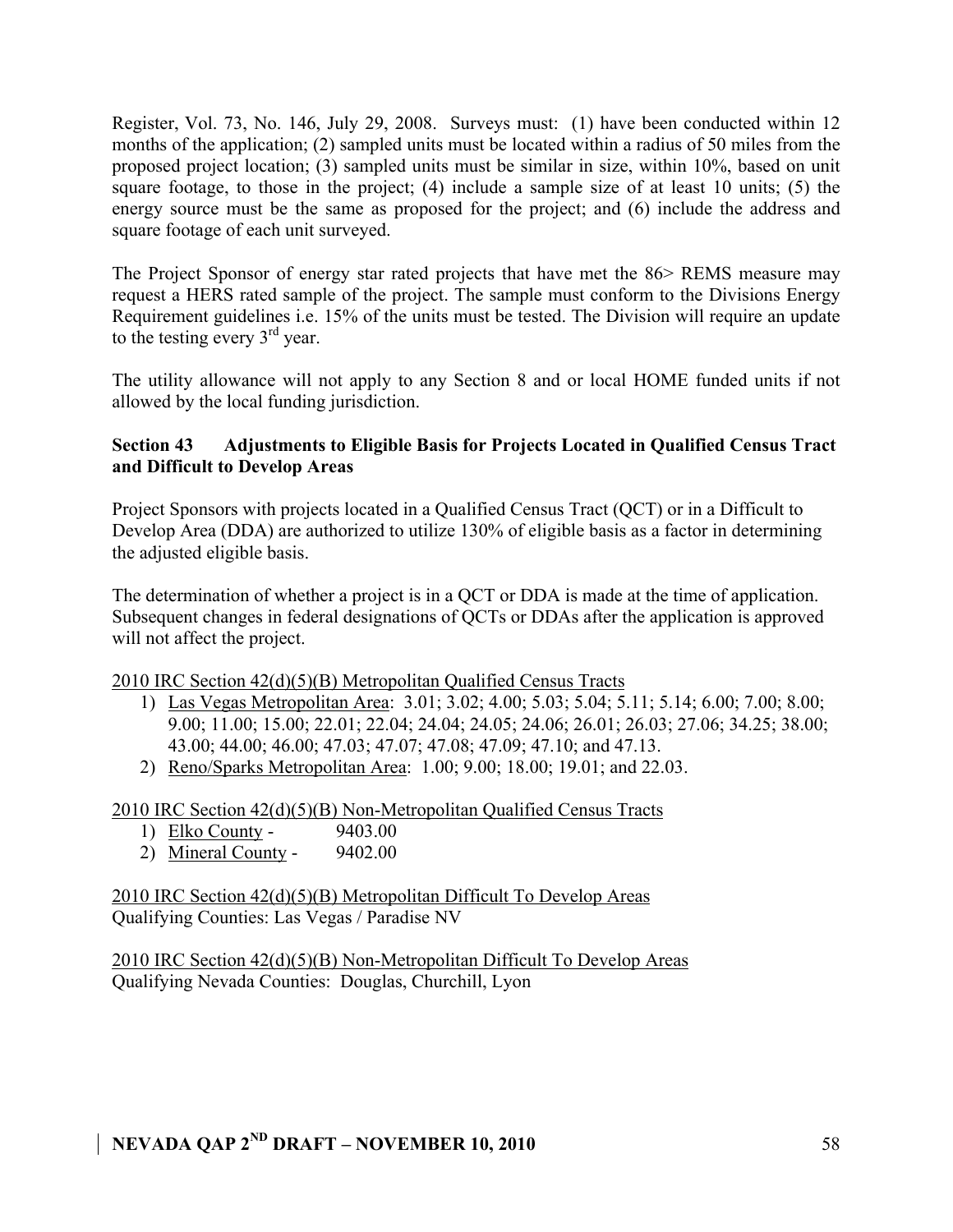Register, Vol. 73, No. 146, July 29, 2008. Surveys must: (1) have been conducted within 12 months of the application; (2) sampled units must be located within a radius of 50 miles from the proposed project location; (3) sampled units must be similar in size, within 10%, based on unit square footage, to those in the project; (4) include a sample size of at least 10 units; (5) the energy source must be the same as proposed for the project; and (6) include the address and square footage of each unit surveyed.

The Project Sponsor of energy star rated projects that have met the 86> REMS measure may request a HERS rated sample of the project. The sample must conform to the Divisions Energy Requirement guidelines i.e. 15% of the units must be tested. The Division will require an update to the testing every 3rd year.

The utility allowance will not apply to any Section 8 and or local HOME funded units if not allowed by the local funding jurisdiction.

### **Section 43 Adjustments to Eligible Basis for Projects Located in Qualified Census Tract and Difficult to Develop Areas**

Project Sponsors with projects located in a Qualified Census Tract (QCT) or in a Difficult to Develop Area (DDA) are authorized to utilize 130% of eligible basis as a factor in determining the adjusted eligible basis.

The determination of whether a project is in a QCT or DDA is made at the time of application. Subsequent changes in federal designations of QCTs or DDAs after the application is approved will not affect the project.

### 2010 IRC Section 42(d)(5)(B) Metropolitan Qualified Census Tracts

- 1) Las Vegas Metropolitan Area: 3.01; 3.02; 4.00; 5.03; 5.04; 5.11; 5.14; 6.00; 7.00; 8.00; 9.00; 11.00; 15.00; 22.01; 22.04; 24.04; 24.05; 24.06; 26.01; 26.03; 27.06; 34.25; 38.00; 43.00; 44.00; 46.00; 47.03; 47.07; 47.08; 47.09; 47.10; and 47.13.
- 2) Reno/Sparks Metropolitan Area: 1.00; 9.00; 18.00; 19.01; and 22.03.

2010 IRC Section 42(d)(5)(B) Non-Metropolitan Qualified Census Tracts

- 1) Elko County 9403.00
- 2) Mineral County 9402.00

2010 IRC Section 42(d)(5)(B) Metropolitan Difficult To Develop Areas Qualifying Counties: Las Vegas / Paradise NV

2010 IRC Section 42(d)(5)(B) Non-Metropolitan Difficult To Develop Areas Qualifying Nevada Counties: Douglas, Churchill, Lyon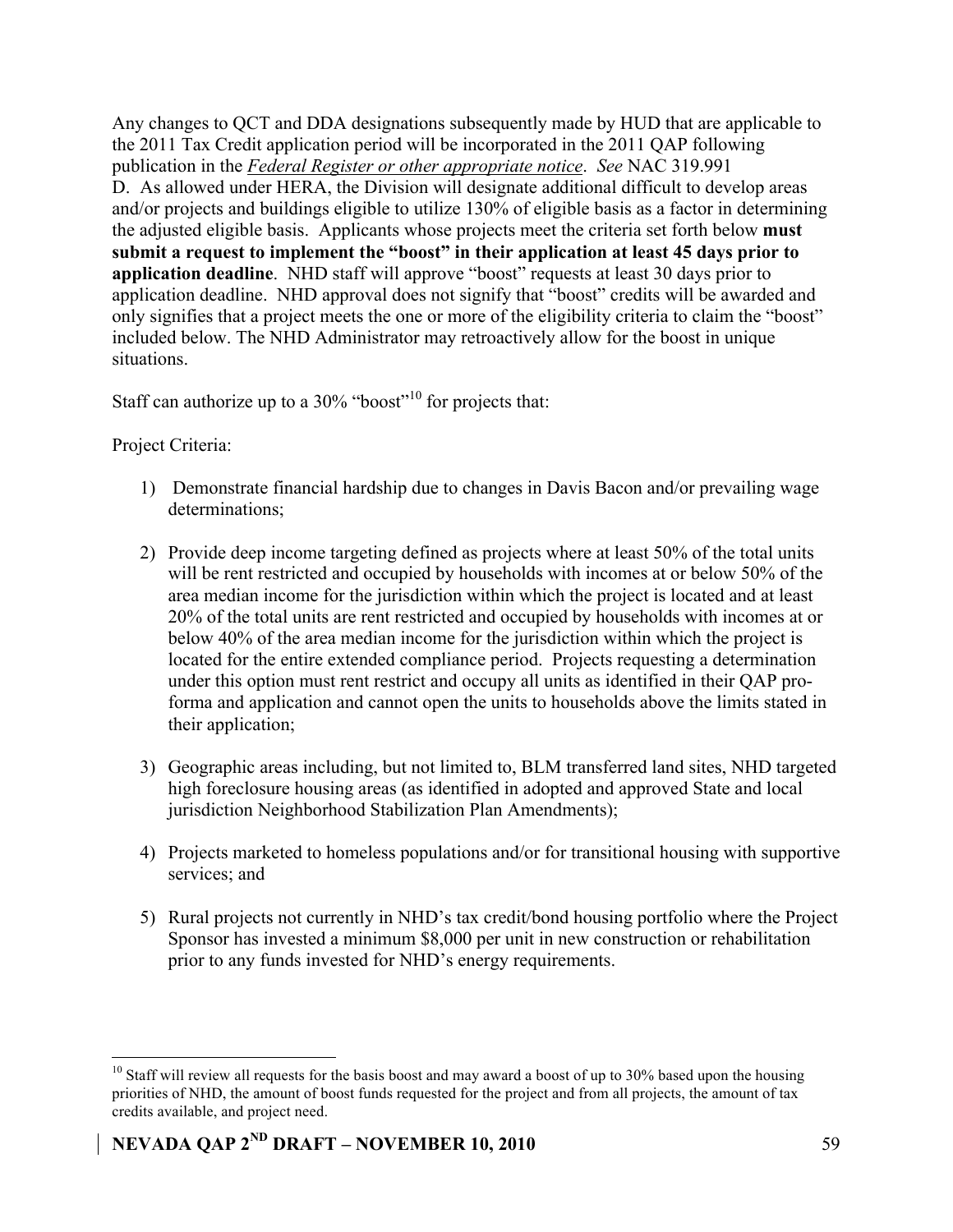Any changes to QCT and DDA designations subsequently made by HUD that are applicable to the 2011 Tax Credit application period will be incorporated in the 2011 QAP following publication in the *Federal Register or other appropriate notice*. *See* NAC 319.991 D. As allowed under HERA, the Division will designate additional difficult to develop areas and/or projects and buildings eligible to utilize 130% of eligible basis as a factor in determining the adjusted eligible basis. Applicants whose projects meet the criteria set forth below **must submit a request to implement the "boost" in their application at least 45 days prior to application deadline**. NHD staff will approve "boost" requests at least 30 days prior to application deadline. NHD approval does not signify that "boost" credits will be awarded and only signifies that a project meets the one or more of the eligibility criteria to claim the "boost" included below. The NHD Administrator may retroactively allow for the boost in unique situations.

Staff can authorize up to a  $30\%$  "boost"<sup>10</sup> for projects that:

Project Criteria:

- 1) Demonstrate financial hardship due to changes in Davis Bacon and/or prevailing wage determinations;
- 2) Provide deep income targeting defined as projects where at least 50% of the total units will be rent restricted and occupied by households with incomes at or below 50% of the area median income for the jurisdiction within which the project is located and at least 20% of the total units are rent restricted and occupied by households with incomes at or below 40% of the area median income for the jurisdiction within which the project is located for the entire extended compliance period. Projects requesting a determination under this option must rent restrict and occupy all units as identified in their QAP proforma and application and cannot open the units to households above the limits stated in their application;
- 3) Geographic areas including, but not limited to, BLM transferred land sites, NHD targeted high foreclosure housing areas (as identified in adopted and approved State and local jurisdiction Neighborhood Stabilization Plan Amendments);
- 4) Projects marketed to homeless populations and/or for transitional housing with supportive services; and
- 5) Rural projects not currently in NHD's tax credit/bond housing portfolio where the Project Sponsor has invested a minimum \$8,000 per unit in new construction or rehabilitation prior to any funds invested for NHD's energy requirements.

 $10$  Staff will review all requests for the basis boost and may award a boost of up to 30% based upon the housing priorities of NHD, the amount of boost funds requested for the project and from all projects, the amount of tax credits available, and project need.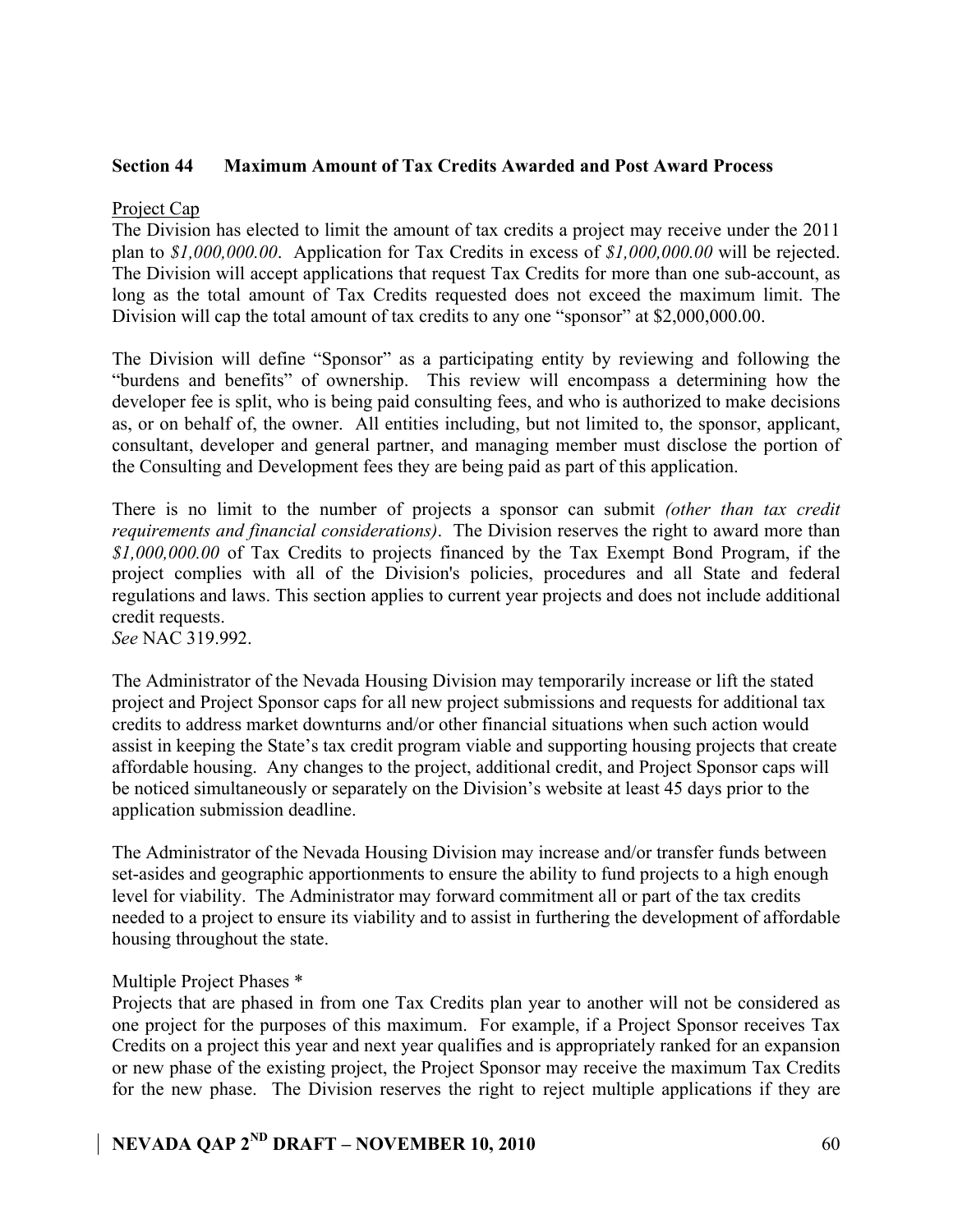### **Section 44 Maximum Amount of Tax Credits Awarded and Post Award Process**

### Project Cap

The Division has elected to limit the amount of tax credits a project may receive under the 2011 plan to *\$1,000,000.00*. Application for Tax Credits in excess of *\$1,000,000.00* will be rejected. The Division will accept applications that request Tax Credits for more than one sub-account, as long as the total amount of Tax Credits requested does not exceed the maximum limit. The Division will cap the total amount of tax credits to any one "sponsor" at \$2,000,000.00.

The Division will define "Sponsor" as a participating entity by reviewing and following the "burdens and benefits" of ownership. This review will encompass a determining how the developer fee is split, who is being paid consulting fees, and who is authorized to make decisions as, or on behalf of, the owner. All entities including, but not limited to, the sponsor, applicant, consultant, developer and general partner, and managing member must disclose the portion of the Consulting and Development fees they are being paid as part of this application.

There is no limit to the number of projects a sponsor can submit *(other than tax credit requirements and financial considerations)*. The Division reserves the right to award more than *\$1,000,000.00* of Tax Credits to projects financed by the Tax Exempt Bond Program, if the project complies with all of the Division's policies, procedures and all State and federal regulations and laws. This section applies to current year projects and does not include additional credit requests.

*See* NAC 319.992.

The Administrator of the Nevada Housing Division may temporarily increase or lift the stated project and Project Sponsor caps for all new project submissions and requests for additional tax credits to address market downturns and/or other financial situations when such action would assist in keeping the State's tax credit program viable and supporting housing projects that create affordable housing. Any changes to the project, additional credit, and Project Sponsor caps will be noticed simultaneously or separately on the Division's website at least 45 days prior to the application submission deadline.

The Administrator of the Nevada Housing Division may increase and/or transfer funds between set-asides and geographic apportionments to ensure the ability to fund projects to a high enough level for viability. The Administrator may forward commitment all or part of the tax credits needed to a project to ensure its viability and to assist in furthering the development of affordable housing throughout the state.

### Multiple Project Phases \*

Projects that are phased in from one Tax Credits plan year to another will not be considered as one project for the purposes of this maximum. For example, if a Project Sponsor receives Tax Credits on a project this year and next year qualifies and is appropriately ranked for an expansion or new phase of the existing project, the Project Sponsor may receive the maximum Tax Credits for the new phase. The Division reserves the right to reject multiple applications if they are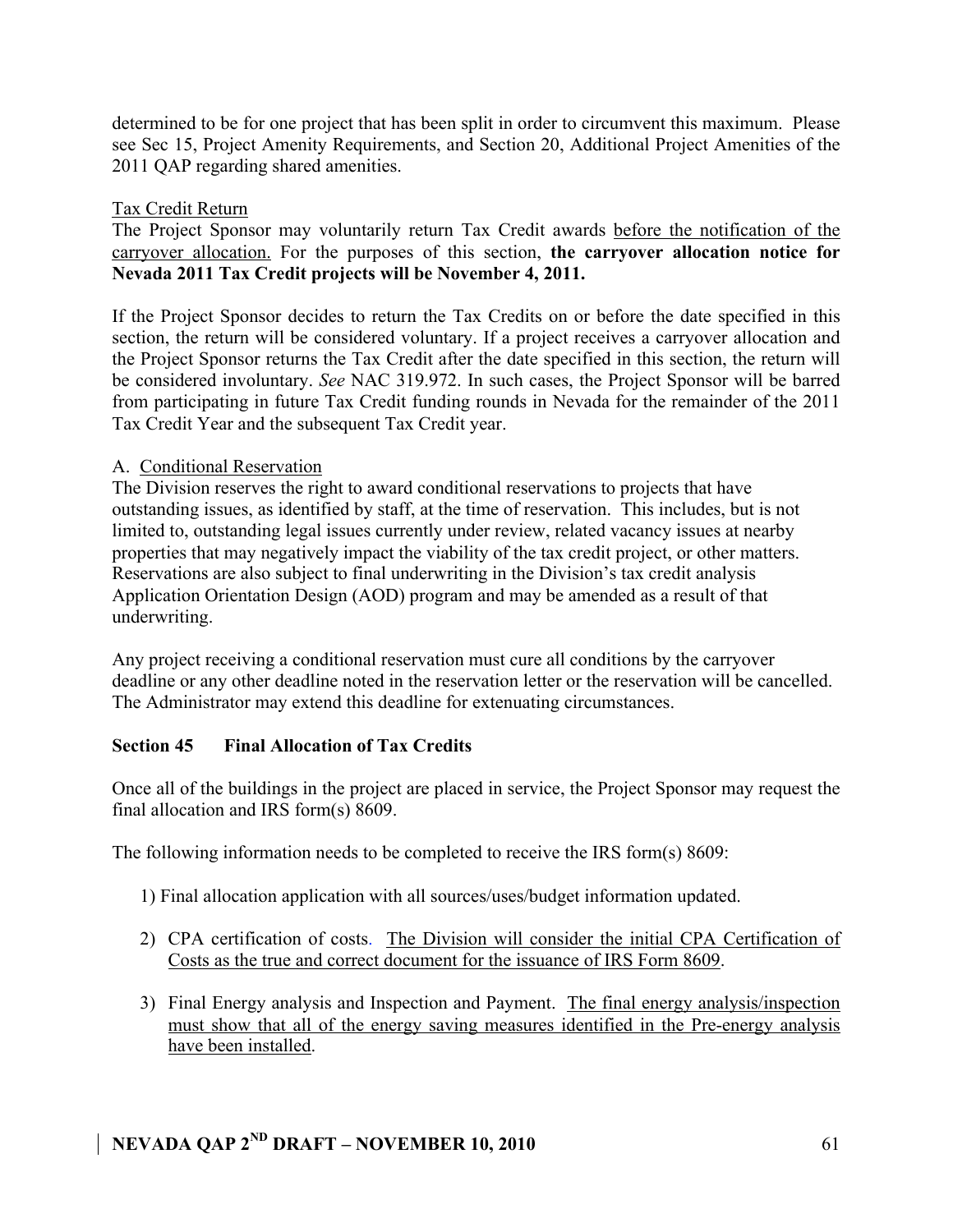determined to be for one project that has been split in order to circumvent this maximum. Please see Sec 15, Project Amenity Requirements, and Section 20, Additional Project Amenities of the 2011 QAP regarding shared amenities.

### Tax Credit Return

The Project Sponsor may voluntarily return Tax Credit awards before the notification of the carryover allocation. For the purposes of this section, **the carryover allocation notice for Nevada 2011 Tax Credit projects will be November 4, 2011.** 

If the Project Sponsor decides to return the Tax Credits on or before the date specified in this section, the return will be considered voluntary. If a project receives a carryover allocation and the Project Sponsor returns the Tax Credit after the date specified in this section, the return will be considered involuntary. *See* NAC 319.972. In such cases, the Project Sponsor will be barred from participating in future Tax Credit funding rounds in Nevada for the remainder of the 2011 Tax Credit Year and the subsequent Tax Credit year.

### A. Conditional Reservation

The Division reserves the right to award conditional reservations to projects that have outstanding issues, as identified by staff, at the time of reservation. This includes, but is not limited to, outstanding legal issues currently under review, related vacancy issues at nearby properties that may negatively impact the viability of the tax credit project, or other matters. Reservations are also subject to final underwriting in the Division's tax credit analysis Application Orientation Design (AOD) program and may be amended as a result of that underwriting.

Any project receiving a conditional reservation must cure all conditions by the carryover deadline or any other deadline noted in the reservation letter or the reservation will be cancelled. The Administrator may extend this deadline for extenuating circumstances.

### **Section 45 Final Allocation of Tax Credits**

Once all of the buildings in the project are placed in service, the Project Sponsor may request the final allocation and IRS form(s) 8609.

The following information needs to be completed to receive the IRS form(s) 8609:

- 1) Final allocation application with all sources/uses/budget information updated.
- 2) CPA certification of costs. The Division will consider the initial CPA Certification of Costs as the true and correct document for the issuance of IRS Form 8609.
- 3) Final Energy analysis and Inspection and Payment. The final energy analysis/inspection must show that all of the energy saving measures identified in the Pre-energy analysis have been installed.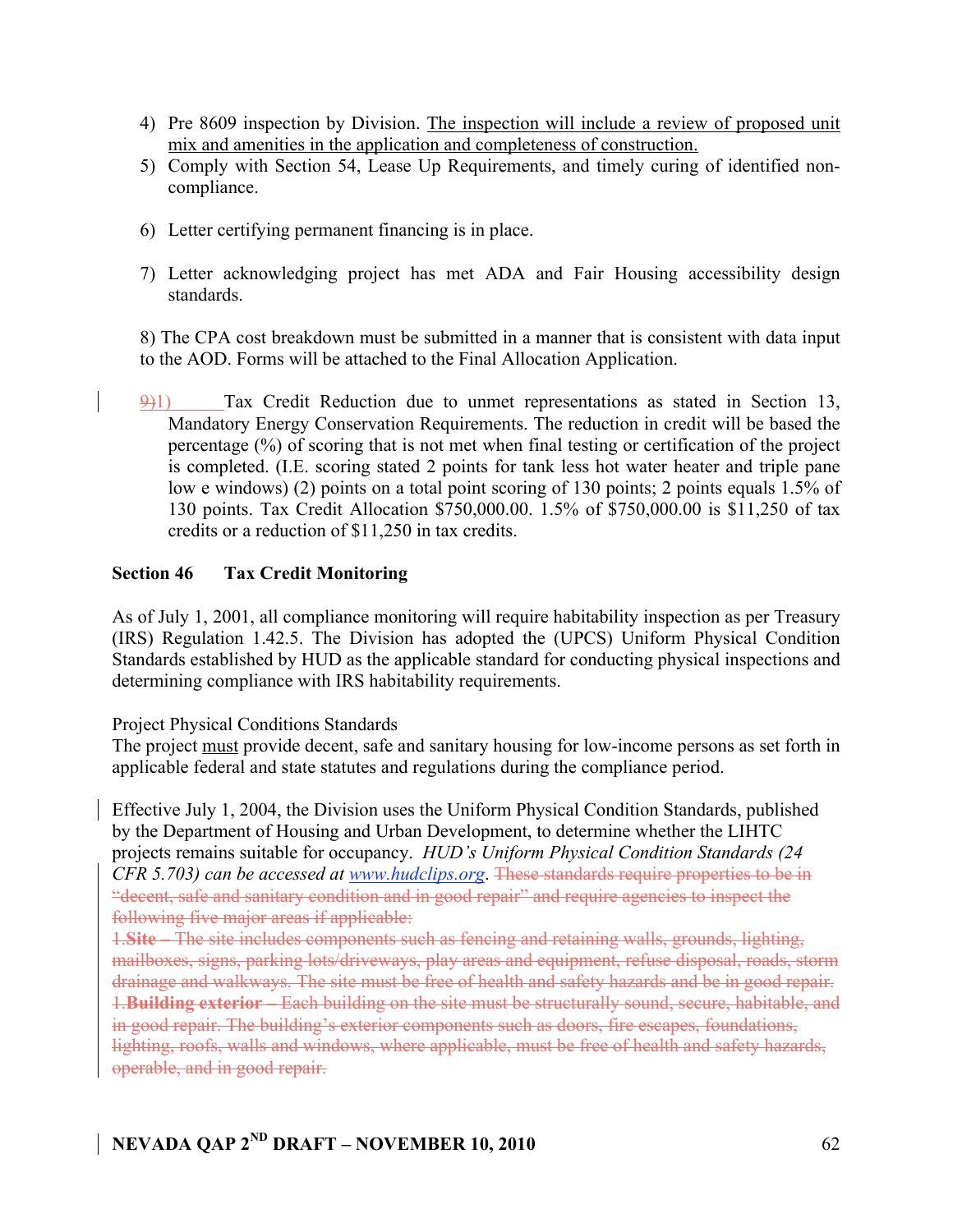- 4) Pre 8609 inspection by Division. The inspection will include a review of proposed unit mix and amenities in the application and completeness of construction.
- 5) Comply with Section 54, Lease Up Requirements, and timely curing of identified noncompliance.
- 6) Letter certifying permanent financing is in place.
- 7) Letter acknowledging project has met ADA and Fair Housing accessibility design standards.

8) The CPA cost breakdown must be submitted in a manner that is consistent with data input to the AOD. Forms will be attached to the Final Allocation Application.

9)1) Tax Credit Reduction due to unmet representations as stated in Section 13, Mandatory Energy Conservation Requirements. The reduction in credit will be based the percentage (%) of scoring that is not met when final testing or certification of the project is completed. (I.E. scoring stated 2 points for tank less hot water heater and triple pane low e windows) (2) points on a total point scoring of 130 points; 2 points equals 1.5% of 130 points. Tax Credit Allocation \$750,000.00. 1.5% of \$750,000.00 is \$11,250 of tax credits or a reduction of \$11,250 in tax credits.

### **Section 46 Tax Credit Monitoring**

As of July 1, 2001, all compliance monitoring will require habitability inspection as per Treasury (IRS) Regulation 1.42.5. The Division has adopted the (UPCS) Uniform Physical Condition Standards established by HUD as the applicable standard for conducting physical inspections and determining compliance with IRS habitability requirements.

Project Physical Conditions Standards

The project must provide decent, safe and sanitary housing for low-income persons as set forth in applicable federal and state statutes and regulations during the compliance period.

Effective July 1, 2004, the Division uses the Uniform Physical Condition Standards, published by the Department of Housing and Urban Development, to determine whether the LIHTC projects remains suitable for occupancy. *HUD's Uniform Physical Condition Standards (24 CFR 5.703) can be accessed at www.hudclips.org*. These standards require properties to be in "decent, safe and sanitary condition and in good repair" and require agencies to inspect the following five major areas if applicable:

1.**Site** – The site includes components such as fencing and retaining walls, grounds, lighting, mailboxes, signs, parking lots/driveways, play areas and equipment, refuse disposal, roads, storm drainage and walkways. The site must be free of health and safety hazards and be in good repair. 1.**Building exterior** – Each building on the site must be structurally sound, secure, habitable, and in good repair. The building's exterior components such as doors, fire escapes, foundations, lighting, roofs, walls and windows, where applicable, must be free of health and safety hazards, operable, and in good repair.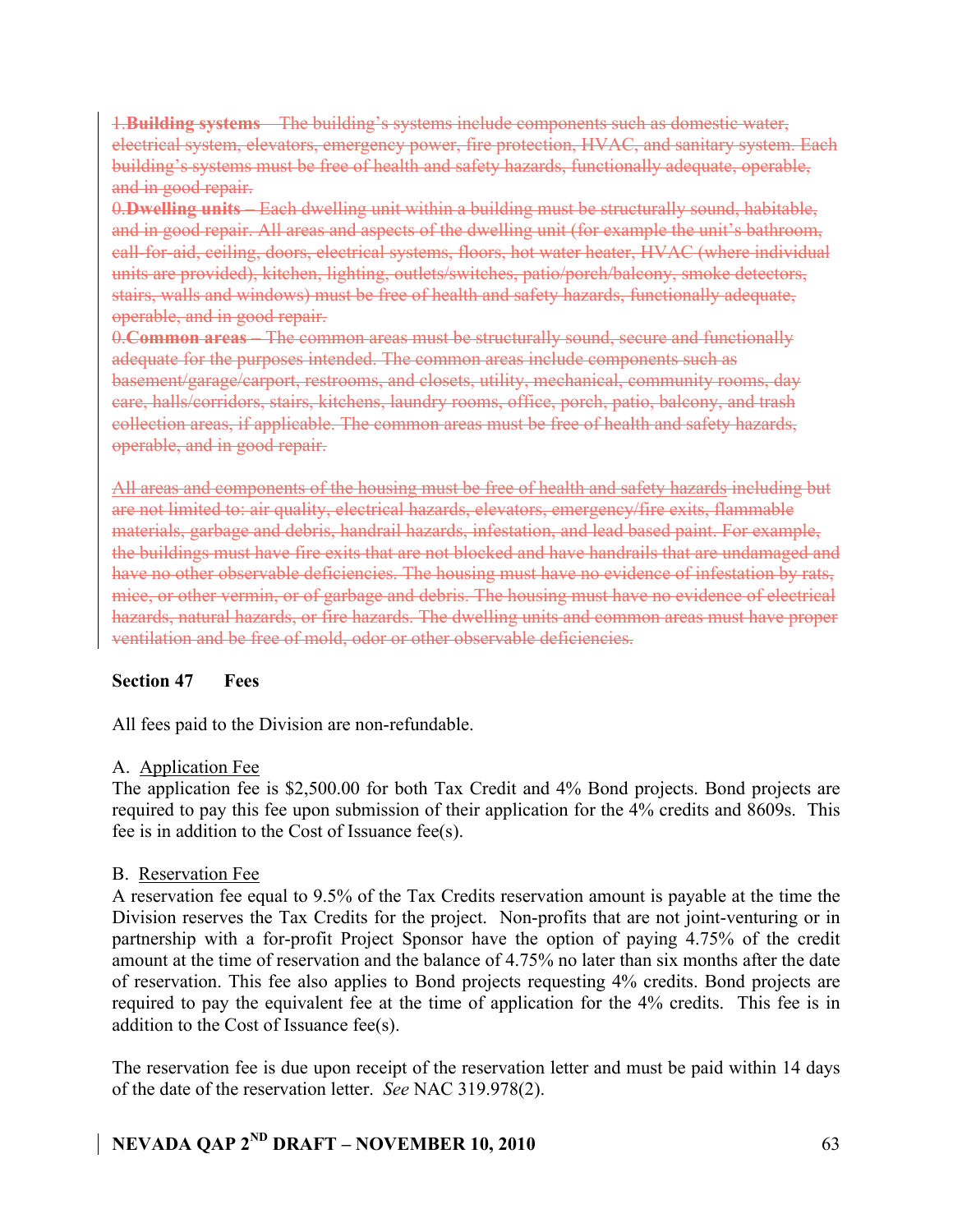1.**Building systems** – The building's systems include components such as domestic water, electrical system, elevators, emergency power, fire protection, HVAC, and sanitary system. Each building's systems must be free of health and safety hazards, functionally adequate, operable, and in good repair.

0.**Dwelling units** – Each dwelling unit within a building must be structurally sound, habitable, and in good repair. All areas and aspects of the dwelling unit (for example the unit's bathroom, call-for-aid, ceiling, doors, electrical systems, floors, hot water heater, HVAC (where individual units are provided), kitchen, lighting, outlets/switches, patio/porch/balcony, smoke detectors, stairs, walls and windows) must be free of health and safety hazards, functionally adequate, operable, and in good repair.

0.**Common areas** – The common areas must be structurally sound, secure and functionally adequate for the purposes intended. The common areas include components such as basement/garage/carport, restrooms, and closets, utility, mechanical, community rooms, day care, halls/corridors, stairs, kitchens, laundry rooms, office, porch, patio, balcony, and trash collection areas, if applicable. The common areas must be free of health and safety hazards, operable, and in good repair.

All areas and components of the housing must be free of health and safety hazards including but are not limited to: air quality, electrical hazards, elevators, emergency/fire exits, flammable materials, garbage and debris, handrail hazards, infestation, and lead based paint. For example, the buildings must have fire exits that are not blocked and have handrails that are undamaged and have no other observable deficiencies. The housing must have no evidence of infestation by rats, mice, or other vermin, or of garbage and debris. The housing must have no evidence of electrical hazards, natural hazards, or fire hazards. The dwelling units and common areas must have proper ventilation and be free of mold, odor or other observable deficiencies.

### **Section 47 Fees**

All fees paid to the Division are non-refundable.

### A. Application Fee

The application fee is \$2,500.00 for both Tax Credit and 4% Bond projects. Bond projects are required to pay this fee upon submission of their application for the 4% credits and 8609s. This fee is in addition to the Cost of Issuance fee(s).

### B. Reservation Fee

A reservation fee equal to 9.5% of the Tax Credits reservation amount is payable at the time the Division reserves the Tax Credits for the project. Non-profits that are not joint-venturing or in partnership with a for-profit Project Sponsor have the option of paying 4.75% of the credit amount at the time of reservation and the balance of 4.75% no later than six months after the date of reservation. This fee also applies to Bond projects requesting 4% credits. Bond projects are required to pay the equivalent fee at the time of application for the 4% credits. This fee is in addition to the Cost of Issuance fee(s).

The reservation fee is due upon receipt of the reservation letter and must be paid within 14 days of the date of the reservation letter. *See* NAC 319.978(2).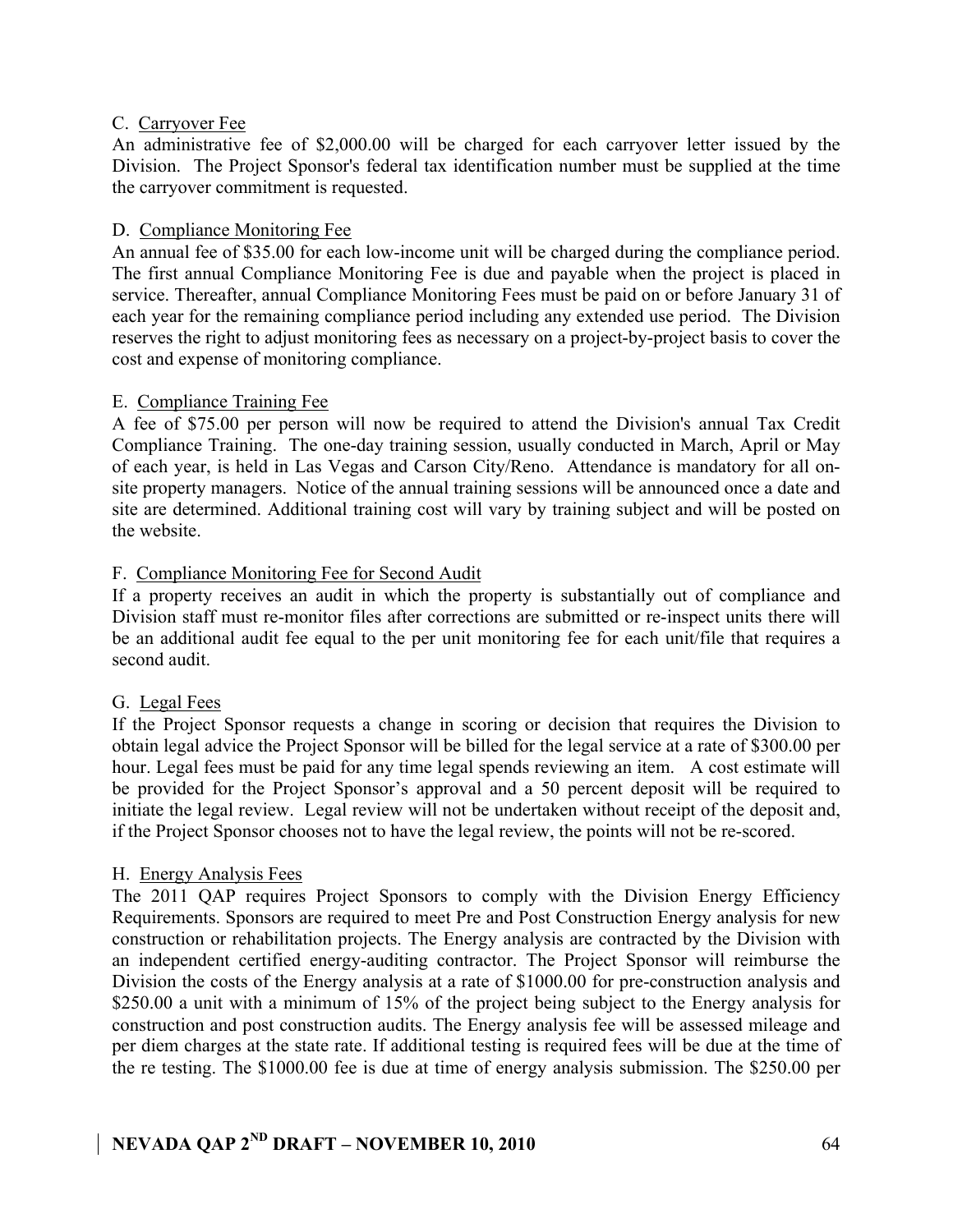### C. Carryover Fee

An administrative fee of \$2,000.00 will be charged for each carryover letter issued by the Division. The Project Sponsor's federal tax identification number must be supplied at the time the carryover commitment is requested.

### D. Compliance Monitoring Fee

An annual fee of \$35.00 for each low-income unit will be charged during the compliance period. The first annual Compliance Monitoring Fee is due and payable when the project is placed in service. Thereafter, annual Compliance Monitoring Fees must be paid on or before January 31 of each year for the remaining compliance period including any extended use period. The Division reserves the right to adjust monitoring fees as necessary on a project-by-project basis to cover the cost and expense of monitoring compliance.

### E. Compliance Training Fee

A fee of \$75.00 per person will now be required to attend the Division's annual Tax Credit Compliance Training. The one-day training session, usually conducted in March, April or May of each year, is held in Las Vegas and Carson City/Reno. Attendance is mandatory for all onsite property managers. Notice of the annual training sessions will be announced once a date and site are determined. Additional training cost will vary by training subject and will be posted on the website.

### F. Compliance Monitoring Fee for Second Audit

If a property receives an audit in which the property is substantially out of compliance and Division staff must re-monitor files after corrections are submitted or re-inspect units there will be an additional audit fee equal to the per unit monitoring fee for each unit/file that requires a second audit.

### G. Legal Fees

If the Project Sponsor requests a change in scoring or decision that requires the Division to obtain legal advice the Project Sponsor will be billed for the legal service at a rate of \$300.00 per hour. Legal fees must be paid for any time legal spends reviewing an item. A cost estimate will be provided for the Project Sponsor's approval and a 50 percent deposit will be required to initiate the legal review. Legal review will not be undertaken without receipt of the deposit and, if the Project Sponsor chooses not to have the legal review, the points will not be re-scored.

### H. Energy Analysis Fees

The 2011 QAP requires Project Sponsors to comply with the Division Energy Efficiency Requirements. Sponsors are required to meet Pre and Post Construction Energy analysis for new construction or rehabilitation projects. The Energy analysis are contracted by the Division with an independent certified energy-auditing contractor. The Project Sponsor will reimburse the Division the costs of the Energy analysis at a rate of \$1000.00 for pre-construction analysis and \$250.00 a unit with a minimum of 15% of the project being subject to the Energy analysis for construction and post construction audits. The Energy analysis fee will be assessed mileage and per diem charges at the state rate. If additional testing is required fees will be due at the time of the re testing. The \$1000.00 fee is due at time of energy analysis submission. The \$250.00 per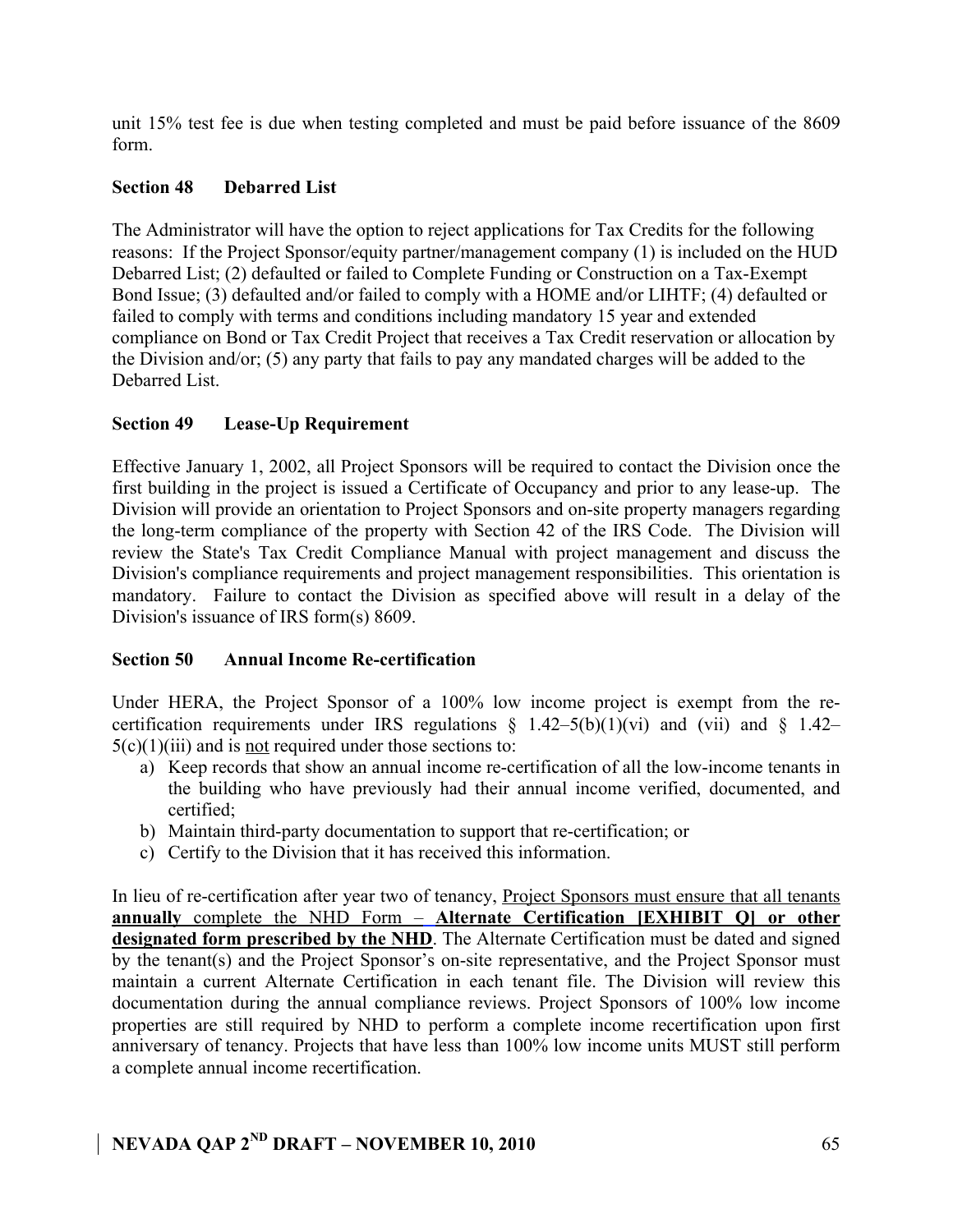unit 15% test fee is due when testing completed and must be paid before issuance of the 8609 form.

### **Section 48 Debarred List**

The Administrator will have the option to reject applications for Tax Credits for the following reasons: If the Project Sponsor/equity partner/management company (1) is included on the HUD Debarred List; (2) defaulted or failed to Complete Funding or Construction on a Tax-Exempt Bond Issue; (3) defaulted and/or failed to comply with a HOME and/or LIHTF; (4) defaulted or failed to comply with terms and conditions including mandatory 15 year and extended compliance on Bond or Tax Credit Project that receives a Tax Credit reservation or allocation by the Division and/or; (5) any party that fails to pay any mandated charges will be added to the Debarred List.

### **Section 49 Lease-Up Requirement**

Effective January 1, 2002, all Project Sponsors will be required to contact the Division once the first building in the project is issued a Certificate of Occupancy and prior to any lease-up. The Division will provide an orientation to Project Sponsors and on-site property managers regarding the long-term compliance of the property with Section 42 of the IRS Code. The Division will review the State's Tax Credit Compliance Manual with project management and discuss the Division's compliance requirements and project management responsibilities. This orientation is mandatory. Failure to contact the Division as specified above will result in a delay of the Division's issuance of IRS form(s) 8609.

### **Section 50 Annual Income Re-certification**

Under HERA, the Project Sponsor of a 100% low income project is exempt from the recertification requirements under IRS regulations  $\S$  1.42–5(b)(1)(vi) and (vii) and  $\S$  1.42–  $5(c)(1)(iii)$  and is not required under those sections to:

- a) Keep records that show an annual income re-certification of all the low-income tenants in the building who have previously had their annual income verified, documented, and certified;
- b) Maintain third-party documentation to support that re-certification; or
- c) Certify to the Division that it has received this information.

In lieu of re-certification after year two of tenancy, **Project Sponsors must ensure that all tenants annually** complete the NHD Form – **Alternate Certification [EXHIBIT Q] or other designated form prescribed by the NHD**. The Alternate Certification must be dated and signed by the tenant(s) and the Project Sponsor's on-site representative, and the Project Sponsor must maintain a current Alternate Certification in each tenant file. The Division will review this documentation during the annual compliance reviews. Project Sponsors of 100% low income properties are still required by NHD to perform a complete income recertification upon first anniversary of tenancy. Projects that have less than 100% low income units MUST still perform a complete annual income recertification.